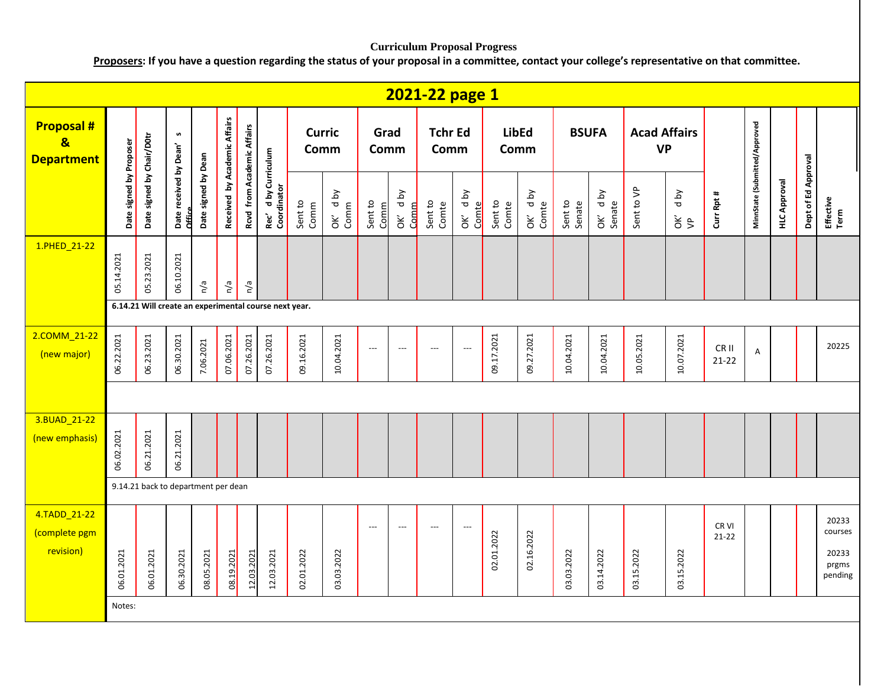## **Curriculum Proposal Progress**

**Proposers: If you have a question regarding the status of your proposal in a committee, contact your college's representative on that committee.**

|                                                                  |                         |                                     |                                  |                     |                              |                            |                                                       |                       |                    |                          |                                           | 2021-22 page 1         |                          |                  |                      |                   |                      |                                  |                       |                    |                               |                     |                     |                                               |
|------------------------------------------------------------------|-------------------------|-------------------------------------|----------------------------------|---------------------|------------------------------|----------------------------|-------------------------------------------------------|-----------------------|--------------------|--------------------------|-------------------------------------------|------------------------|--------------------------|------------------|----------------------|-------------------|----------------------|----------------------------------|-----------------------|--------------------|-------------------------------|---------------------|---------------------|-----------------------------------------------|
| <b>Proposal#</b><br>$\overline{\mathbf{g}}$<br><b>Department</b> |                         |                                     | n                                |                     |                              |                            |                                                       | <b>Curric</b><br>Comm |                    | Grad<br>Comm             |                                           | <b>Tchr Ed</b><br>Comm |                          |                  | <b>LibEd</b><br>Comm |                   | <b>BSUFA</b>         | <b>Acad Affairs</b><br><b>VP</b> |                       |                    |                               |                     |                     |                                               |
|                                                                  | Date signed by Proposer | Date signed by Chair/D0tr           | Date received by Dean'<br>Office | Date signed by Dean | Received by Academic Affairs | Rcvd from Academic Affairs | Rec' d by Curriculum<br>Coordinator                   | Sent to<br>Comm       | yq p<br>Comm<br>òΚ | Sent to<br>Comm          | <b>Aq</b> p<br>Comm<br>$\check{\epsilon}$ | Sent to<br>Comte       | Aq p<br>Comte<br>OK      | Sent to<br>Comte | OK' dby<br>Comte     | Sent to<br>Senate | d by<br>Senate<br>ОK | Sent to VP                       | yq p<br>$\frac{2}{5}$ | Curr Rpt #         | MinnState (Submitted/Approved | <b>HLC Approval</b> | Dept of Ed Approval | Effective<br>Term                             |
| 1.PHED_21-22                                                     | 05.14.2021              | 05.23.2021                          | 06.10.2021                       | n/a                 | n/a                          | n/a                        |                                                       |                       |                    |                          |                                           |                        |                          |                  |                      |                   |                      |                                  |                       |                    |                               |                     |                     |                                               |
|                                                                  |                         |                                     |                                  |                     |                              |                            | 6.14.21 Will create an experimental course next year. |                       |                    |                          |                                           |                        |                          |                  |                      |                   |                      |                                  |                       |                    |                               |                     |                     |                                               |
| 2.COMM_21-22<br>(new major)                                      | 06.22.2021              | 06.23.2021                          | 06.30.2021                       | 7.06.2021           | 07.06.2021                   | 07.26.2021                 | 07.26.2021                                            | 09.16.2021            | 10.04.2021         | $\overline{\phantom{a}}$ | ---                                       | ---                    | $\overline{\phantom{a}}$ | 09.17.2021       | 09.27.2021           | 10.04.2021        | 10.04.2021           | 10.05.2021                       | 10.07.2021            | CR II<br>$21-22$   | $\overline{A}$                |                     |                     | 20225                                         |
|                                                                  |                         |                                     |                                  |                     |                              |                            |                                                       |                       |                    |                          |                                           |                        |                          |                  |                      |                   |                      |                                  |                       |                    |                               |                     |                     |                                               |
| 3.BUAD_21-22<br>(new emphasis)                                   | 06.02.2021              | 06.21.2021                          | 06.21.2021                       |                     |                              |                            |                                                       |                       |                    |                          |                                           |                        |                          |                  |                      |                   |                      |                                  |                       |                    |                               |                     |                     |                                               |
|                                                                  |                         | 9.14.21 back to department per dean |                                  |                     |                              |                            |                                                       |                       |                    |                          |                                           |                        |                          |                  |                      |                   |                      |                                  |                       |                    |                               |                     |                     |                                               |
| 4.TADD_21-22<br>(complete pgm<br>revision)                       | 06.01.2021              | 06.01.2021                          | 06.30.2021                       | 08.05.2021          | 08.19.2021                   | 12.03.2021                 | 12.03.2021                                            | 02.01.2022            | 03.03.2022         | $---$                    | $\overline{a}$                            | $---$                  | $\overline{\phantom{a}}$ | 02.01.2022       | 02.16.2022           | 03.03.2022        | 03.14.2022           | 03.15.2022                       | 03.15.2022            | CR VI<br>$21 - 22$ |                               |                     |                     | 20233<br>courses<br>20233<br>prgms<br>pending |
|                                                                  | Notes:                  |                                     |                                  |                     |                              |                            |                                                       |                       |                    |                          |                                           |                        |                          |                  |                      |                   |                      |                                  |                       |                    |                               |                     |                     |                                               |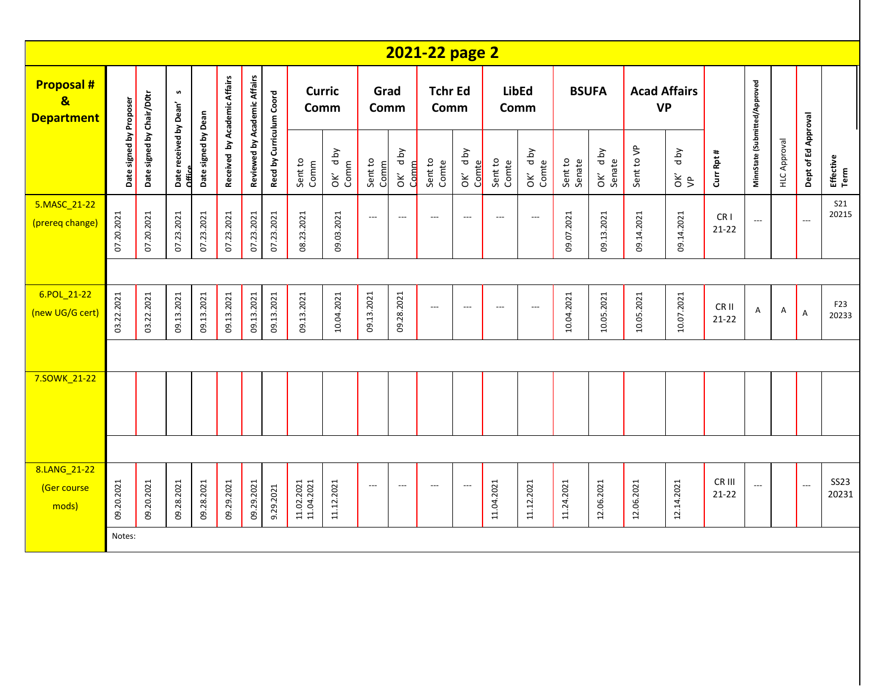|                                                                   |                         |                           |                                  |                     |                              |                              |                          |                          |                 |                          |                 | 2021-22 page 2           |                          |                          |                          |                   |                   |                                  |                       |                              |                                     |                     |                          |                      |
|-------------------------------------------------------------------|-------------------------|---------------------------|----------------------------------|---------------------|------------------------------|------------------------------|--------------------------|--------------------------|-----------------|--------------------------|-----------------|--------------------------|--------------------------|--------------------------|--------------------------|-------------------|-------------------|----------------------------------|-----------------------|------------------------------|-------------------------------------|---------------------|--------------------------|----------------------|
| <b>Proposal #</b><br>$\overline{\mathbf{g}}$<br><b>Department</b> |                         |                           | S                                |                     |                              |                              |                          | <b>Curric</b><br>Comm    |                 | Grad<br>Comm             |                 | <b>Tchr Ed</b><br>Comm   |                          | <b>LibEd</b><br>Comm     |                          |                   | <b>BSUFA</b>      | <b>Acad Affairs</b><br><b>VP</b> |                       |                              |                                     |                     |                          |                      |
|                                                                   | Date signed by Proposer | Date signed by Chair/D0tr | Date received by Dean'<br>Office | Date signed by Dean | Received by Academic Affairs | Reviewed by Academic Affairs | Recd by Curriculum Coord | Sent to<br>Comm          | OK' dby<br>Comm | Sent to<br>Comm          | OK' dby<br>Comm | Sent to<br>Comte         | OK' dby<br>Comte         | Sent to<br>Comte         | OK' d by<br>Comte        | Sent to<br>Senate | OK' dby<br>Senate | Sent to VP                       | d by<br>$\frac{2}{5}$ | Curr Rpt #                   | MinnState (Submitted/Approved       | <b>HLC Approval</b> | Dept of Ed Approval      | Effective<br>Term    |
| 5.MASC 21-22<br>(prereq change)                                   | 07.20.2021              | 07.20.2021                | 07.23.2021                       | 07.23.2021          | 07.23.2021                   | 07.23.2021                   | 07.23.2021               | 08.23.2021               | 09.03.2021      | $\hspace{0.05cm} \ldots$ | $---$           | $\hspace{0.05cm} \ldots$ | $\overline{\phantom{a}}$ | $\overline{\phantom{a}}$ | $\hspace{0.05cm} \ldots$ | 09.07.2021        | 09.13.2021        | 09.14.2021                       | 09.14.2021            | CR <sub>1</sub><br>$21 - 22$ | $\overline{\phantom{a}}$            |                     |                          | <b>S21</b><br>20215  |
|                                                                   |                         |                           |                                  |                     |                              |                              |                          |                          |                 |                          |                 |                          |                          |                          |                          |                   |                   |                                  |                       |                              |                                     |                     |                          |                      |
| 6.POL_21-22<br>(new UG/G cert)                                    | 03.22.2021              | 03.22.2021                | 09.13.2021                       | 09.13.2021          | 09.13.2021                   | 09.13.2021                   | 09.13.2021               | 09.13.2021               | 10.04.2021      | 09.13.2021               | 09.28.2021      | $\hspace{0.05cm} \ldots$ | $\overline{a}$           | $\overline{\phantom{a}}$ | $\overline{\phantom{a}}$ | 10.04.2021        | 10.05.2021        | 10.05.2021                       | 10.07.2021            | CR II<br>$21-22$             | A                                   | Α                   | $\mathsf A$              | F23<br>20233         |
|                                                                   |                         |                           |                                  |                     |                              |                              |                          |                          |                 |                          |                 |                          |                          |                          |                          |                   |                   |                                  |                       |                              |                                     |                     |                          |                      |
| 7.SOWK_21-22                                                      |                         |                           |                                  |                     |                              |                              |                          |                          |                 |                          |                 |                          |                          |                          |                          |                   |                   |                                  |                       |                              |                                     |                     |                          |                      |
|                                                                   |                         |                           |                                  |                     |                              |                              |                          |                          |                 |                          |                 |                          |                          |                          |                          |                   |                   |                                  |                       |                              |                                     |                     |                          |                      |
| 8.LANG 21-22<br>(Ger course<br>mods)                              | 09.20.2021              | 09.20.2021                | 09.28.2021                       | 09.28.2021          | 09.29.2021                   | 09.29.2021                   | 9.29.2021                | 11.02.2021<br>11.04.2021 | 11.12.2021      | $---$                    | $---$           | $---$                    | $\overline{\phantom{a}}$ | 11.04.2021               | 11.12.2021               | 11.24.2021        | 12.06.2021        | 12.06.2021                       | 12.14.2021            | CR III<br>$21 - 22$          | $\hspace{0.05cm}---\hspace{0.05cm}$ |                     | $\overline{\phantom{a}}$ | <b>SS23</b><br>20231 |
|                                                                   | Notes:                  |                           |                                  |                     |                              |                              |                          |                          |                 |                          |                 |                          |                          |                          |                          |                   |                   |                                  |                       |                              |                                     |                     |                          |                      |
|                                                                   |                         |                           |                                  |                     |                              |                              |                          |                          |                 |                          |                 |                          |                          |                          |                          |                   |                   |                                  |                       |                              |                                     |                     |                          |                      |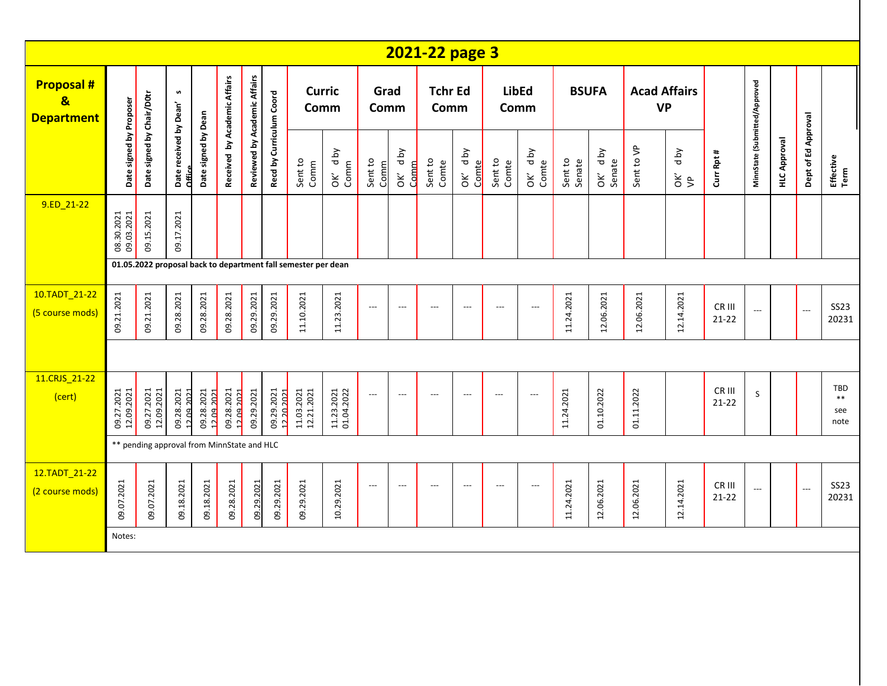|                                                                   |                                                               |                                            |                                  |                     |                              |                              |                          |                          |                          |                          |                          | 2021-22 page 3           |                          |                      |                          |                   |                   |            |                       |                     |                               |                     |                     |                             |
|-------------------------------------------------------------------|---------------------------------------------------------------|--------------------------------------------|----------------------------------|---------------------|------------------------------|------------------------------|--------------------------|--------------------------|--------------------------|--------------------------|--------------------------|--------------------------|--------------------------|----------------------|--------------------------|-------------------|-------------------|------------|-----------------------|---------------------|-------------------------------|---------------------|---------------------|-----------------------------|
| <b>Proposal #</b><br>$\overline{\mathbf{g}}$<br><b>Department</b> |                                                               |                                            | S                                |                     |                              |                              |                          | Comm                     | <b>Curric</b>            | Grad<br>Comm             |                          | <b>Tchr Ed</b><br>Comm   |                          | <b>LibEd</b><br>Comm |                          | <b>BSUFA</b>      |                   | <b>VP</b>  | <b>Acad Affairs</b>   |                     |                               |                     |                     |                             |
|                                                                   | Date signed by Proposer                                       | Date signed by Chair/D0tr                  | Date received by Dean'<br>Office | Date signed by Dean | Received by Academic Affairs | Reviewed by Academic Affairs | Recd by Curriculum Coord | Sent to<br>Comm          | OK' dby<br>Comm          | Sent to<br>Comm          | OK' dby<br>Comm          | Sent to<br>Comte         | OK' dby<br>Comte         | Sent to<br>Comte     | OK' dby<br>Comte         | Sent to<br>Senate | OK' dby<br>Senate | Sent to VP | d by<br>$\frac{2}{5}$ | Curr Rpt #          | MinnState (Submitted/Approved | <b>HLC Approval</b> | Dept of Ed Approval | Effective<br>Term           |
| 9.ED 21-22                                                        | 08.30.2021<br>09.03.2021                                      | 09.15.2021                                 | 09.17.2021                       |                     |                              |                              |                          |                          |                          |                          |                          |                          |                          |                      |                          |                   |                   |            |                       |                     |                               |                     |                     |                             |
|                                                                   | 01.05.2022 proposal back to department fall semester per dean |                                            |                                  |                     |                              |                              |                          |                          |                          |                          |                          |                          |                          |                      |                          |                   |                   |            |                       |                     |                               |                     |                     |                             |
| 10.TADT_21-22<br>(5 course mods)                                  | 09.21.2021                                                    | 09.21.2021                                 | 09.28.2021                       | 09.28.2021          | 09.28.2021                   | 09.29.2021                   | 09.29.2021               | 11.10.2021               | 11.23.2021               | $\overline{\phantom{a}}$ | $---$                    | $\overline{\phantom{a}}$ | $\overline{\phantom{a}}$ | $---$                | $---$                    | 11.24.2021        | 12.06.2021        | 12.06.2021 | 12.14.2021            | CR III<br>$21 - 22$ | $\overline{\phantom{a}}$      |                     | $\overline{a}$      | <b>SS23</b><br>20231        |
|                                                                   |                                                               |                                            |                                  |                     |                              |                              |                          |                          |                          |                          |                          |                          |                          |                      |                          |                   |                   |            |                       |                     |                               |                     |                     |                             |
| 11.CRJS 21-22<br>(cert)                                           | 09.27.2021<br>12.09.2021                                      | 09.27.2021<br>12.09.2021                   | 09.28.2021<br>12.09.2021         |                     | 09.28.2021<br>12.09.2021     | 09.29.2021                   | 09.29.2021<br>12.20.2021 | 11.03.2021<br>12.21.2021 | 11.23.2021<br>01.04.2022 | $---$                    | $\overline{\phantom{a}}$ | $\overline{\phantom{a}}$ | $\overline{\phantom{a}}$ | ---                  | $---$                    | 11.24.2021        | 01.10.2022        | 01.11.2022 |                       | CR III<br>$21 - 22$ | S                             |                     |                     | TBD<br>$***$<br>see<br>note |
|                                                                   |                                                               | ** pending approval from MinnState and HLC |                                  |                     |                              |                              |                          |                          |                          |                          |                          |                          |                          |                      |                          |                   |                   |            |                       |                     |                               |                     |                     |                             |
| 12.TADT_21-22<br>(2 course mods)                                  | 09.07.2021                                                    | 09.07.2021                                 | 09.18.2021                       | 09.18.2021          | 09.28.2021                   | 09.29.2021                   | 09.29.2021               | 09.29.2021               | 10.29.2021               | $---$                    | $---$                    | $\overline{\phantom{a}}$ | $\overline{\phantom{a}}$ | $---$                | $\overline{\phantom{a}}$ | 11.24.2021        | 12.06.2021        | 12.06.2021 | 12.14.2021            | CR III<br>$21 - 22$ | $\overline{\phantom{a}}$      |                     | $\overline{a}$      | <b>SS23</b><br>20231        |
|                                                                   | Notes:                                                        |                                            |                                  |                     |                              |                              |                          |                          |                          |                          |                          |                          |                          |                      |                          |                   |                   |            |                       |                     |                               |                     |                     |                             |
|                                                                   |                                                               |                                            |                                  |                     |                              |                              |                          |                          |                          |                          |                          |                          |                          |                      |                          |                   |                   |            |                       |                     |                               |                     |                     |                             |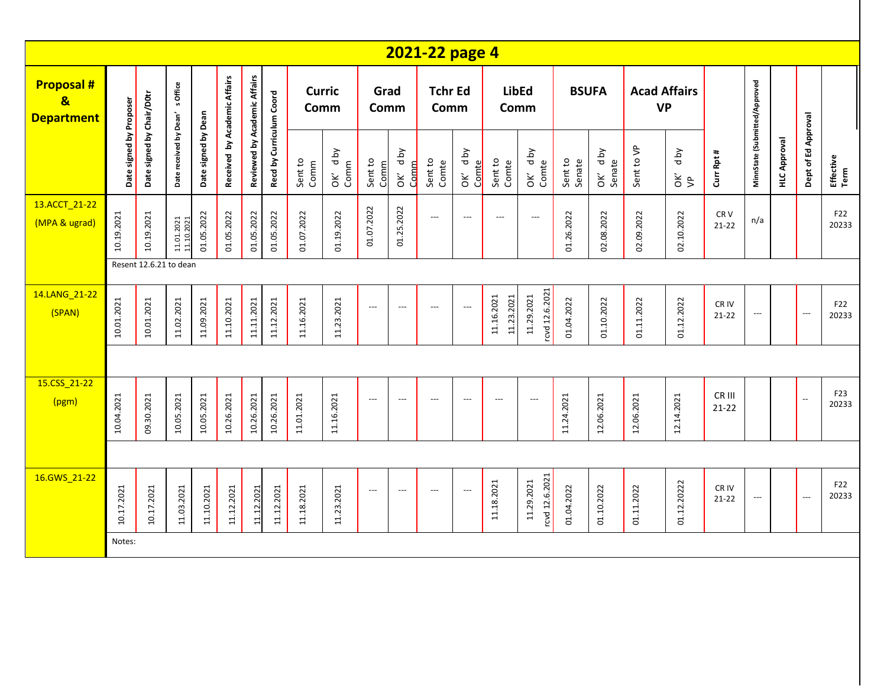|                                                                  |                         |                           |                          |                     |                              |                              |                          |                       |                 |                          |                          | 2021-22 page 4           |                          |                          |                              |                   |                   |                                  |                       |                              |                               |                     |                          |                   |
|------------------------------------------------------------------|-------------------------|---------------------------|--------------------------|---------------------|------------------------------|------------------------------|--------------------------|-----------------------|-----------------|--------------------------|--------------------------|--------------------------|--------------------------|--------------------------|------------------------------|-------------------|-------------------|----------------------------------|-----------------------|------------------------------|-------------------------------|---------------------|--------------------------|-------------------|
| <b>Proposal#</b><br>$\overline{\mathbf{g}}$<br><b>Department</b> |                         |                           | s Office                 |                     |                              |                              |                          | <b>Curric</b><br>Comm |                 | Grad<br>Comm             |                          | <b>Tchr Ed</b><br>Comm   |                          | <b>LibEd</b><br>Comm     |                              | <b>BSUFA</b>      |                   | <b>Acad Affairs</b><br><b>VP</b> |                       |                              |                               |                     |                          |                   |
|                                                                  | Date signed by Proposer | Date signed by Chair/D0tr | Date received by Dean'   | Date signed by Dean | Received by Academic Affairs | Reviewed by Academic Affairs | Recd by Curriculum Coord | Sent to<br>Comm       | OK' dby<br>Comm | Sent to<br>Comm          | OK' dby<br>Comm          | Sent to<br>Comte         | OK' dby<br>Comte         | Sent to<br>Comte         | OK' dby<br>Comte             | Sent to<br>Senate | OK' dby<br>Senate | Sent to VP                       | d by<br>$\frac{2}{5}$ | Curr Rpt #                   | MinnState (Submitted/Approved | <b>HLC Approval</b> | Dept of Ed Approval      | Effective<br>Term |
| 13.ACCT_21-22<br>(MPA & ugrad)                                   | 10.19.2021              | 10.19.2021                | 11.01.2021<br>11.10.2021 | 01.05.2022          | 01.05.2022                   | 01.05.2022                   | 01.05.2022               | 01.07.2022            | 01.19.2022      | 01.07.2022               | 01.25.2022               | $\hspace{0.05cm} \ldots$ | $\overline{\phantom{a}}$ | $---$                    | $\hspace{0.05cm} \ldots$     | 01.26.2022        | 02.08.2022        | 02.09.2022                       | 02.10.2022            | CR <sub>V</sub><br>$21 - 22$ | n/a                           |                     |                          | F22<br>20233      |
|                                                                  |                         | Resent 12.6.21 to dean    |                          |                     |                              |                              |                          |                       |                 |                          |                          |                          |                          |                          |                              |                   |                   |                                  |                       |                              |                               |                     |                          |                   |
| 14.LANG_21-22<br>(SPAN)                                          | 10.01.2021              | 10.01.2021                | 11.02.2021               | 11.09.2021          | 11.10.2021                   | 11.11.2021                   | 11.12.2021               | 11.16.2021            | 11.23.2021      | $\overline{\phantom{a}}$ | $\hspace{0.05cm} \ldots$ | ---                      | $\overline{\phantom{a}}$ | 11.16.2021<br>11.23.2021 | rcvd 12.6.2021<br>11.29.2021 | 01.04.2022        | 01.10.2022        | 01.11.2022                       | 01.12.2022            | CR IV<br>$21 - 22$           | $\overline{\phantom{a}}$      |                     | $\overline{\phantom{a}}$ | F22<br>20233      |
|                                                                  |                         |                           |                          |                     |                              |                              |                          |                       |                 |                          |                          |                          |                          |                          |                              |                   |                   |                                  |                       |                              |                               |                     |                          |                   |
| 15.CSS_21-22<br>(pgm)                                            | 10.04.2021              | 09.30.2021                | 10.05.2021               | 10.05.2021          | 10.26.2021                   | 10.26.2021                   | 10.26.2021               | 11.01.2021            | 11.16.2021      | $\hspace{0.05cm} \ldots$ | $---$                    | ---                      | $\overline{\phantom{a}}$ | $---$                    | $\overline{\phantom{a}}$     | 11.24.2021        | 12.06.2021        | 12.06.2021                       | 12.14.2021            | CR III<br>$21 - 22$          |                               |                     | $\overline{\phantom{a}}$ | F23<br>20233      |
|                                                                  |                         |                           |                          |                     |                              |                              |                          |                       |                 |                          |                          |                          |                          |                          |                              |                   |                   |                                  |                       |                              |                               |                     |                          |                   |
| 16.GWS_21-22                                                     | 10.17.2021              | 10.17.2021                | 11.03.2021               | 11.10.2021          | 11.12.2021                   | 11.12.2021                   | 11.12.2021               | 11.18.2021            | 11.23.2021      | $\hspace{0.05cm} \ldots$ | $---$                    | $\overline{\phantom{a}}$ | $\overline{\phantom{a}}$ | 11.18.2021               | rcvd 12.6.2021<br>11.29.2021 | 01.04.2022        | 01.10.2022        | 01.11.2022                       | 01.12.20222           | CR IV<br>$21 - 22$           | $\hspace{0.05cm} \ldots$      |                     | $\overline{\phantom{a}}$ | F22<br>20233      |
|                                                                  | Notes:                  |                           |                          |                     |                              |                              |                          |                       |                 |                          |                          |                          |                          |                          |                              |                   |                   |                                  |                       |                              |                               |                     |                          |                   |
|                                                                  |                         |                           |                          |                     |                              |                              |                          |                       |                 |                          |                          |                          |                          |                          |                              |                   |                   |                                  |                       |                              |                               |                     |                          |                   |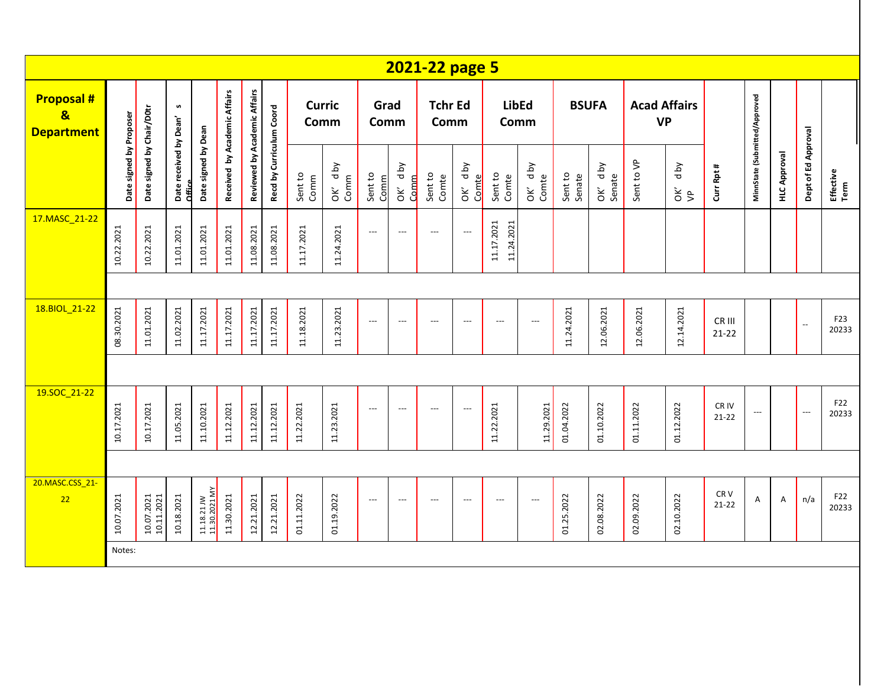|                                                                  |            |                                                                                                                                                                                 |                    |                              |            |                          |                 |                       |                 |                    |                          | 2021-22 page 5                             |                          |                            |                          |                   |              |                                  |            |                               |                     |                     |                          |              |
|------------------------------------------------------------------|------------|---------------------------------------------------------------------------------------------------------------------------------------------------------------------------------|--------------------|------------------------------|------------|--------------------------|-----------------|-----------------------|-----------------|--------------------|--------------------------|--------------------------------------------|--------------------------|----------------------------|--------------------------|-------------------|--------------|----------------------------------|------------|-------------------------------|---------------------|---------------------|--------------------------|--------------|
| <b>Proposal#</b><br>$\overline{\mathbf{g}}$<br><b>Department</b> |            |                                                                                                                                                                                 | $\pmb{\mathsf{w}}$ |                              |            |                          |                 | <b>Curric</b><br>Comm |                 | Grad<br>Comm       |                          | <b>Tchr Ed</b><br>Comm                     |                          | Comm                       | <b>LibEd</b>             |                   | <b>BSUFA</b> | <b>Acad Affairs</b><br><b>VP</b> |            |                               |                     |                     |                          |              |
|                                                                  |            | Received by Academic Affairs<br>Reviewed by Academic Affairs<br>Date signed by Chair/D0tr<br>Date signed by Proposer<br>Date received by Dean'<br>Date signed by Dean<br>Office |                    |                              |            | Recd by Curriculum Coord | Sent to<br>Comm | Aq p<br>Comm<br>òκ    | Sent to<br>Comm | d by<br>Comm<br>ŎK | Sent to<br>Comte         | <b>Aq</b> p<br>Comte<br>$\check{\epsilon}$ | Sent to<br>Comte         | Aq p<br>OK' d <sub>1</sub> | Sent to<br>Senate        | OK' dby<br>Senate | Sent to VP   | d by<br>$\frac{2}{5}$            | Curr Rpt # | MinnState (Submitted/Approved | <b>HLC Approval</b> | Dept of Ed Approval | Effective<br>Term        |              |
| 17.MASC_21-22                                                    | 10.22.2021 | 10.22.2021                                                                                                                                                                      | 11.01.2021         | 11.01.2021                   | 11.01.2021 | 11.08.2021               | 11.08.2021      | 11.17.2021            | 11.24.2021      | $---$              | $\hspace{0.05cm} \ldots$ | $---$                                      | $\overline{\phantom{a}}$ | 11.17.2021<br>11.24.2021   |                          |                   |              |                                  |            |                               |                     |                     |                          |              |
|                                                                  |            |                                                                                                                                                                                 |                    |                              |            |                          |                 |                       |                 |                    |                          |                                            |                          |                            |                          |                   |              |                                  |            |                               |                     |                     |                          |              |
| 18.BIOL_21-22                                                    | 08.30.2021 | 11.01.2021                                                                                                                                                                      | 11.02.2021         | 11.17.2021                   | 11.17.2021 | 11.17.2021               | 11.17.2021      | 11.18.2021            | 11.23.2021      | $---$              | $\overline{\phantom{a}}$ | $---$                                      | $\hspace{0.05cm} \ldots$ | $---$                      | $\overline{\phantom{a}}$ | 11.24.2021        | 12.06.2021   | 12.06.2021                       | 12.14.2021 | CR III<br>$21 - 22$           |                     |                     | $\overline{\phantom{a}}$ | F23<br>20233 |
|                                                                  |            |                                                                                                                                                                                 |                    |                              |            |                          |                 |                       |                 |                    |                          |                                            |                          |                            |                          |                   |              |                                  |            |                               |                     |                     |                          |              |
| 19.SOC 21-22                                                     | 10.17.2021 | 10.17.2021                                                                                                                                                                      | 11.05.2021         | 11.10.2021                   | 11.12.2021 | 11.12.2021               | 11.12.2021      | 11.22.2021            | 11.23.2021      | $---$              | $\overline{\phantom{a}}$ | $\overline{\phantom{a}}$                   | $\overline{\phantom{a}}$ | 11.22.2021                 | 11.29.2021               | 01.04.2022        | 01.10.2022   | 01.11.2022                       | 01.12.2022 | CR IV<br>$21 - 22$            | ---                 |                     | $\overline{\phantom{a}}$ | F22<br>20233 |
|                                                                  |            |                                                                                                                                                                                 |                    |                              |            |                          |                 |                       |                 |                    |                          |                                            |                          |                            |                          |                   |              |                                  |            |                               |                     |                     |                          |              |
| 20.MASC.CSS_21-<br>22                                            | 10.07.2021 | $\frac{10.07.2021}{10.11.2021}$                                                                                                                                                 | 10.18.2021         | 11.18.21 JW<br>11.30.2021 MY | 11.30.2021 | 12.21.2021               | 12.21.2021      | 01.11.2022            | 01.19.2022      | $---$              | $\hspace{0.05cm} \ldots$ | $---$                                      | $\hspace{0.05cm} \ldots$ | $---$                      | $\overline{\phantom{a}}$ | 01.25.2022        | 02.08.2022   | 02.09.2022                       | 02.10.2022 | CRV<br>$21 - 22$              | $\mathsf A$         | A                   | n/a                      | F22<br>20233 |
|                                                                  | Notes:     |                                                                                                                                                                                 |                    |                              |            |                          |                 |                       |                 |                    |                          |                                            |                          |                            |                          |                   |              |                                  |            |                               |                     |                     |                          |              |
|                                                                  |            |                                                                                                                                                                                 |                    |                              |            |                          |                 |                       |                 |                    |                          |                                            |                          |                            |                          |                   |              |                                  |            |                               |                     |                     |                          |              |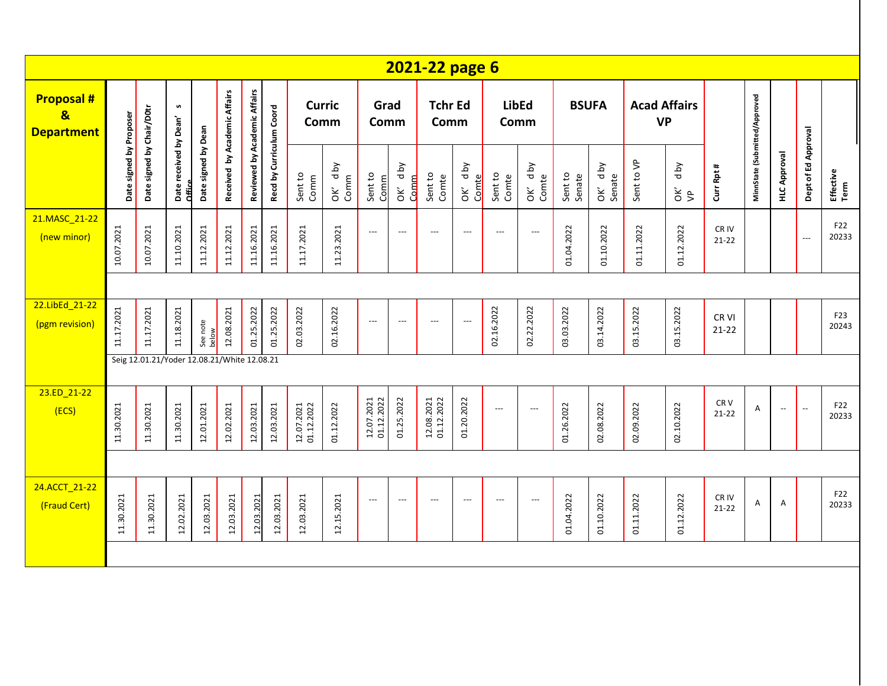|                                                                   |                         |                                             |                                  |                     |                              |                              |                          |                          |                              |                          |                          | 2021-22 page 6           |                          |                          |                          |                   |                   |                                  |                       |                               |                               |                          |                     |                   |
|-------------------------------------------------------------------|-------------------------|---------------------------------------------|----------------------------------|---------------------|------------------------------|------------------------------|--------------------------|--------------------------|------------------------------|--------------------------|--------------------------|--------------------------|--------------------------|--------------------------|--------------------------|-------------------|-------------------|----------------------------------|-----------------------|-------------------------------|-------------------------------|--------------------------|---------------------|-------------------|
| <b>Proposal #</b><br>$\overline{\mathbf{g}}$<br><b>Department</b> |                         |                                             | n                                |                     |                              |                              |                          | <b>Curric</b><br>Comm    |                              | Grad<br>Comm             |                          | <b>Tchr Ed</b><br>Comm   |                          | Comm                     | <b>LibEd</b>             | <b>BSUFA</b>      |                   | <b>Acad Affairs</b><br><b>VP</b> |                       |                               |                               |                          |                     |                   |
|                                                                   | Date signed by Proposer | Date signed by Chair/D0tr                   | Date received by Dean'<br>Office | Date signed by Dean | Received by Academic Affairs | Reviewed by Academic Affairs | Recd by Curriculum Coord | Sent to<br>Comm          | d by<br>Comm<br>$\mathsf{S}$ | Sent to<br>Comm          | d by<br>Comm<br>òΚ       | Sent to<br>Comte         | OK' dby<br>Comte         | Sent to<br>Comte         | OK' dby<br>Comte         | Sent to<br>Senate | OK' dby<br>Senate | Sent to VP                       | d by<br>$\frac{2}{5}$ | Curr Rpt #                    | MinnState (Submitted/Approved | <b>HLC Approval</b>      | Dept of Ed Approval | Effective<br>Term |
| 21.MASC_21-22<br>(new minor)                                      | 10.07.2021              | 10.07.2021                                  | 11.10.2021                       | 11.12.2021          | 11.12.2021                   | 11.16.2021                   | 11.16.2021               | 11.17.2021               | 11.23.2021                   | $\hspace{0.05cm} \ldots$ | $\hspace{0.05cm} \ldots$ | $\hspace{0.05cm} \ldots$ | $\hspace{0.05cm} \ldots$ | $\hspace{0.05cm} \ldots$ | $\hspace{0.05cm} \ldots$ | 01.04.2022        | 01.10.2022        | 01.11.2022                       | 01.12.2022            | CR <sub>IV</sub><br>$21 - 22$ |                               |                          | ---                 | F22<br>20233      |
|                                                                   |                         |                                             |                                  |                     |                              |                              |                          |                          |                              |                          |                          |                          |                          |                          |                          |                   |                   |                                  |                       |                               |                               |                          |                     |                   |
| 22.LibEd 21-22<br>(pgm revision)                                  | 11.17.2021              | 11.17.2021                                  | 11.18.2021                       | See note<br>below   | 12.08.2021                   | 01.25.2022                   | 01.25.2022               | 02.03.2022               | 02.16.2022                   | $\overline{\phantom{a}}$ | $\hspace{0.05cm} \ldots$ | $---$                    | ---                      | 02.16.2022               | 02.22.2022               | 03.03.2022        | 03.14.2022        | 03.15.2022                       | 03.15.2022            | CR <sub>VI</sub><br>$21 - 22$ |                               |                          |                     | F23<br>20243      |
|                                                                   |                         | Seig 12.01.21/Yoder 12.08.21/White 12.08.21 |                                  |                     |                              |                              |                          |                          |                              |                          |                          |                          |                          |                          |                          |                   |                   |                                  |                       |                               |                               |                          |                     |                   |
| 23.ED_21-22<br>(ECS)                                              | 11.30.2021              | 11.30.2021                                  | 11.30.2021                       | 12.01.2021          | 12.02.2021                   | 12.03.2021                   | 12.03.2021               | 12.07.2021<br>01.12.2022 | 01.12.2022                   | 12.07.2021<br>01.12.2022 | 01.25.2022               | 12.08.2021<br>01.12.2022 | 01.20.2022               | ---                      | $\hspace{0.05cm} \ldots$ | 01.26.2022        | 02.08.2022        | 02.09.2022                       | 02.10.2022            | CR <sub>V</sub><br>$21 - 22$  | Α                             | $\overline{\phantom{a}}$ | Ξ.                  | F22<br>20233      |
|                                                                   |                         |                                             |                                  |                     |                              |                              |                          |                          |                              |                          |                          |                          |                          |                          |                          |                   |                   |                                  |                       |                               |                               |                          |                     |                   |
| 24.ACCT 21-22<br>(Fraud Cert)                                     | 11.30.2021              | 11.30.2021                                  | 12.02.2021                       | 12.03.2021          | 12.03.2021                   | 12.03.2021                   | 12.03.2021               | 12.03.2021               | 12.15.2021                   | $---$                    | $\hspace{0.05cm} \ldots$ | $\hspace{0.05cm} \ldots$ | $\hspace{0.05cm} \ldots$ | $\hspace{0.05cm} \ldots$ | $\hspace{0.05cm} \ldots$ | 01.04.2022        | 01.10.2022        | 01.11.2022                       | 01.12.2022            | CR IV<br>$21 - 22$            | Α                             | Α                        |                     | F22<br>20233      |
|                                                                   |                         |                                             |                                  |                     |                              |                              |                          |                          |                              |                          |                          |                          |                          |                          |                          |                   |                   |                                  |                       |                               |                               |                          |                     |                   |
|                                                                   |                         |                                             |                                  |                     |                              |                              |                          |                          |                              |                          |                          |                          |                          |                          |                          |                   |                   |                                  |                       |                               |                               |                          |                     |                   |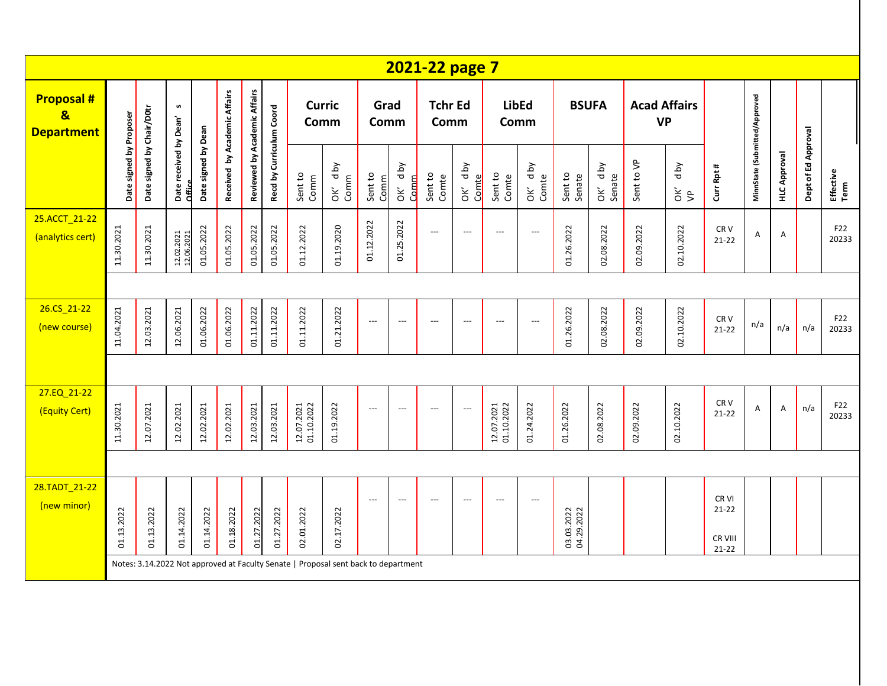|                                                                  |                         |                           |                                  |                     |                              |                              |                          |                          |                                                                                    |                          |                    | 2021-22 page 7           |                            |                          |                                 |                          |                   |                                  |                            |                                            |                               |                     |                     |                   |
|------------------------------------------------------------------|-------------------------|---------------------------|----------------------------------|---------------------|------------------------------|------------------------------|--------------------------|--------------------------|------------------------------------------------------------------------------------|--------------------------|--------------------|--------------------------|----------------------------|--------------------------|---------------------------------|--------------------------|-------------------|----------------------------------|----------------------------|--------------------------------------------|-------------------------------|---------------------|---------------------|-------------------|
| <b>Proposal#</b><br>$\overline{\mathbf{g}}$<br><b>Department</b> |                         |                           | n                                |                     |                              |                              |                          | <b>Curric</b><br>Comm    |                                                                                    | Grad<br>Comm             |                    | <b>Tchr Ed</b><br>Comm   |                            | <b>LibEd</b><br>Comm     |                                 |                          | <b>BSUFA</b>      | <b>Acad Affairs</b><br><b>VP</b> |                            |                                            |                               |                     |                     |                   |
|                                                                  | Date signed by Proposer | Date signed by Chair/D0tr | Date received by Dean'<br>Office | Date signed by Dean | Received by Academic Affairs | Reviewed by Academic Affairs | Recd by Curriculum Coord | Sent to<br>Comm          | d by<br>Comm<br>ŎK                                                                 | Sent to<br>Comm          | yq p<br>Comm<br>ŏΚ | Sent to<br>Comte         | <b>Aq</b> p<br>Comte<br>òΚ | Sent to<br>Comte         | <b>Aq</b><br>OK' d <sub>1</sub> | Sent to<br>Senate        | OK' dby<br>Senate | Sent to VP                       | <b>Aq</b> p<br>$rac{c}{d}$ | Curr Rpt #                                 | MinnState (Submitted/Approved | <b>HLC Approval</b> | Dept of Ed Approval | Effective<br>Term |
| 25.ACCT_21-22<br>(analytics cert)                                | 11.30.2021              | 11.30.2021                | 12.02.2021<br>12.06.2021         | 01.05.2022          | 01.05.2022                   | 01.05.2022                   | 01.05.2022               | 01.12.2022               | 01.19.2020                                                                         | 01.12.2022               | 01.25.2022         | $\overline{\phantom{a}}$ | $\overline{\phantom{a}}$   | $---$                    | $\overline{\phantom{a}}$        | 01.26.2022               | 02.08.2022        | 02.09.2022                       | 02.10.2022                 | CR <sub>V</sub><br>$21 - 22$               | A                             | Α                   |                     | F22<br>20233      |
|                                                                  |                         |                           |                                  |                     |                              |                              |                          |                          |                                                                                    |                          |                    |                          |                            |                          |                                 |                          |                   |                                  |                            |                                            |                               |                     |                     |                   |
| 26.CS 21-22<br>(new course)                                      | 11.04.2021              | 12.03.2021                | 12.06.2021                       | 01.06.2022          | 01.06.2022                   | 01.11.2022                   | 01.11.2022               | 01.11.2022               | 01.21.2022                                                                         | $\overline{\phantom{a}}$ | $---$              | $\overline{\phantom{a}}$ | $\overline{\phantom{a}}$   | $---$                    | $\overline{\phantom{a}}$        | 01.26.2022               | 02.08.2022        | 02.09.2022                       | 02.10.2022                 | CR <sub>V</sub><br>$21 - 22$               | n/a                           | n/a                 | n/a                 | F22<br>20233      |
|                                                                  |                         |                           |                                  |                     |                              |                              |                          |                          |                                                                                    |                          |                    |                          |                            |                          |                                 |                          |                   |                                  |                            |                                            |                               |                     |                     |                   |
| 27.EQ_21-22<br>(Equity Cert)                                     | 11.30.2021              | 12.07.2021                | 12.02.2021                       | 12.02.2021          | 12.02.2021                   | 12.03.2021                   | 12.03.2021               | 12.07.2021<br>01.10.2022 | 01.19.2022                                                                         | $---$                    | $---$              | $\overline{\phantom{a}}$ | $\overline{\phantom{a}}$   | 12.07.2021<br>01.10.2022 | 01.24.2022                      | 01.26.2022               | 02.08.2022        | 02.09.2022                       | 02.10.2022                 | CR <sub>V</sub><br>$21 - 22$               | A                             | Α                   | n/a                 | F22<br>20233      |
|                                                                  |                         |                           |                                  |                     |                              |                              |                          |                          |                                                                                    |                          |                    |                          |                            |                          |                                 |                          |                   |                                  |                            |                                            |                               |                     |                     |                   |
| 28.TADT_21-22<br>(new minor)                                     | 01.13.2022              | 01.13.2022                | 01.14.2022                       | 01.14.2022          | 01.18.2022                   | 01.27.2022                   | 01.27.2022               | 02.01.2022               | 02.17.2022                                                                         | $---$                    | $---$              | $\overline{\phantom{a}}$ | $\overline{\phantom{a}}$   | $---$                    | $---$                           | 03.03.2022<br>04.29.2022 |                   |                                  |                            | CR VI<br>$21 - 22$<br>CR VIII<br>$21 - 22$ |                               |                     |                     |                   |
|                                                                  |                         |                           |                                  |                     |                              |                              |                          |                          | Notes: 3.14.2022 Not approved at Faculty Senate   Proposal sent back to department |                          |                    |                          |                            |                          |                                 |                          |                   |                                  |                            |                                            |                               |                     |                     |                   |
|                                                                  |                         |                           |                                  |                     |                              |                              |                          |                          |                                                                                    |                          |                    |                          |                            |                          |                                 |                          |                   |                                  |                            |                                            |                               |                     |                     |                   |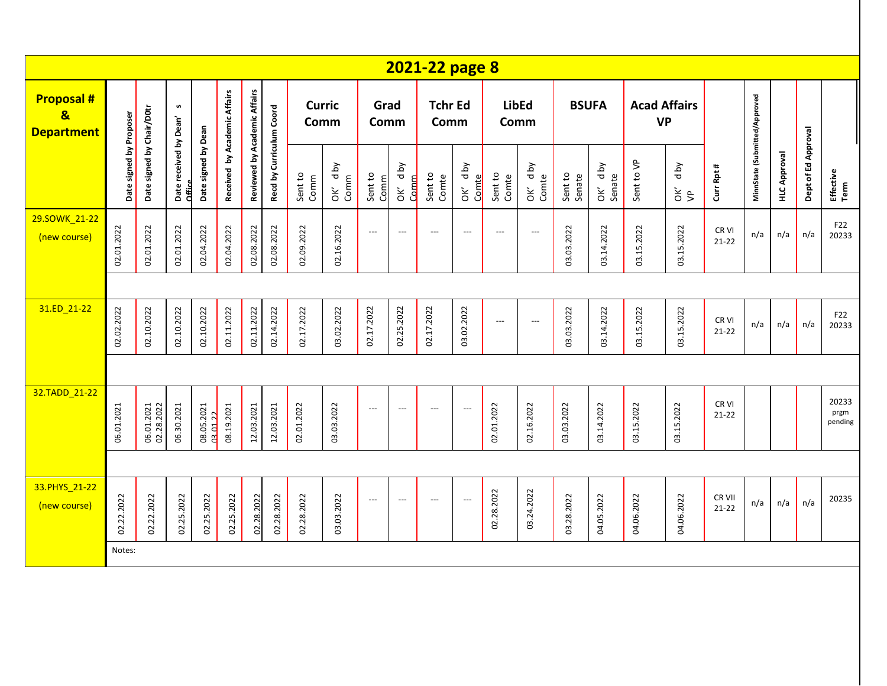|                                                                  |                         |                           |                                  |                     |                              |                              |                          |                       |                      |                 |                           | 2021-22 page 8           |                                     |                          |                          |                   |                   |            |                                           |                     |                               |                     |                     |                          |
|------------------------------------------------------------------|-------------------------|---------------------------|----------------------------------|---------------------|------------------------------|------------------------------|--------------------------|-----------------------|----------------------|-----------------|---------------------------|--------------------------|-------------------------------------|--------------------------|--------------------------|-------------------|-------------------|------------|-------------------------------------------|---------------------|-------------------------------|---------------------|---------------------|--------------------------|
| <b>Proposal#</b><br>$\overline{\mathbf{g}}$<br><b>Department</b> |                         |                           | n                                |                     | Received by Academic Affairs |                              |                          | <b>Curric</b><br>Comm |                      | Grad<br>Comm    |                           | <b>Tchr Ed</b><br>Comm   |                                     |                          | <b>LibEd</b><br>Comm     |                   | <b>BSUFA</b>      |            | <b>Acad Affairs</b><br><b>VP</b>          |                     |                               |                     |                     |                          |
|                                                                  | Date signed by Proposer | Date signed by Chair/D0tr | Date received by Dean'<br>Office | Date signed by Dean |                              | Reviewed by Academic Affairs | Recd by Curriculum Coord | Sent to<br>Comm       | <b>Aq</b> p<br>OK' d | Sent to<br>Comm | <b>Aq</b> p<br>Comm<br>òΚ | Sent to<br>Comte         | OK' dby<br>Comte                    | Sent to<br>Comte         | OK' dby<br>Comte         | Sent to<br>Senate | OK' dby<br>Senate | Sent to VP | d by<br>$\check{\sigma}$ $\check{\sigma}$ | Curr Rpt #          | MinnState (Submitted/Approved | <b>HLC Approval</b> | Dept of Ed Approval | Effective<br>Term        |
| 29.SOWK_21-22<br>(new course)                                    | 02.01.2022              | 02.01.2022                | 02.01.2022                       | 02.04.2022          | 02.04.2022                   | 02.08.2022                   | 02.08.2022               | 02.09.2022            | 02.16.2022           | $\overline{a}$  | $\hspace{0.05cm} \ldots$  | $\overline{a}$           | $\hspace{0.05cm}---\hspace{0.05cm}$ | $\qquad \qquad - -$      | $\hspace{0.05cm} \ldots$ | 03.03.2022        | 03.14.2022        | 03.15.2022 | 03.15.2022                                | CR VI<br>$21 - 22$  | n/a                           | n/a                 | n/a                 | F22<br>20233             |
|                                                                  |                         |                           |                                  |                     |                              |                              |                          |                       |                      |                 |                           |                          |                                     |                          |                          |                   |                   |            |                                           |                     |                               |                     |                     |                          |
| 31.ED_21-22                                                      | 02.02.2022              | 02.10.2022                | 02.10.2022                       | 02.10.2022          | 02.11.2022                   | 02.11.2022                   | 02.14.2022               | 02.17.2022            | 03.02.2022           | 02.17.2022      | 02.25.2022                | 02.17.2022               | 03.02.2022                          | $\hspace{0.05cm} \ldots$ | $\hspace{0.05cm} \ldots$ | 03.03.2022        | 03.14.2022        | 03.15.2022 | 03.15.2022                                | CR VI<br>$21 - 22$  | n/a                           | n/a                 | n/a                 | F22<br>20233             |
|                                                                  |                         |                           |                                  |                     |                              |                              |                          |                       |                      |                 |                           |                          |                                     |                          |                          |                   |                   |            |                                           |                     |                               |                     |                     |                          |
| 32.TADD_21-22                                                    | 06.01.2021              | 06.01.2021<br>02.28.2022  | 06.30.2021                       | 08.05.2021          | 08.19.2021                   | 12.03.2021                   | 12.03.2021               | 02.01.2022            | 03.03.2022           | $---$           | $\cdots$                  | $\hspace{0.05cm} \ldots$ | $\overline{\phantom{a}}$            | 02.01.2022               | 02.16.2022               | 03.03.2022        | 03.14.2022        | 03.15.2022 | 03.15.2022                                | CR VI<br>$21 - 22$  |                               |                     |                     | 20233<br>prgm<br>pending |
|                                                                  |                         |                           |                                  |                     |                              |                              |                          |                       |                      |                 |                           |                          |                                     |                          |                          |                   |                   |            |                                           |                     |                               |                     |                     |                          |
| 33.PHYS_21-22<br>(new course)                                    | 02.22.2022              | 02.22.2022                | 02.25.2022                       | 02.25.2022          | 02.25.2022                   | 02.28.2022                   | 02.28.2022               | 02.28.2022            | 03.03.2022           | $\overline{a}$  | $\hspace{0.05cm} \ldots$  | $\hspace{0.05cm} \ldots$ | $\overline{\phantom{a}}$            | 02.28.2022               | 03.24.2022               | 03.28.2022        | 04.05.2022        | 04.06.2022 | 04.06.2022                                | CR VII<br>$21 - 22$ | n/a                           | n/a                 | n/a                 | 20235                    |
|                                                                  | Notes:                  |                           |                                  |                     |                              |                              |                          |                       |                      |                 |                           |                          |                                     |                          |                          |                   |                   |            |                                           |                     |                               |                     |                     |                          |
|                                                                  |                         |                           |                                  |                     |                              |                              |                          |                       |                      |                 |                           |                          |                                     |                          |                          |                   |                   |            |                                           |                     |                               |                     |                     |                          |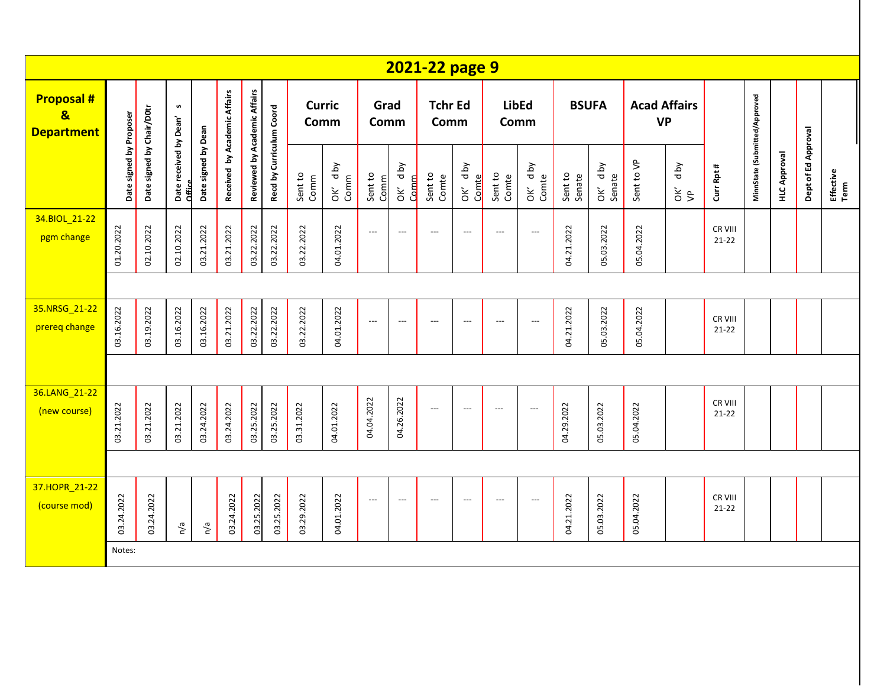|                                                                  |                         |                           |                                  |                     |                              |                              |                          |                       |                 |                          |                          | 2021-22 page 9           |                          |                          |                          |                   |                   |                                  |                                           |                      |                               |                     |                     |                   |
|------------------------------------------------------------------|-------------------------|---------------------------|----------------------------------|---------------------|------------------------------|------------------------------|--------------------------|-----------------------|-----------------|--------------------------|--------------------------|--------------------------|--------------------------|--------------------------|--------------------------|-------------------|-------------------|----------------------------------|-------------------------------------------|----------------------|-------------------------------|---------------------|---------------------|-------------------|
| <b>Proposal#</b><br>$\overline{\mathbf{g}}$<br><b>Department</b> |                         |                           | S                                |                     | Received by Academic Affairs | Reviewed by Academic Affairs |                          | <b>Curric</b><br>Comm |                 | Grad<br>Comm             |                          | <b>Tchr Ed</b><br>Comm   |                          | <b>LibEd</b><br>Comm     |                          |                   | <b>BSUFA</b>      | <b>Acad Affairs</b><br><b>VP</b> |                                           |                      |                               |                     |                     |                   |
|                                                                  | Date signed by Proposer | Date signed by Chair/D0tr | Date received by Dean'<br>Office | Date signed by Dean |                              |                              | Recd by Curriculum Coord | Sent to<br>Comm       | OK' dby<br>Comm | Sent to<br>Comm          | OK' dby<br>Comm          | Sent to<br>Comte         | OK' dby<br>Comte         | Sent to<br>Comte         | OK' dby<br>Comte         | Sent to<br>Senate | OK' dby<br>Senate | Sent to VP                       | yq p<br>$\check{\sigma}$ $\check{\sigma}$ | Curr Rpt #           | MinnState (Submitted/Approved | <b>HLC Approval</b> | Dept of Ed Approval | Effective<br>Term |
| 34.BIOL 21-22<br>pgm change                                      | 01.20.2022              | 02.10.2022                | 02.10.2022                       | 03.21.2022          | 03.21.2022                   | 03.22.2022                   | 03.22.2022               | 03.22.2022            | 04.01.2022      | $\overline{\phantom{a}}$ | $\hspace{0.05cm} \ldots$ | $\hspace{0.05cm} \ldots$ | $\overline{\phantom{a}}$ | $\overline{\phantom{a}}$ | $\overline{\phantom{a}}$ | 04.21.2022        | 05.03.2022        | 05.04.2022                       |                                           | CR VIII<br>$21 - 22$ |                               |                     |                     |                   |
|                                                                  |                         |                           |                                  |                     |                              |                              |                          |                       |                 |                          |                          |                          |                          |                          |                          |                   |                   |                                  |                                           |                      |                               |                     |                     |                   |
| 35.NRSG 21-22<br>prereq change                                   | 03.16.2022              | 03.19.2022                | 03.16.2022                       | 03.16.2022          | 03.21.2022                   | 03.22.2022                   | 03.22.2022               | 03.22.2022            | 04.01.2022      | $\overline{a}$           | $---$                    | $---$                    | $\hspace{0.05cm} \ldots$ | $\overline{\phantom{a}}$ | $---$                    | 04.21.2022        | 05.03.2022        | 05.04.2022                       |                                           | CR VIII<br>$21 - 22$ |                               |                     |                     |                   |
|                                                                  |                         |                           |                                  |                     |                              |                              |                          |                       |                 |                          |                          |                          |                          |                          |                          |                   |                   |                                  |                                           |                      |                               |                     |                     |                   |
| 36.LANG 21-22<br>(new course)                                    | 03.21.2022              | 03.21.2022                | 03.21.2022                       | 03.24.2022          | 03.24.2022                   | 03.25.2022                   | 03.25.2022               | 03.31.2022            | 04.01.2022      | 04.04.2022               | 04.26.2022               | $\hspace{0.05cm} \ldots$ | $\overline{\phantom{a}}$ | ---                      | $\overline{\phantom{a}}$ | 04.29.2022        | 05.03.2022        | 05.04.2022                       |                                           | CR VIII<br>$21 - 22$ |                               |                     |                     |                   |
|                                                                  |                         |                           |                                  |                     |                              |                              |                          |                       |                 |                          |                          |                          |                          |                          |                          |                   |                   |                                  |                                           |                      |                               |                     |                     |                   |
| 37.HOPR_21-22<br>(course mod)                                    | 03.24.2022              | 03.24.2022                | n/a                              | n/a                 | 03.24.2022                   | 03.25.2022                   | 03.25.2022               | 03.29.2022            | 04.01.2022      | $\qquad \qquad - -$      | $\overline{\phantom{a}}$ | $---$                    | $\overline{\phantom{a}}$ | $\overline{\phantom{a}}$ | $---$                    | 04.21.2022        | 05.03.2022        | 05.04.2022                       |                                           | CR VIII<br>$21 - 22$ |                               |                     |                     |                   |
|                                                                  | Notes:                  |                           |                                  |                     |                              |                              |                          |                       |                 |                          |                          |                          |                          |                          |                          |                   |                   |                                  |                                           |                      |                               |                     |                     |                   |
|                                                                  |                         |                           |                                  |                     |                              |                              |                          |                       |                 |                          |                          |                          |                          |                          |                          |                   |                   |                                  |                                           |                      |                               |                     |                     |                   |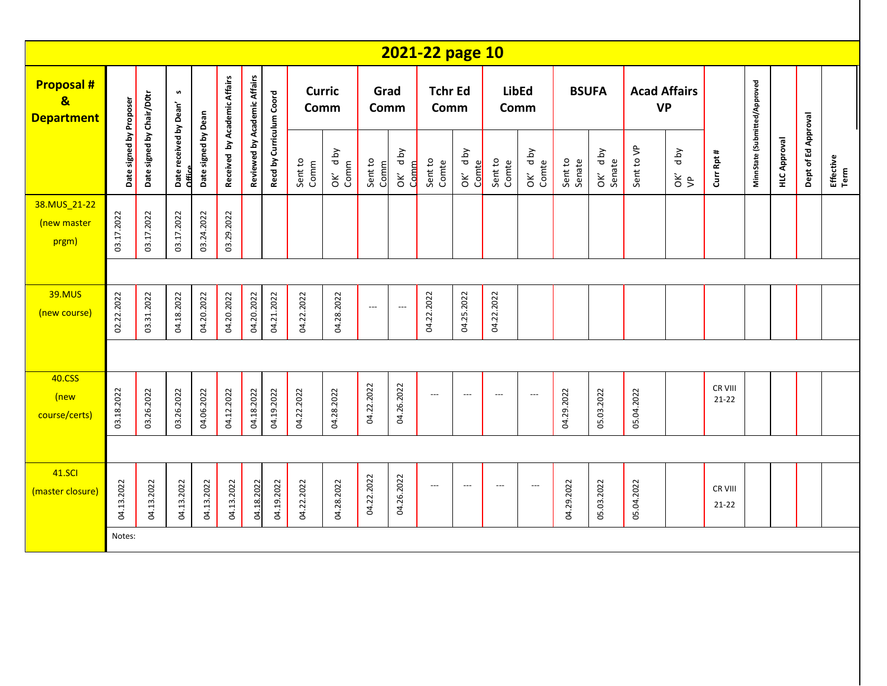|                                                       |                         |                           |                                  |                     |                              |                              |                          |                       |                 |                          |                 | 2021-22 page 10          |                          |                          |                          |                   |                    |                                  |                       |                      |                               |                     |                     |                   |
|-------------------------------------------------------|-------------------------|---------------------------|----------------------------------|---------------------|------------------------------|------------------------------|--------------------------|-----------------------|-----------------|--------------------------|-----------------|--------------------------|--------------------------|--------------------------|--------------------------|-------------------|--------------------|----------------------------------|-----------------------|----------------------|-------------------------------|---------------------|---------------------|-------------------|
| <b>Proposal#</b><br>$\mathbf{g}$<br><b>Department</b> |                         |                           | $\pmb{\mathsf{w}}$               |                     | Received by Academic Affairs | Reviewed by Academic Affairs |                          | <b>Curric</b><br>Comm |                 | Grad<br>Comm             |                 | <b>Tchr Ed</b><br>Comm   |                          | <b>LibEd</b><br>Comm     |                          |                   | <b>BSUFA</b>       | <b>Acad Affairs</b><br><b>VP</b> |                       |                      |                               |                     |                     |                   |
|                                                       | Date signed by Proposer | Date signed by Chair/D0tr | Date received by Dean'<br>Office | Date signed by Dean |                              |                              | Recd by Curriculum Coord | Sent to<br>Comm       | OK' dby<br>Comm | Sent to<br>Comm          | OK' dby<br>Comm | Sent to<br>Comte         | OK' d by<br>Comte        | Sent to<br>Comte         | OK' d by<br>Comte        | Sent to<br>Senate | OK' d by<br>Senate | Sent to VP                       | d by<br>$\frac{2}{5}$ | Curr Rpt #           | MinnState (Submitted/Approved | <b>HLC Approval</b> | Dept of Ed Approval | Effective<br>Term |
| 38.MUS 21-22<br>(new master<br>prgm)                  | 03.17.2022              | 03.17.2022                | 03.17.2022                       | 03.24.2022          | 03.29.2022                   |                              |                          |                       |                 |                          |                 |                          |                          |                          |                          |                   |                    |                                  |                       |                      |                               |                     |                     |                   |
|                                                       |                         |                           |                                  |                     |                              |                              |                          |                       |                 |                          |                 |                          |                          |                          |                          |                   |                    |                                  |                       |                      |                               |                     |                     |                   |
| <b>39.MUS</b><br>(new course)                         | 02.22.2022              | 03.31.2022                | 04.18.2022                       | 04.20.2022          | 04.20.2022                   | 04.20.2022                   | 04.21.2022               | 04.22.2022            | 04.28.2022      | $\hspace{0.05cm} \ldots$ | $---$           | 04.22.2022               | 04.25.2022               | 04.22.2022               |                          |                   |                    |                                  |                       |                      |                               |                     |                     |                   |
|                                                       |                         |                           |                                  |                     |                              |                              |                          |                       |                 |                          |                 |                          |                          |                          |                          |                   |                    |                                  |                       |                      |                               |                     |                     |                   |
| 40.CSS<br>(new<br>course/certs)                       | 03.18.2022              | 03.26.2022                | 03.26.2022                       | 04.06.2022          | 04.12.2022                   | 04.18.2022                   | 04.19.2022               | 04.22.2022            | 04.28.2022      | 04.22.2022               | 04.26.2022      | $\hspace{0.05cm} \ldots$ | $\overline{a}$           | $\hspace{0.05cm} \ldots$ | $\overline{\phantom{a}}$ | 04.29.2022        | 05.03.2022         | 05.04.2022                       |                       | CR VIII<br>$21 - 22$ |                               |                     |                     |                   |
|                                                       |                         |                           |                                  |                     |                              |                              |                          |                       |                 |                          |                 |                          |                          |                          |                          |                   |                    |                                  |                       |                      |                               |                     |                     |                   |
| <b>41.SCI</b><br>(master closure)                     | 04.13.2022              | 04.13.2022                | 04.13.2022                       | 04.13.2022          | 04.13.2022                   | 04.18.2022                   | 04.19.2022               | 04.22.2022            | 04.28.2022      | 04.22.2022               | 04.26.2022      | $\hspace{0.05cm} \ldots$ | $\overline{\phantom{a}}$ | ---                      | $\overline{\phantom{a}}$ | 04.29.2022        | 05.03.2022         | 05.04.2022                       |                       | CR VIII<br>$21 - 22$ |                               |                     |                     |                   |
|                                                       | Notes:                  |                           |                                  |                     |                              |                              |                          |                       |                 |                          |                 |                          |                          |                          |                          |                   |                    |                                  |                       |                      |                               |                     |                     |                   |
|                                                       |                         |                           |                                  |                     |                              |                              |                          |                       |                 |                          |                 |                          |                          |                          |                          |                   |                    |                                  |                       |                      |                               |                     |                     |                   |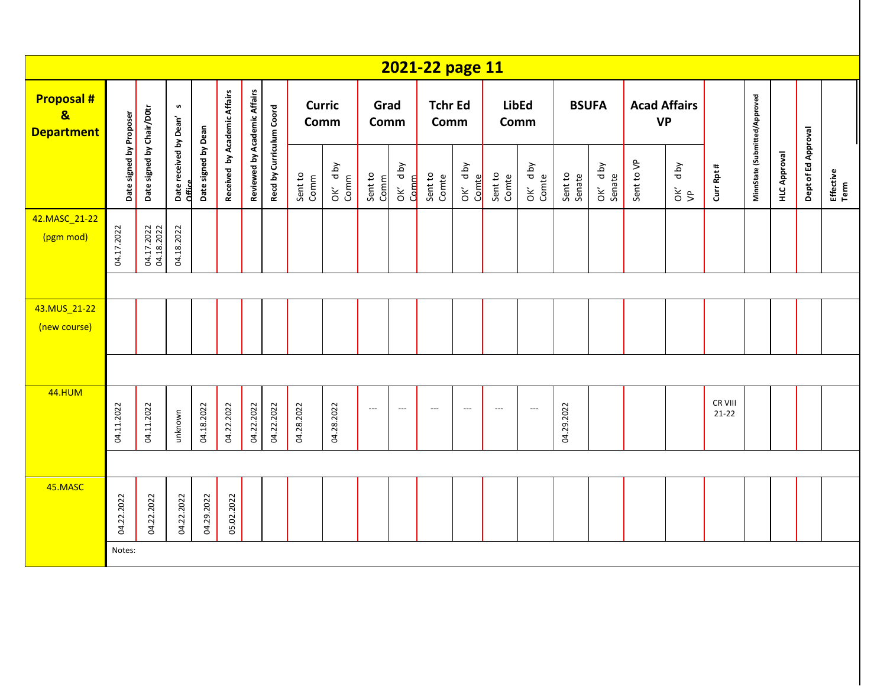|                                                                   |                         |                           |                                  |                     |                              |                              |                          |                       |                 |                 |              | 2021-22 page 11        |                             |                  |                          |                   |                   |                                  |                       |                      |                               |                     |                     |                   |
|-------------------------------------------------------------------|-------------------------|---------------------------|----------------------------------|---------------------|------------------------------|------------------------------|--------------------------|-----------------------|-----------------|-----------------|--------------|------------------------|-----------------------------|------------------|--------------------------|-------------------|-------------------|----------------------------------|-----------------------|----------------------|-------------------------------|---------------------|---------------------|-------------------|
| <b>Proposal #</b><br>$\overline{\mathbf{g}}$<br><b>Department</b> |                         |                           | $\pmb{\mathsf{w}}$               |                     | Received by Academic Affairs | Reviewed by Academic Affairs |                          | <b>Curric</b><br>Comm |                 | Grad<br>Comm    |              | <b>Tchr Ed</b><br>Comm |                             |                  | <b>LibEd</b><br>Comm     | <b>BSUFA</b>      |                   | <b>Acad Affairs</b><br><b>VP</b> |                       |                      |                               |                     |                     |                   |
|                                                                   | Date signed by Proposer | Date signed by Chair/D0tr | Date received by Dean'<br>Office | Date signed by Dean |                              |                              | Recd by Curriculum Coord | Sent to<br>Comm       | OK' dby<br>Comm | Sent to<br>Comm | d by<br>OK'd | Sent to<br>Comte       | <b>Aq</b> p<br>Comte<br>OK' | Sent to<br>Comte | OK' dby<br>Comte         | Sent to<br>Senate | OK' dby<br>Senate | Sent to VP                       | d by<br>$\frac{2}{5}$ | Curr Rpt #           | MinnState (Submitted/Approved | <b>HLC Approval</b> | Dept of Ed Approval | Effective<br>Term |
| 42.MASC_21-22<br>(pgm mod)                                        | 04.17.2022              | 04.17.2022<br>04.18.2022  | 04.18.2022                       |                     |                              |                              |                          |                       |                 |                 |              |                        |                             |                  |                          |                   |                   |                                  |                       |                      |                               |                     |                     |                   |
|                                                                   |                         |                           |                                  |                     |                              |                              |                          |                       |                 |                 |              |                        |                             |                  |                          |                   |                   |                                  |                       |                      |                               |                     |                     |                   |
| 43.MUS_21-22<br>(new course)                                      |                         |                           |                                  |                     |                              |                              |                          |                       |                 |                 |              |                        |                             |                  |                          |                   |                   |                                  |                       |                      |                               |                     |                     |                   |
|                                                                   |                         |                           |                                  |                     |                              |                              |                          |                       |                 |                 |              |                        |                             |                  |                          |                   |                   |                                  |                       |                      |                               |                     |                     |                   |
| <b>44.HUM</b>                                                     | 04.11.2022              | 04.11.2022                | unknown                          | 04.18.2022          | 04.22.2022                   | 04.22.2022                   | 04.22.2022               | 04.28.2022            | 04.28.2022      | $---$           | $---$        | $---$                  | $\overline{\phantom{a}}$    | ---              | $\overline{\phantom{a}}$ | 04.29.2022        |                   |                                  |                       | CR VIII<br>$21 - 22$ |                               |                     |                     |                   |
|                                                                   |                         |                           |                                  |                     |                              |                              |                          |                       |                 |                 |              |                        |                             |                  |                          |                   |                   |                                  |                       |                      |                               |                     |                     |                   |
| 45.MASC                                                           | 04.22.2022              | 04.22.2022                | 04.22.2022                       | 04.29.2022          | 05.02.2022                   |                              |                          |                       |                 |                 |              |                        |                             |                  |                          |                   |                   |                                  |                       |                      |                               |                     |                     |                   |
|                                                                   | Notes:                  |                           |                                  |                     |                              |                              |                          |                       |                 |                 |              |                        |                             |                  |                          |                   |                   |                                  |                       |                      |                               |                     |                     |                   |
|                                                                   |                         |                           |                                  |                     |                              |                              |                          |                       |                 |                 |              |                        |                             |                  |                          |                   |                   |                                  |                       |                      |                               |                     |                     |                   |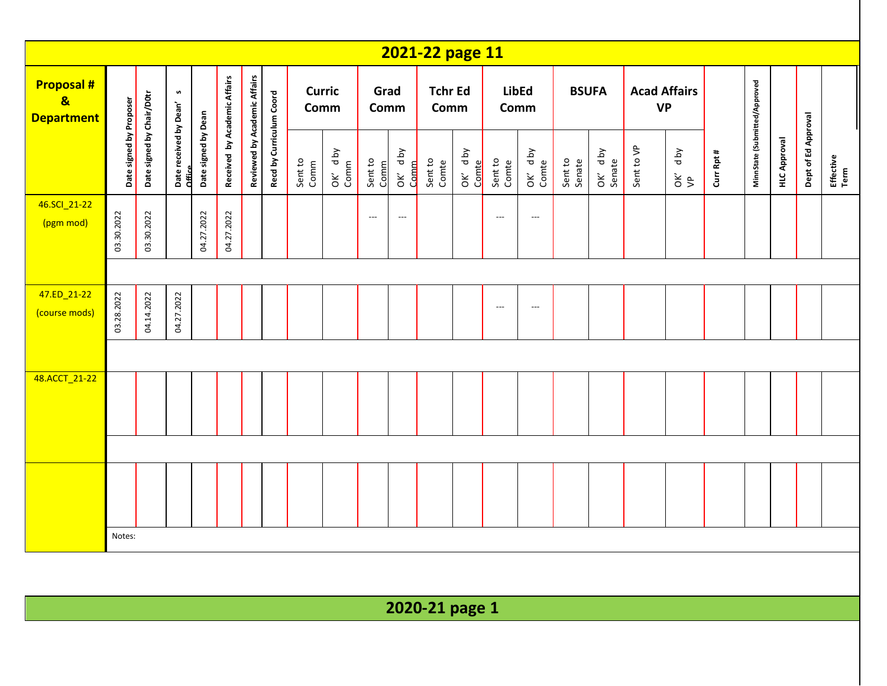|                                                                  |                         |                           |                                  |                     |                              |                              |                          |                       |                 |                          |                          | 2021-22 page 11        |                  |                          |                          |                   |                   |                                  |                     |            |                               |                     |                     |                   |
|------------------------------------------------------------------|-------------------------|---------------------------|----------------------------------|---------------------|------------------------------|------------------------------|--------------------------|-----------------------|-----------------|--------------------------|--------------------------|------------------------|------------------|--------------------------|--------------------------|-------------------|-------------------|----------------------------------|---------------------|------------|-------------------------------|---------------------|---------------------|-------------------|
| <b>Proposal#</b><br>$\overline{\mathbf{g}}$<br><b>Department</b> |                         |                           | S                                |                     |                              |                              |                          | <b>Curric</b><br>Comm |                 | Comm                     | Grad                     | <b>Tchr Ed</b><br>Comm |                  | <b>LibEd</b><br>Comm     |                          | <b>BSUFA</b>      |                   | <b>Acad Affairs</b><br><b>VP</b> |                     |            |                               |                     |                     |                   |
|                                                                  | Date signed by Proposer | Date signed by Chair/D0tr | Date received by Dean'<br>Office | Date signed by Dean | Received by Academic Affairs | Reviewed by Academic Affairs | Recd by Curriculum Coord | Sent to<br>Comm       | OK' dby<br>Comm | Sent to<br>Comm          | OK' dby<br><b>Comm</b>   | Sent to<br>Comte       | OK' dby<br>Comte | Sent to<br>Comte         | OK' d by<br>Comte        | Sent to<br>Senate | OK' dby<br>Senate | Sent to VP                       | Aq p<br>$rac{c}{d}$ | Curr Rpt # | MinnState (Submitted/Approved | <b>HLC Approval</b> | Dept of Ed Approval | Effective<br>Term |
| 46.SCI_21-22<br>(pgm mod)                                        | 03.30.2022              | 03.30.2022                |                                  | 04.27.2022          | 04.27.2022                   |                              |                          |                       |                 | $\hspace{0.05cm} \ldots$ | $\hspace{0.05cm} \ldots$ |                        |                  | $\hspace{0.05cm} \ldots$ | $\hspace{0.05cm} \ldots$ |                   |                   |                                  |                     |            |                               |                     |                     |                   |
|                                                                  |                         |                           |                                  |                     |                              |                              |                          |                       |                 |                          |                          |                        |                  |                          |                          |                   |                   |                                  |                     |            |                               |                     |                     |                   |
| 47.ED_21-22<br>(course mods)                                     | 03.28.2022              | 04.14.2022                | 04.27.2022                       |                     |                              |                              |                          |                       |                 |                          |                          |                        |                  | $\hspace{0.05cm} \ldots$ | $\overline{\phantom{a}}$ |                   |                   |                                  |                     |            |                               |                     |                     |                   |
|                                                                  |                         |                           |                                  |                     |                              |                              |                          |                       |                 |                          |                          |                        |                  |                          |                          |                   |                   |                                  |                     |            |                               |                     |                     |                   |
| 48.ACCT_21-22                                                    |                         |                           |                                  |                     |                              |                              |                          |                       |                 |                          |                          |                        |                  |                          |                          |                   |                   |                                  |                     |            |                               |                     |                     |                   |
|                                                                  |                         |                           |                                  |                     |                              |                              |                          |                       |                 |                          |                          |                        |                  |                          |                          |                   |                   |                                  |                     |            |                               |                     |                     |                   |
|                                                                  |                         |                           |                                  |                     |                              |                              |                          |                       |                 |                          |                          |                        |                  |                          |                          |                   |                   |                                  |                     |            |                               |                     |                     |                   |
|                                                                  | Notes:                  |                           |                                  |                     |                              |                              |                          |                       |                 |                          |                          |                        |                  |                          |                          |                   |                   |                                  |                     |            |                               |                     |                     |                   |
|                                                                  |                         |                           |                                  |                     |                              |                              |                          |                       |                 |                          |                          |                        |                  |                          |                          |                   |                   |                                  |                     |            |                               |                     |                     |                   |
|                                                                  |                         |                           |                                  |                     |                              |                              |                          |                       |                 |                          |                          | 2020-21 page 1         |                  |                          |                          |                   |                   |                                  |                     |            |                               |                     |                     |                   |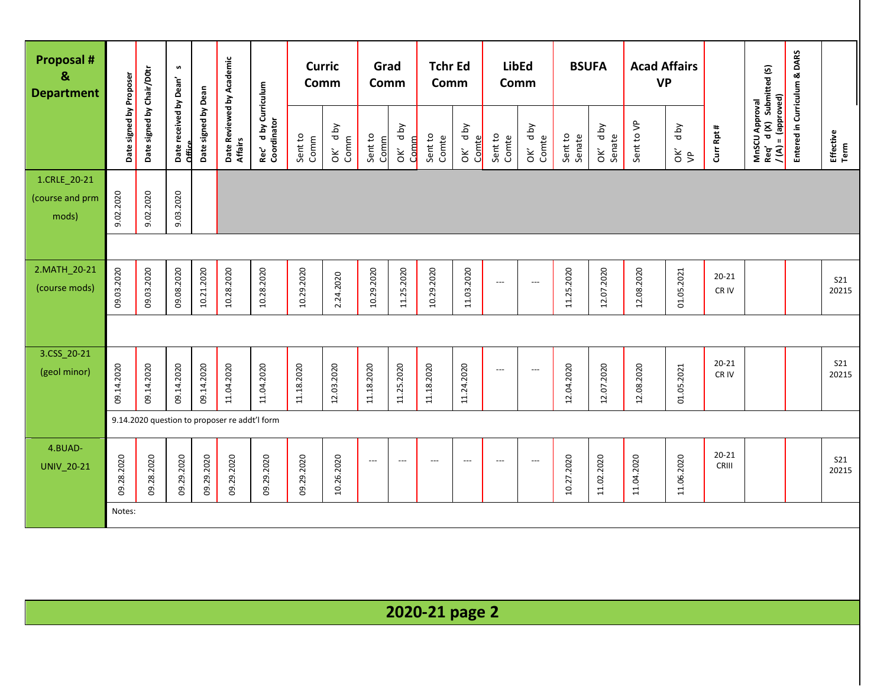| <b>Proposal #</b><br>$\mathbf{g}$<br><b>Department</b> |                         |                           | S                                |                     |                                               |                                    | <b>Curric</b><br>Comm |                    | Grad<br>Comm             |                 | <b>Tchr Ed</b><br>Comm |                          | <b>LibEd</b><br>Comm     |                          | <b>BSUFA</b>      |                   | <b>Acad Affairs</b><br><b>VP</b> |                       |                    |                                                                 | Entered in Curriculum & DARS |                     |
|--------------------------------------------------------|-------------------------|---------------------------|----------------------------------|---------------------|-----------------------------------------------|------------------------------------|-----------------------|--------------------|--------------------------|-----------------|------------------------|--------------------------|--------------------------|--------------------------|-------------------|-------------------|----------------------------------|-----------------------|--------------------|-----------------------------------------------------------------|------------------------------|---------------------|
|                                                        | Date signed by Proposer | Date signed by Chair/D0tr | Date received by Dean'<br>Office | Date signed by Dean | Date Reviewed by Academic<br>Affairs          | Rec′d by Curriculum<br>Coordinator | Sent to<br>Comm       | Aq p<br>Comm<br>ŏК | Sent to<br>Comm          | OK' dby<br>Comm | Sent to<br>Comte       | OK' dby<br>Comte         | Sent to<br>Comte         | OK' dby<br>Comte         | Sent to<br>Senate | OK' dby<br>Senate | Sent to VP                       | d by<br>$\frac{2}{5}$ | Curr Rpt #         | MnSCU Approval<br>Req′ d (X) Submitted (S)<br>/(A) = (approved) |                              | Effective<br>Term   |
| 1.CRLE_20-21<br>(course and prm<br>mods)               | 9.02.2020               | 9.02.2020                 | 9.03.2020                        |                     |                                               |                                    |                       |                    |                          |                 |                        |                          |                          |                          |                   |                   |                                  |                       |                    |                                                                 |                              |                     |
|                                                        |                         |                           |                                  |                     |                                               |                                    |                       |                    |                          |                 |                        |                          |                          |                          |                   |                   |                                  |                       |                    |                                                                 |                              |                     |
| 2.MATH_20-21<br>(course mods)                          | 09.03.2020              | 09.03.2020                | 09.08.2020                       | 10.21.2020          | 10.28.2020                                    | 10.28.2020                         | 10.29.2020            | 2.24.2020          | 10.29.2020               | 11.25.2020      | 10.29.2020             | 11.03.2020               | $\hspace{0.05cm} \ldots$ | ---                      | 11.25.2020        | 12.07.2020        | 12.08.2020                       | 01.05.2021            | $20 - 21$<br>CR IV |                                                                 |                              | <b>S21</b><br>20215 |
|                                                        |                         |                           |                                  |                     |                                               |                                    |                       |                    |                          |                 |                        |                          |                          |                          |                   |                   |                                  |                       |                    |                                                                 |                              |                     |
| 3.CSS_20-21<br>(geol minor)                            | 09.14.2020              | 09.14.2020                | 09.14.2020                       | 09.14.2020          | 11.04.2020                                    | 11.04.2020                         | 11.18.2020            | 12.03.2020         | 11.18.2020               | 11.25.2020      | 11.18.2020             | 11.24.2020               | ---                      | ---                      | 12.04.2020        | 12.07.2020        | 12.08.2020                       | 01.05.2021            | $20 - 21$<br>CR IV |                                                                 |                              | <b>S21</b><br>20215 |
|                                                        |                         |                           |                                  |                     | 9.14.2020 question to proposer re addt'l form |                                    |                       |                    |                          |                 |                        |                          |                          |                          |                   |                   |                                  |                       |                    |                                                                 |                              |                     |
| 4.BUAD-<br>UNIV_20-21                                  | 09.28.2020              | 09.28.2020                | 09.29.2020                       | 09.29.2020          | 09.29.2020                                    | 09.29.2020                         | 09.29.2020            | 10.26.2020         | $\hspace{0.05cm} \ldots$ | $---$           | $---$                  | $\overline{\phantom{a}}$ | $\hspace{0.05cm} \ldots$ | $\overline{\phantom{a}}$ | 10.27.2020        | 11.02.2020        | 11.04.2020                       | 11.06.2020            | $20 - 21$<br>CRIII |                                                                 |                              | S21<br>20215        |
|                                                        | Notes:                  |                           |                                  |                     |                                               |                                    |                       |                    |                          |                 |                        |                          |                          |                          |                   |                   |                                  |                       |                    |                                                                 |                              |                     |
|                                                        |                         |                           |                                  |                     |                                               |                                    |                       |                    |                          |                 |                        |                          |                          |                          |                   |                   |                                  |                       |                    |                                                                 |                              |                     |
|                                                        |                         |                           |                                  |                     |                                               |                                    |                       |                    |                          |                 | 2020-21 page 2         |                          |                          |                          |                   |                   |                                  |                       |                    |                                                                 |                              |                     |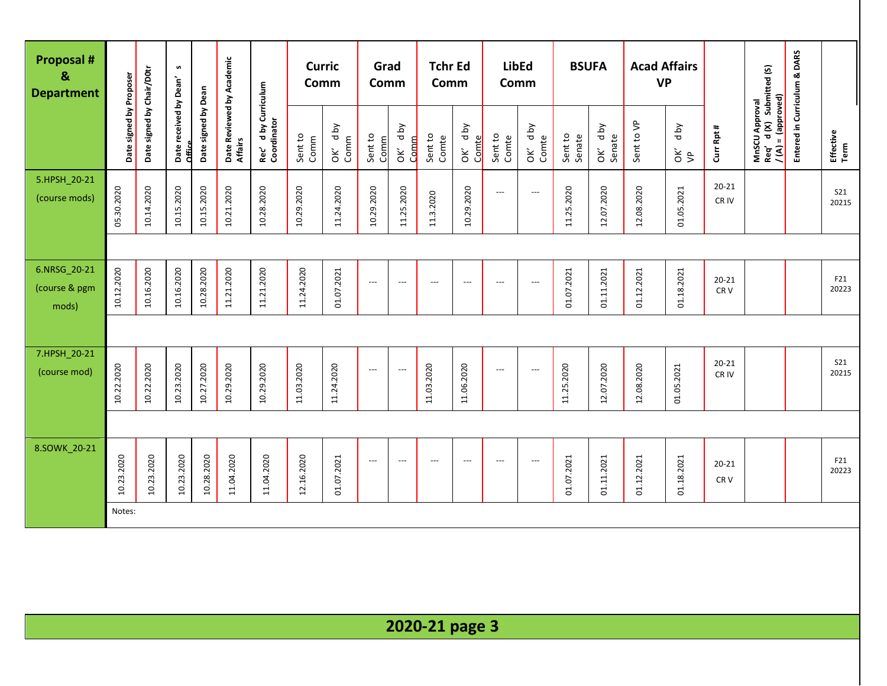| <b>Proposal #</b><br>&<br><b>Department</b> |                         |                           | S                                |                     |                                      |                                     | <b>Curric</b><br>Comm |                                      | Grad<br>Comm             |                          | <b>Tchr Ed</b><br>Comm   |                          | <b>LibEd</b><br>Comm     |                  | <b>BSUFA</b>      |                   | <b>Acad Affairs</b><br><b>VP</b> |                       |                              |                                                                   | Entered in Curriculum & DARS |                     |
|---------------------------------------------|-------------------------|---------------------------|----------------------------------|---------------------|--------------------------------------|-------------------------------------|-----------------------|--------------------------------------|--------------------------|--------------------------|--------------------------|--------------------------|--------------------------|------------------|-------------------|-------------------|----------------------------------|-----------------------|------------------------------|-------------------------------------------------------------------|------------------------------|---------------------|
|                                             | Date signed by Proposer | Date signed by Chair/D0tr | Date received by Dean'<br>Office | Date signed by Dean | Date Reviewed by Academic<br>Affairs | Rec' d by Curriculum<br>Coordinator | Sent to<br>Comm       | d by<br>Comm<br>$\mathsf{\check{g}}$ | Sent to<br>Comm          | OK' dby<br>Comm          | Sent to<br>Comte         | OK' dby<br>Comte         | Sent to<br>Comte         | OK' dby<br>Comte | Sent to<br>Senate | OK' dby<br>Senate | Sent to VP                       | Yq p<br>$\frac{2}{5}$ | Curr Rpt #                   | MnSCU Approval<br>Req' d (X) Submitted (S)<br>$/(A) = (approved)$ |                              | Effective<br>Term   |
| 5.HPSH_20-21<br>(course mods)               | 05.30.2020              | 10.14.2020                | 10.15.2020                       | 10.15.2020          | 10.21.2020                           | 10.28.2020                          | 10.29.2020            | 11.24.2020                           | 10.29.2020               | 11.25.2020               | 11.3.2020                | 10.29.2020               | $\qquad \qquad - -$      | $---$            | 11.25.2020        | 12.07.2020        | 12.08.2020                       | 01.05.2021            | $20 - 21$<br>CR IV           |                                                                   |                              | S21<br>20215        |
|                                             |                         |                           |                                  |                     |                                      |                                     |                       |                                      |                          |                          |                          |                          |                          |                  |                   |                   |                                  |                       |                              |                                                                   |                              |                     |
| 6.NRSG_20-21<br>(course & pgm<br>mods)      | 10.12.2020              | 10.16.2020                | 10.16.2020                       | 10.28.2020          | 11.21.2020                           | 11.21.2020                          | 11.24.2020            | 01.07.2021                           | $\hspace{0.05cm} \ldots$ | $\overline{\phantom{a}}$ | $\overline{\phantom{a}}$ | $\overline{\phantom{a}}$ | $\overline{\phantom{a}}$ | $---$            | 01.07.2021        | 01.11.2021        | 01.12.2021                       | 01.18.2021            | $20 - 21$<br>CR <sub>V</sub> |                                                                   |                              | F21<br>20223        |
|                                             |                         |                           |                                  |                     |                                      |                                     |                       |                                      |                          |                          |                          |                          |                          |                  |                   |                   |                                  |                       |                              |                                                                   |                              |                     |
| 7.HPSH 20-21<br>(course mod)                | 10.22.2020              | 10.22.2020                | 10.23.2020                       | 10.27.2020          | 10.29.2020                           | 10.29.2020                          | 11.03.2020            | 11.24.2020                           | $---$                    | $---$                    | 11.03.2020               | 11.06.2020               | $\overline{\phantom{a}}$ | ---              | 11.25.2020        | 12.07.2020        | 12.08.2020                       | 01.05.2021            | $20 - 21$<br>CR IV           |                                                                   |                              | <b>S21</b><br>20215 |
|                                             |                         |                           |                                  |                     |                                      |                                     |                       |                                      |                          |                          |                          |                          |                          |                  |                   |                   |                                  |                       |                              |                                                                   |                              |                     |
| 8.SOWK_20-21                                | 10.23.2020              | 10.23.2020                | 10.23.2020                       | 10.28.2020          | 11.04.2020                           | 11.04.2020                          | 12.16.2020            | 01.07.2021                           | $---$                    | $---$                    | $\overline{\phantom{a}}$ | $\overline{\phantom{a}}$ | $\overline{\phantom{a}}$ | ---              | 01.07.2021        | 01.11.2021        | 01.12.2021                       | 01.18.2021            | $20 - 21$<br>CR <sub>V</sub> |                                                                   |                              | F21<br>20223        |
|                                             | Notes:                  |                           |                                  |                     |                                      |                                     |                       |                                      |                          |                          |                          |                          |                          |                  |                   |                   |                                  |                       |                              |                                                                   |                              |                     |
|                                             |                         |                           |                                  |                     |                                      |                                     |                       |                                      |                          |                          |                          |                          |                          |                  |                   |                   |                                  |                       |                              |                                                                   |                              |                     |

**2020-21 page 3**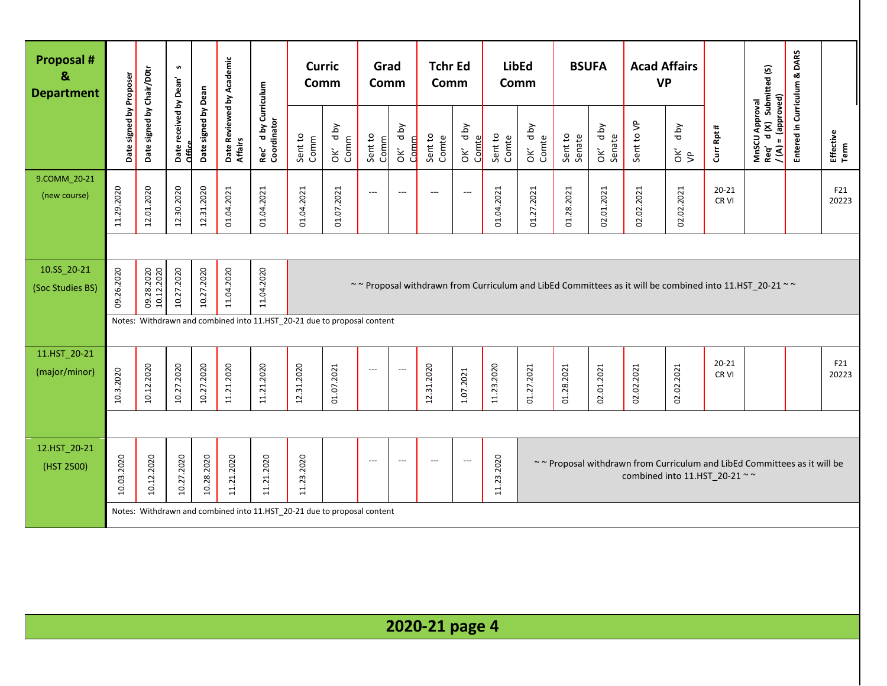| <b>Proposal #</b><br>&<br><b>Department</b> |                         |                           | S                                |                     |                                      |                                                                         | <b>Curric</b><br>Comm |                    | Grad<br>Comm             |                          | <b>Tchr Ed</b><br>Comm |                          |                  | <b>LibEd</b><br>Comm | <b>BSUFA</b>      |                      | <b>Acad Affairs</b><br><b>VP</b> |             |                    |                                                                                                        | Entered in Curriculum & DARS |                   |
|---------------------------------------------|-------------------------|---------------------------|----------------------------------|---------------------|--------------------------------------|-------------------------------------------------------------------------|-----------------------|--------------------|--------------------------|--------------------------|------------------------|--------------------------|------------------|----------------------|-------------------|----------------------|----------------------------------|-------------|--------------------|--------------------------------------------------------------------------------------------------------|------------------------------|-------------------|
|                                             | Date signed by Proposer | Date signed by Chair/D0tr | Date received by Dean'<br>Office | Date signed by Dean | Date Reviewed by Academic<br>Affairs | d by Curriculum<br>Rec' d by Cu<br>Coordinator                          | Sent to<br>Comm       | d by<br>Comm<br>ÒК | Sent to<br>Comm          | d by<br>Comm<br>òΚ       | Sent to<br>Comte       | OK' dby<br>Comte         | Sent to<br>Comte | OK' dby<br>Comte     | Sent to<br>Senate | d by<br>Senate<br>ÒК | Sent to VP                       | Yq p<br>š\$ | Curr Rpt #         | MnSCU Approval<br>Req'   d (X)   Submitted (S)<br>Req'd (X) Submi<br>/ (A) = (approved)                |                              | Effective<br>Term |
| 9.COMM_20-21<br>(new course)                | 11.29.2020              | 12.01.2020                | 12.30.2020                       | 12.31.2020          | 01.04.2021                           | 01.04.2021                                                              | 01.04.2021            | 01.07.2021         | $\overline{\phantom{a}}$ | $\overline{\phantom{a}}$ | ---                    | $\overline{\phantom{a}}$ | 01.04.2021       | 01.27.2021           | 01.28.2021        | 02.01.2021           | 02.02.2021                       | 02.02.2021  | $20 - 21$<br>CR VI |                                                                                                        |                              | F21<br>20223      |
|                                             |                         |                           |                                  |                     |                                      |                                                                         |                       |                    |                          |                          |                        |                          |                  |                      |                   |                      |                                  |             |                    |                                                                                                        |                              |                   |
| 10.SS_20-21<br>(Soc Studies BS)             | 09.26.2020              | 09.28.2020<br>10.12.2020  | 10.27.2020                       | 10.27.2020          | 11.04.2020                           | 11.04.2020                                                              |                       |                    |                          |                          |                        |                          |                  |                      |                   |                      |                                  |             |                    | ~~ Proposal withdrawn from Curriculum and LibEd Committees as it will be combined into 11.HST 20-21 ~~ |                              |                   |
|                                             |                         |                           |                                  |                     |                                      | Notes: Withdrawn and combined into 11.HST_20-21 due to proposal content |                       |                    |                          |                          |                        |                          |                  |                      |                   |                      |                                  |             |                    |                                                                                                        |                              |                   |
| 11.HST_20-21                                |                         |                           |                                  |                     |                                      |                                                                         |                       |                    |                          |                          |                        |                          |                  |                      |                   |                      |                                  |             |                    |                                                                                                        |                              |                   |
| (major/minor)                               | 10.3.2020               | 10.12.2020                | 10.27.2020                       | 10.27.2020          | 11.21.2020                           | 11.21.2020                                                              | 12.31.2020            | 01.07.2021         | $\overline{\phantom{a}}$ | $---$                    | 12.31.2020             | 1.07.2021                | 11.23.2020       | 01.27.2021           | 01.28.2021        | 02.01.2021           | 02.02.2021                       | 02.02.2021  | $20 - 21$<br>CR VI |                                                                                                        |                              | F21<br>20223      |
|                                             |                         |                           |                                  |                     |                                      |                                                                         |                       |                    |                          |                          |                        |                          |                  |                      |                   |                      |                                  |             |                    |                                                                                                        |                              |                   |
| 12.HST_20-21<br>(HST 2500)                  | 10.03.2020              | 10.12.2020                | 10.27.2020                       | 10.28.2020          | 11.21.2020                           | 11.21.2020                                                              | 11.23.2020            |                    | $---$                    | $---$                    | ---                    | $\overline{\phantom{a}}$ | 11.23.2020       |                      |                   |                      | combined into 11.HST 20-21 ~~    |             |                    | ~~ Proposal withdrawn from Curriculum and LibEd Committees as it will be                               |                              |                   |
|                                             |                         |                           |                                  |                     |                                      | Notes: Withdrawn and combined into 11.HST_20-21 due to proposal content |                       |                    |                          |                          |                        |                          |                  |                      |                   |                      |                                  |             |                    |                                                                                                        |                              |                   |
|                                             |                         |                           |                                  |                     |                                      |                                                                         |                       |                    |                          |                          |                        |                          |                  |                      |                   |                      |                                  |             |                    |                                                                                                        |                              |                   |
|                                             |                         |                           |                                  |                     |                                      |                                                                         |                       |                    |                          |                          | 2020-21 page 4         |                          |                  |                      |                   |                      |                                  |             |                    |                                                                                                        |                              |                   |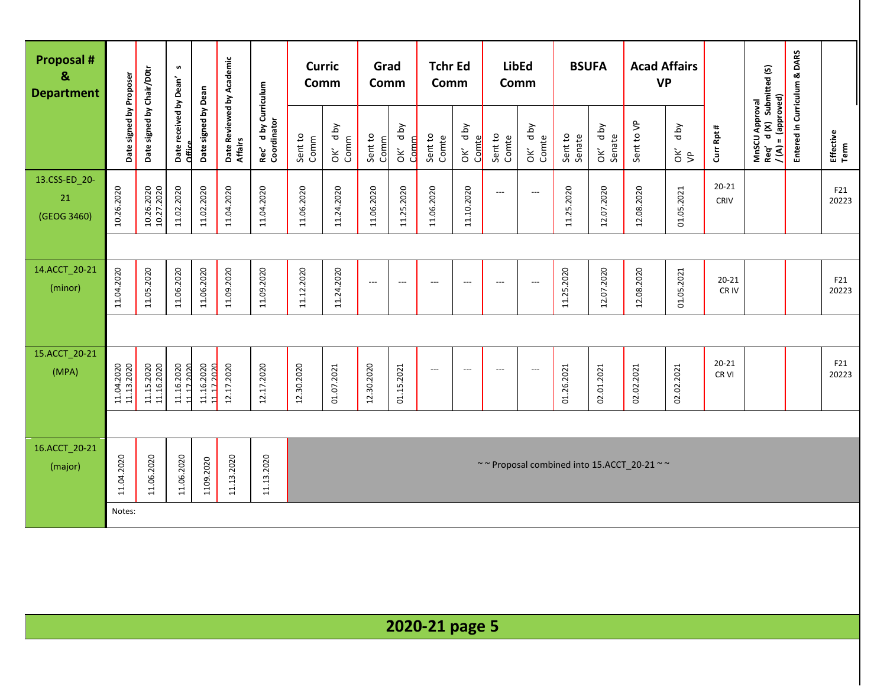| <b>Proposal #</b><br>&<br><b>Department</b> |                          |                           | S                                |                          |                                      |                                     | <b>Curric</b><br>Comm |                    | Grad<br>Comm             |                    | <b>Tchr Ed</b><br>Comm   |                          | <b>LibEd</b><br>Comm     |                          | <b>BSUFA</b>      |                            |                                                                  | <b>Acad Affairs</b><br><b>VP</b> |                    |                                                                 | Entered in Curriculum & DARS |                   |
|---------------------------------------------|--------------------------|---------------------------|----------------------------------|--------------------------|--------------------------------------|-------------------------------------|-----------------------|--------------------|--------------------------|--------------------|--------------------------|--------------------------|--------------------------|--------------------------|-------------------|----------------------------|------------------------------------------------------------------|----------------------------------|--------------------|-----------------------------------------------------------------|------------------------------|-------------------|
|                                             | Date signed by Proposer  | Date signed by Chair/D0tr | Date received by Dean'<br>Office | Date signed by Dean      | Date Reviewed by Academic<br>Affairs | Rec' d by Curriculum<br>Coordinator | Sent to<br>Comm       | d by<br>Comm<br>òΚ | Sent to<br>Comm          | d by<br>Comm<br>òΚ | Sent to<br>Comte         | d by<br>Comte<br>ОK      | Sent to<br>Comte         | OK' dby<br>Comte         | Sent to<br>Senate | d by<br>OK' d <sub>t</sub> | Sent to VP                                                       | <b>Aq</b> p<br>š\$               | Curr Rpt #         | MnSCU Approval<br>Req′ d (X) Submitted (S)<br>/(A) = (approved) |                              | Effective<br>Term |
| 13.CSS-ED_20-<br>21<br>(GEOG 3460)          | 10.26.2020               | 10.26.2020<br>10.27.2020  | 11.02.2020                       | 11.02.2020               | 11.04.2020                           | 11.04.2020                          | 11.06.2020            | 11.24.2020         | 11.06.2020               | 11.25.2020         | 11.06.2020               | 11.10.2020               | ---                      | $\hspace{0.05cm} \ldots$ | 11.25.2020        | 12.07.2020                 | 12.08.2020                                                       | 01.05.2021                       | $20 - 21$<br>CRIV  |                                                                 |                              | F21<br>20223      |
|                                             |                          |                           |                                  |                          |                                      |                                     |                       |                    |                          |                    |                          |                          |                          |                          |                   |                            |                                                                  |                                  |                    |                                                                 |                              |                   |
| 14.ACCT_20-21<br>(minor)                    | 11.04.2020               | 11.05.2020                | 11.06.2020                       | 11.06.2020               | 11.09.2020                           | 11.09.2020                          | 11.12.2020            | 11.24.2020         | $\hspace{0.05cm} \ldots$ | $\qquad \qquad -$  | $---$                    | $---$                    | $\overline{\phantom{a}}$ | $---$                    | 11.25.2020        | 12.07.2020                 | 12.08.2020                                                       | 01.05.2021                       | $20 - 21$<br>CR IV |                                                                 |                              | F21<br>20223      |
|                                             |                          |                           |                                  |                          |                                      |                                     |                       |                    |                          |                    |                          |                          |                          |                          |                   |                            |                                                                  |                                  |                    |                                                                 |                              |                   |
| 15.ACCT_20-21<br>(MPA)                      | 11.04.2020<br>11.13.2020 | 11.15.2020<br>11.16.2020  | 11.16.2020<br>11172020           | 11.16.2020<br>11.17.2020 | 12.17.2020                           | 12.17.2020                          | 12.30.2020            | 01.07.2021         | 12.30.2020               | 01.15.2021         | $\hspace{0.05cm} \ldots$ | $\overline{\phantom{a}}$ | $---$                    | $\hspace{0.05cm} \cdots$ | 01.26.2021        | 02.01.2021                 | 02.02.2021                                                       | 02.02.2021                       | $20 - 21$<br>CR VI |                                                                 |                              | F21<br>20223      |
|                                             |                          |                           |                                  |                          |                                      |                                     |                       |                    |                          |                    |                          |                          |                          |                          |                   |                            |                                                                  |                                  |                    |                                                                 |                              |                   |
| 16.ACCT_20-21<br>(major)                    | 11.04.2020               | 11.06.2020                | 11.06.2020                       | 1109.2020                | 11.13.2020                           | 11.13.2020                          |                       |                    |                          |                    |                          |                          |                          |                          |                   |                            | $\sim$ $\sim$ Proposal combined into 15.ACCT_20-21 $\sim$ $\sim$ |                                  |                    |                                                                 |                              |                   |
|                                             | Notes:                   |                           |                                  |                          |                                      |                                     |                       |                    |                          |                    |                          |                          |                          |                          |                   |                            |                                                                  |                                  |                    |                                                                 |                              |                   |
|                                             |                          |                           |                                  |                          |                                      |                                     |                       |                    |                          |                    |                          |                          |                          |                          |                   |                            |                                                                  |                                  |                    |                                                                 |                              |                   |
|                                             |                          |                           |                                  |                          |                                      |                                     |                       |                    |                          |                    | 2020-21 page 5           |                          |                          |                          |                   |                            |                                                                  |                                  |                    |                                                                 |                              |                   |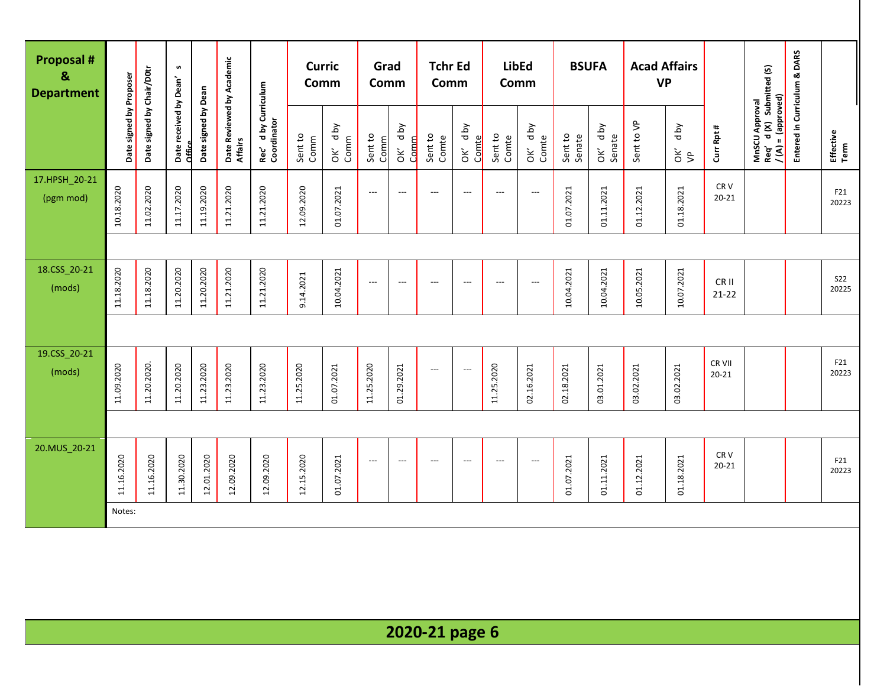| <b>Proposal #</b><br>&<br><b>Department</b> |                         |                           | S                                |                     |                                      |                                     | <b>Curric</b><br>Comm |                                             | Grad<br>Comm             |                           | <b>Tchr Ed</b><br>Comm   |                          | <b>LibEd</b><br>Comm |                            | <b>BSUFA</b>      |                       | <b>Acad Affairs</b><br><b>VP</b> |                       |                              |                                                                   | Entered in Curriculum & DARS |                     |
|---------------------------------------------|-------------------------|---------------------------|----------------------------------|---------------------|--------------------------------------|-------------------------------------|-----------------------|---------------------------------------------|--------------------------|---------------------------|--------------------------|--------------------------|----------------------|----------------------------|-------------------|-----------------------|----------------------------------|-----------------------|------------------------------|-------------------------------------------------------------------|------------------------------|---------------------|
|                                             | Date signed by Proposer | Date signed by Chair/D0tr | Date received by Dean'<br>Office | Date signed by Dean | Date Reviewed by Academic<br>Affairs | Rec' d by Curriculum<br>Coordinator | Sent to<br>Comm       | <b>Aq</b> p<br>Comm<br>$\mathsf{\check{g}}$ | Sent to<br>Comm          | <b>Aq</b> p<br>Comm<br>ОK | Sent to<br>Comte         | d by<br>Comte<br>òΚ      | Sent to<br>Comte     | d by<br>OK' d <sub>t</sub> | Sent to<br>Senate | yq p<br>Senate<br>OK' | Sent to VP                       | d by<br>$\frac{2}{5}$ | Curr Rpt #                   | MnSCU Approval<br>Req' d (X) Submitted (S)<br>$/(A) = (approved)$ |                              | Effective<br>Term   |
| 17.HPSH_20-21<br>(pgm mod)                  | 10.18.2020              | 11.02.2020                | 11.17.2020                       | 11.19.2020          | 11.21.2020                           | 11.21.2020                          | 12.09.2020            | 01.07.2021                                  | $\hspace{0.05cm} \ldots$ | $---$                     | $\overline{a}$           | $---$                    | $---$                | $\overline{\phantom{a}}$   | 01.07.2021        | 01.11.2021            | 01.12.2021                       | 01.18.2021            | CR <sub>V</sub><br>$20 - 21$ |                                                                   |                              | F21<br>20223        |
|                                             |                         |                           |                                  |                     |                                      |                                     |                       |                                             |                          |                           |                          |                          |                      |                            |                   |                       |                                  |                       |                              |                                                                   |                              |                     |
| 18.CSS_20-21<br>(mods)                      | 11.18.2020              | 11.18.2020                | 11.20.2020                       | 11.20.2020          | 11.21.2020                           | 11.21.2020                          | 9.14.2021             | 10.04.2021                                  | $\hspace{0.05cm} \ldots$ | $---$                     | $---$                    | $---$                    | ---                  | $\overline{\phantom{a}}$   | 10.04.2021        | 10.04.2021            | 10.05.2021                       | 10.07.2021            | CR II<br>$21 - 22$           |                                                                   |                              | <b>S22</b><br>20225 |
|                                             |                         |                           |                                  |                     |                                      |                                     |                       |                                             |                          |                           |                          |                          |                      |                            |                   |                       |                                  |                       |                              |                                                                   |                              |                     |
| 19.CSS_20-21<br>(mods)                      | 11.09.2020              | 11.20.2020.               | 11.20.2020                       | 11.23.2020          | 11.23.2020                           | 11.23.2020                          | 11.25.2020            | 01.07.2021                                  | 11.25.2020               | 01.29.2021                | $---$                    | $---$                    | 11.25.2020           | 02.16.2021                 | 02.18.2021        | 03.01.2021            | 03.02.2021                       | 03.02.2021            | CR VII<br>$20 - 21$          |                                                                   |                              | F21<br>20223        |
|                                             |                         |                           |                                  |                     |                                      |                                     |                       |                                             |                          |                           |                          |                          |                      |                            |                   |                       |                                  |                       |                              |                                                                   |                              |                     |
| 20.MUS_20-21                                | 11.16.2020              | 11.16.2020                | 11.30.2020                       | 12.01.2020          | 12.09.2020                           | 12.09.2020                          | 12.15.2020            | 01.07.2021                                  | $\hspace{0.05cm} \ldots$ | $---$                     | $\overline{\phantom{a}}$ | $\overline{\phantom{a}}$ | $---$                | $---$                      | 01.07.2021        | 01.11.2021            | 01.12.2021                       | 01.18.2021            | CR <sub>V</sub><br>$20 - 21$ |                                                                   |                              | F21<br>20223        |
|                                             | Notes:                  |                           |                                  |                     |                                      |                                     |                       |                                             |                          |                           |                          |                          |                      |                            |                   |                       |                                  |                       |                              |                                                                   |                              |                     |
|                                             |                         |                           |                                  |                     |                                      |                                     |                       |                                             |                          |                           |                          |                          |                      |                            |                   |                       |                                  |                       |                              |                                                                   |                              |                     |

**2020-21 page 6**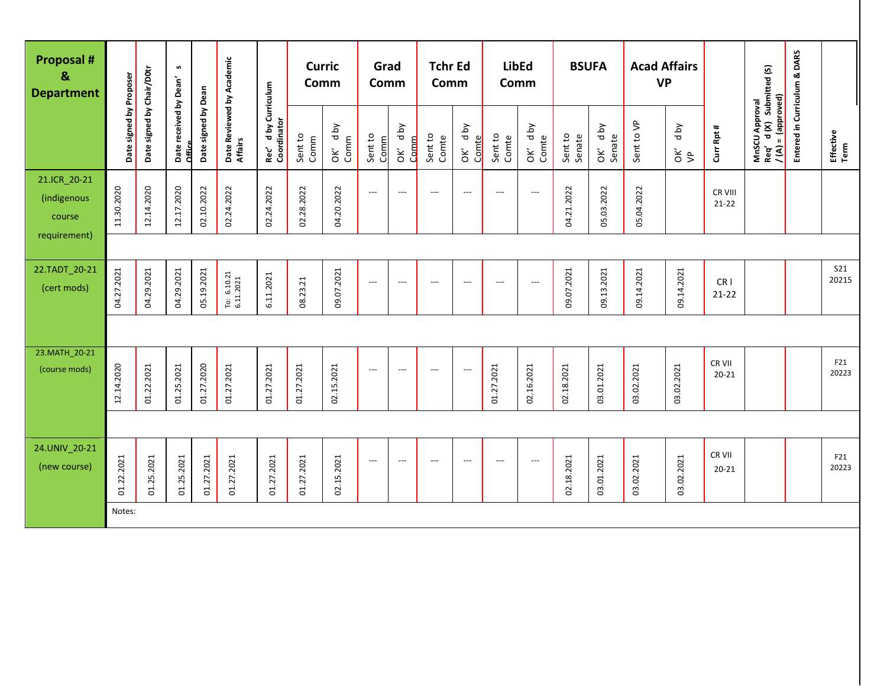| <b>Proposal #</b><br>&<br><b>Department</b> |                         |                           | s                                |                     |                                                                 |                                        | <b>Curric</b><br>Comm |                    | Grad<br>Comm             |                 | <b>Tchr Ed</b><br>Comm   |                          | Comm                     | <b>LibEd</b>             | <b>BSUFA</b>      |                   | <b>Acad Affairs</b><br><b>VP</b> |            |                              |                                                                 | Entered in Curriculum & DARS |                     |
|---------------------------------------------|-------------------------|---------------------------|----------------------------------|---------------------|-----------------------------------------------------------------|----------------------------------------|-----------------------|--------------------|--------------------------|-----------------|--------------------------|--------------------------|--------------------------|--------------------------|-------------------|-------------------|----------------------------------|------------|------------------------------|-----------------------------------------------------------------|------------------------------|---------------------|
|                                             | Date signed by Proposer | Date signed by Chair/D0tr | Date received by Dean'<br>Office | Date signed by Dean | Date Reviewed by Academic<br>Affairs                            | d by Curriculum<br>Coordinator<br>Rec' | Sent to<br>Comm       | Yq p<br>Comm<br>ÒК | Sent to<br>Comm          | OK' dby<br>Comm | Sent to<br>Comte         | OK' dby<br>Comte         | Sent to<br>Comte         | OK' dby<br>Comte         | Sent to<br>Senate | OK' dby<br>Senate | Sent to VP                       | Yq p<br>Šβ | Curr Rpt #                   | MnSCU Approval<br>Req' d (X) Submitted (S)<br>/(A) = (approved) |                              | Effective<br>Term   |
| 21.ICR 20-21<br>(indigenous<br>course       | 11.30.2020              | 12.14.2020                | 12.17.2020                       | 02.10.2022          | 02.24.2022                                                      | 02.24.2022                             | 02.28.2022            | 04.20.2022         | $\overline{\phantom{a}}$ | $---$           | $\overline{\phantom{a}}$ | $\overline{\phantom{a}}$ | $\hspace{0.05cm} \ldots$ | $\hspace{0.05cm} \ldots$ | 04.21.2022        | 05.03.2022        | 05.04.2022                       |            | CR VIII<br>$21 - 22$         |                                                                 |                              |                     |
| requirement)                                |                         |                           |                                  |                     |                                                                 |                                        |                       |                    |                          |                 |                          |                          |                          |                          |                   |                   |                                  |            |                              |                                                                 |                              |                     |
| 22.TADT 20-21<br>(cert mods)                | 04.27.2021              | 04.29.2021                | 04.29.2021                       | 05.19.2021          | $\begin{array}{c} \text{To: } 6.10.21 \\ 6.11.2021 \end{array}$ | 6.11.2021                              | 08.23.21              | 09.07.2021         | ---                      | $---$           | $\overline{\phantom{a}}$ | $\overline{a}$           | $---$                    | ---                      | 09.07.2021        | 09.13.2021        | 09.14.2021                       | 09.14.2021 | CR <sub>1</sub><br>$21 - 22$ |                                                                 |                              | <b>S21</b><br>20215 |
|                                             |                         |                           |                                  |                     |                                                                 |                                        |                       |                    |                          |                 |                          |                          |                          |                          |                   |                   |                                  |            |                              |                                                                 |                              |                     |
| 23.MATH_20-21<br>(course mods)              | 12.14.2020              | 01.22.2021                | 01.25.2021                       | 01.27.2020          | 01.27.2021                                                      | 01.27.2021                             | 01.27.2021            | 02.15.2021         | $\overline{\phantom{a}}$ | ---             | $\overline{\phantom{a}}$ | $\overline{\phantom{a}}$ | 01.27.2021               | 02.16.2021               | 02.18.2021        | 03.01.2021        | 03.02.2021                       | 03.02.2021 | CR VII<br>$20 - 21$          |                                                                 |                              | F21<br>20223        |
|                                             |                         |                           |                                  |                     |                                                                 |                                        |                       |                    |                          |                 |                          |                          |                          |                          |                   |                   |                                  |            |                              |                                                                 |                              |                     |
| 24.UNIV_20-21<br>(new course)               | 01.22.2021              | 01.25.2021                | 01.25.2021                       | 01.27.2021          | 01.27.2021                                                      | 01.27.2021                             | 01.27.2021            | 02.15.2021         | $\overline{\phantom{a}}$ | $---$           | $---$                    | $\overline{\phantom{a}}$ | $---$                    | $\hspace{0.05cm} \ldots$ | 02.18.2021        | 03.01.2021        | 03.02.2021                       | 03.02.2021 | CR VII<br>$20 - 21$          |                                                                 |                              | F21<br>20223        |
|                                             | Notes:                  |                           |                                  |                     |                                                                 |                                        |                       |                    |                          |                 |                          |                          |                          |                          |                   |                   |                                  |            |                              |                                                                 |                              |                     |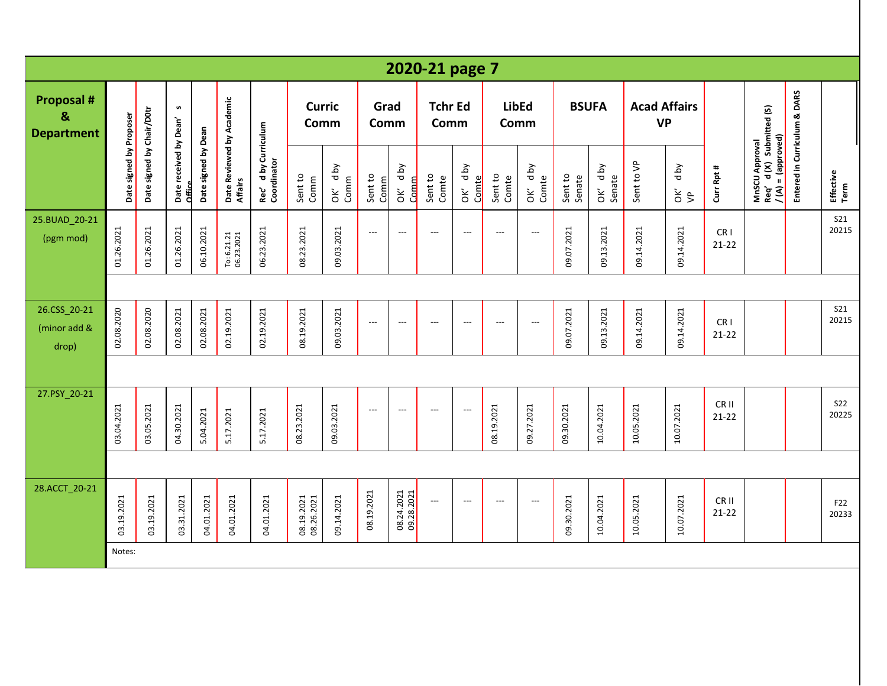|                                             |                         |                           |                                         |                     |                                      |                                     |                          |                 |                          |                          | 2020-21 page 7           |                          |                          |                          |                   |                   |                                  |                       |                              |                                                                   |                              |                     |
|---------------------------------------------|-------------------------|---------------------------|-----------------------------------------|---------------------|--------------------------------------|-------------------------------------|--------------------------|-----------------|--------------------------|--------------------------|--------------------------|--------------------------|--------------------------|--------------------------|-------------------|-------------------|----------------------------------|-----------------------|------------------------------|-------------------------------------------------------------------|------------------------------|---------------------|
| <b>Proposal #</b><br>&<br><b>Department</b> |                         |                           | n                                       |                     |                                      |                                     | <b>Curric</b><br>Comm    |                 | Grad<br>Comm             |                          | <b>Tchr Ed</b><br>Comm   |                          |                          | <b>LibEd</b><br>Comm     |                   | <b>BSUFA</b>      | <b>Acad Affairs</b><br><b>VP</b> |                       |                              |                                                                   |                              |                     |
|                                             | Date signed by Proposer | Date signed by Chair/D0tr | Date received by Dean'<br><b>Office</b> | Date signed by Dean | Date Reviewed by Academic<br>Affairs | Rec' d by Curriculum<br>Coordinator | Sent to<br>Comm          | OK' dby<br>Comm | Sent to<br>Comm          | OK' dby<br>Comm          | Sent to<br>Comte         | d by<br>Comte<br>ŎK      | Sent to<br>Comte         | OK' dby<br>Comte         | Sent to<br>Senate | OK' dby<br>Senate | Sent to VP                       | Yq p<br>$\frac{2}{5}$ | Curr Rpt #                   | MnSCU Approval<br>Req' d (X) Submitted (S)<br>$/(A) = (approved)$ | Entered in Curriculum & DARS | Effective<br>Term   |
| 25.BUAD_20-21<br>(pgm mod)                  | 01.26.2021              | 01.26.2021                | 01.26.2021                              | 06.10.2021          | To: 6.21.21<br>06.23.2021            | 06.23.2021                          | 08.23.2021               | 09.03.2021      | $\hspace{0.05cm} \ldots$ | $\overline{a}$           | $---$                    | $\overline{\phantom{a}}$ | $---$                    | $\overline{\phantom{a}}$ | 09.07.2021        | 09.13.2021        | 09.14.2021                       | 09.14.2021            | CR <sub>1</sub><br>$21-22$   |                                                                   |                              | <b>S21</b><br>20215 |
|                                             |                         |                           |                                         |                     |                                      |                                     |                          |                 |                          |                          |                          |                          |                          |                          |                   |                   |                                  |                       |                              |                                                                   |                              |                     |
| 26.CSS_20-21<br>(minor add &<br>drop)       | 02.08.2020              | 02.08.2020                | 02.08.2021                              | 02.08.2021          | 02.19.2021                           | 02.19.2021                          | 08.19.2021               | 09.03.2021      | $---$                    | $---$                    | $\overline{\phantom{a}}$ | $\overline{\phantom{a}}$ | $\overline{\phantom{a}}$ | $---$                    | 09.07.2021        | 09.13.2021        | 09.14.2021                       | 09.14.2021            | CR <sub>1</sub><br>$21 - 22$ |                                                                   |                              | <b>S21</b><br>20215 |
|                                             |                         |                           |                                         |                     |                                      |                                     |                          |                 |                          |                          |                          |                          |                          |                          |                   |                   |                                  |                       |                              |                                                                   |                              |                     |
| 27.PSY_20-21                                | 03.04.2021              | 03.05.2021                | 04.30.2021                              | 5.04.2021           | 5.17.2021                            | 5.17.2021                           | 08.23.2021               | 09.03.2021      | $\overline{\phantom{a}}$ | $\overline{a}$           | $---$                    | $\overline{\phantom{a}}$ | 08.19.2021               | 09.27.2021               | 09.30.2021        | 10.04.2021        | 10.05.2021                       | 10.07.2021            | CR II<br>$21 - 22$           |                                                                   |                              | <b>S22</b><br>20225 |
|                                             |                         |                           |                                         |                     |                                      |                                     |                          |                 |                          |                          |                          |                          |                          |                          |                   |                   |                                  |                       |                              |                                                                   |                              |                     |
| 28.ACCT_20-21                               | 03.19.2021              | 03.19.2021                | 03.31.2021                              | 04.01.2021          | 04.01.2021                           | 04.01.2021                          | 08.19.2021<br>08.26.2021 | 09.14.2021      | 08.19.2021               | 08.24.2021<br>09.28.2021 | $\hspace{0.05cm} \ldots$ | $\overline{\phantom{a}}$ | $\overline{\phantom{a}}$ | $---$                    | 09.30.2021        | 10.04.2021        | 10.05.2021                       | 10.07.2021            | CR II<br>$21 - 22$           |                                                                   |                              | F22<br>20233        |
|                                             | Notes:                  |                           |                                         |                     |                                      |                                     |                          |                 |                          |                          |                          |                          |                          |                          |                   |                   |                                  |                       |                              |                                                                   |                              |                     |
|                                             |                         |                           |                                         |                     |                                      |                                     |                          |                 |                          |                          |                          |                          |                          |                          |                   |                   |                                  |                       |                              |                                                                   |                              |                     |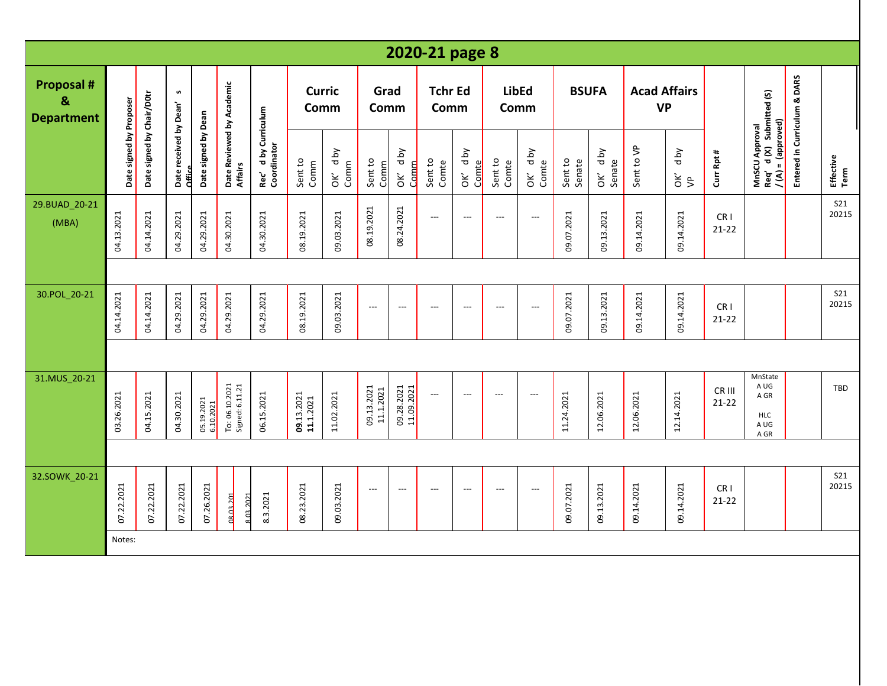|                                                        |                         |                           |                                  |                         |                                      |                                                |                         |                    |                          |                          | 2020-21 page 8            |                          |                          |                          |                   |                          |                                  |                       |                              |                                                                   |                              |                     |
|--------------------------------------------------------|-------------------------|---------------------------|----------------------------------|-------------------------|--------------------------------------|------------------------------------------------|-------------------------|--------------------|--------------------------|--------------------------|---------------------------|--------------------------|--------------------------|--------------------------|-------------------|--------------------------|----------------------------------|-----------------------|------------------------------|-------------------------------------------------------------------|------------------------------|---------------------|
| <b>Proposal #</b><br>$\mathbf{g}$<br><b>Department</b> |                         |                           | S                                |                         |                                      |                                                | <b>Curric</b><br>Comm   |                    | Grad<br>Comm             |                          | <b>Tchr Ed</b><br>Comm    |                          | <b>LibEd</b><br>Comm     |                          |                   | <b>BSUFA</b>             | <b>Acad Affairs</b><br><b>VP</b> |                       |                              |                                                                   |                              |                     |
|                                                        | Date signed by Proposer | Date signed by Chair/D0tr | Date received by Dean'<br>Office | Date signed by Dean     | Date Reviewed by Academic<br>Affairs | d by Curriculum<br>Rec' d by Cu<br>Coordinator | Sent to<br>Comm         | d by<br>Comm<br>ÒК | Sent to<br>Comm          | d by<br><b>Comm</b><br>ě | Sent to<br>Comte          | d by<br>Comte<br>OK'     | Sent to<br>Comte         | OK' d by<br>Comte        | Sent to<br>Senate | d by<br>OK' dt<br>Senate | Sent to VP                       | Yq p<br>$\frac{2}{5}$ | Curr Rpt #                   | MnSCU Approval<br>Req' d (X) Submitted (S)<br>$/(A) = (approxed)$ | Entered in Curriculum & DARS | Effective<br>Term   |
| 29.BUAD_20-21<br>(MBA)                                 | 04.13.2021              | 04.14.2021                | 04.29.2021                       | 04.29.2021              | 04.30.2021                           | 04.30.2021                                     | 08.19.2021              | 09.03.2021         | 08.19.2021               | 08.24.2021               | $\hspace{0.05cm} \ldots$  | $\overline{\phantom{a}}$ | $---$                    | $\hspace{0.05cm} \ldots$ | 09.07.2021        | 09.13.2021               | 09.14.2021                       | 09.14.2021            | CR <sub>1</sub><br>$21 - 22$ |                                                                   |                              | S21<br>20215        |
|                                                        |                         |                           |                                  |                         |                                      |                                                |                         |                    |                          |                          |                           |                          |                          |                          |                   |                          |                                  |                       |                              |                                                                   |                              |                     |
| 30.POL_20-21                                           | 04.14.2021              | 04.14.2021                | 04.29.2021                       | 04.29.2021              | 04.29.2021                           | 04.29.2021                                     | 08.19.2021              | 09.03.2021         | $---$                    | $\overline{\phantom{a}}$ | $\overline{\phantom{a}}$  | $\overline{\phantom{a}}$ | $\overline{\phantom{a}}$ | ---                      | 09.07.2021        | 09.13.2021               | 09.14.2021                       | 09.14.2021            | CR <sub>1</sub><br>$21 - 22$ |                                                                   |                              | <b>S21</b><br>20215 |
|                                                        |                         |                           |                                  |                         |                                      |                                                |                         |                    |                          |                          |                           |                          |                          |                          |                   |                          |                                  |                       |                              |                                                                   |                              |                     |
| 31.MUS_20-21                                           | 03.26.2021              | 04.15.2021                | 04.30.2021                       | 05.19.2021<br>6.10.2021 | To: 06.10.2021<br>Signed: 6.11.21    | 06.15.2021                                     | 09.13.2021<br>11.1.2021 | 11.02.2021         | 09.13.2021<br>11.1.2021  | 09.28.2021<br>11.09.2021 | $\overline{a}$            | $\overline{\phantom{a}}$ | ---                      | $\overline{\phantom{a}}$ | 11.24.2021        | 12.06.2021               | 12.06.2021                       | 12.14.2021            | CR III<br>$21 - 22$          | MnState<br>A UG<br>A GR<br><b>HLC</b><br>A UG<br>A GR             |                              | TBD                 |
|                                                        |                         |                           |                                  |                         |                                      |                                                |                         |                    |                          |                          |                           |                          |                          |                          |                   |                          |                                  |                       |                              |                                                                   |                              |                     |
| 32.SOWK_20-21                                          | 07.22.2021              | 07.22.2021                | 07.22.2021                       | 07.26.2021              | 08.03.201                            | 8.3.2021<br>8.03.2021                          | 08.23.2021              | 09.03.2021         | $\overline{\phantom{a}}$ | $---$                    | $\qquad \qquad -\qquad -$ | $---$                    | $---$                    | $\hspace{0.05cm} \ldots$ | 09.07.2021        | 09.13.2021               | 09.14.2021                       | 09.14.2021            | CR <sub>1</sub><br>$21 - 22$ |                                                                   |                              | S21<br>20215        |
|                                                        | Notes:                  |                           |                                  |                         |                                      |                                                |                         |                    |                          |                          |                           |                          |                          |                          |                   |                          |                                  |                       |                              |                                                                   |                              |                     |
|                                                        |                         |                           |                                  |                         |                                      |                                                |                         |                    |                          |                          |                           |                          |                          |                          |                   |                          |                                  |                       |                              |                                                                   |                              |                     |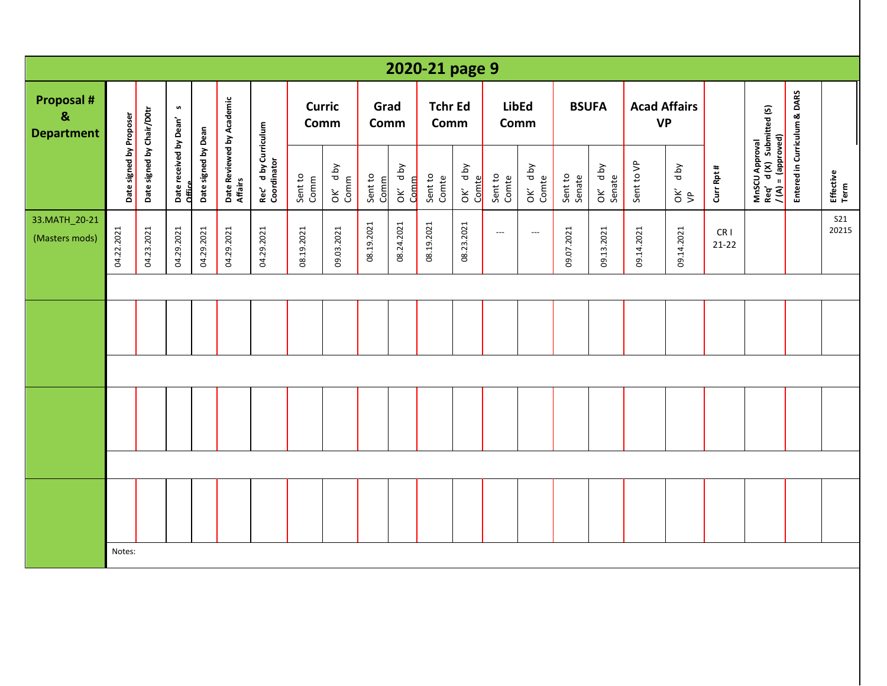|                                                            |                         |                           |                                  |                     |                                      |                                     |                       |                 |                 |                 | 2020-21 page 9         |                  |                      |                          |                   |                    |                                  |                       |                              |                                                                   |                              |                     |
|------------------------------------------------------------|-------------------------|---------------------------|----------------------------------|---------------------|--------------------------------------|-------------------------------------|-----------------------|-----------------|-----------------|-----------------|------------------------|------------------|----------------------|--------------------------|-------------------|--------------------|----------------------------------|-----------------------|------------------------------|-------------------------------------------------------------------|------------------------------|---------------------|
| <b>Proposal #</b><br>$\boldsymbol{8}$<br><b>Department</b> |                         |                           | S                                |                     |                                      |                                     | <b>Curric</b><br>Comm |                 | Grad<br>Comm    |                 | <b>Tchr Ed</b><br>Comm |                  | <b>LibEd</b><br>Comm |                          | <b>BSUFA</b>      |                    | <b>Acad Affairs</b><br><b>VP</b> |                       |                              |                                                                   |                              |                     |
|                                                            | Date signed by Proposer | Date signed by Chair/D0tr | Date received by Dean'<br>Office | Date signed by Dean | Date Reviewed by Academic<br>Affairs | Rec' d by Curriculum<br>Coordinator | Sent to<br>Comm       | OK' dby<br>Comm | Sent to<br>Comm | OK' dby<br>Comm | Sent to<br>Comte       | OK' dby<br>Comte | Sent to<br>Comte     | OK' dby<br>Comte         | Sent to<br>Senate | OK' d by<br>Senate | Sent to VP                       | Yq p<br>$\frac{2}{5}$ | Curr Rpt #                   | MnSCU Approval<br>Req' d (X) Submitted (S)<br>$/(A) = (approved)$ | Entered in Curriculum & DARS | Effective<br>Term   |
| 33.MATH_20-21<br>(Masters mods)                            | 04.22.2021              | 04.23.2021                | 04.29.2021                       | 04.29.2021          | 04.29.2021                           | 04.29.2021                          | 08.19.2021            | 09.03.2021      | 08.19.2021      | 08.24.2021      | 08.19.2021             | 08.23.2021       | $---$                | $\overline{\phantom{a}}$ | 09.07.2021        | 09.13.2021         | 09.14.2021                       | 09.14.2021            | CR <sub>1</sub><br>$21 - 22$ |                                                                   |                              | <b>S21</b><br>20215 |
|                                                            |                         |                           |                                  |                     |                                      |                                     |                       |                 |                 |                 |                        |                  |                      |                          |                   |                    |                                  |                       |                              |                                                                   |                              |                     |
|                                                            |                         |                           |                                  |                     |                                      |                                     |                       |                 |                 |                 |                        |                  |                      |                          |                   |                    |                                  |                       |                              |                                                                   |                              |                     |
|                                                            |                         |                           |                                  |                     |                                      |                                     |                       |                 |                 |                 |                        |                  |                      |                          |                   |                    |                                  |                       |                              |                                                                   |                              |                     |
|                                                            |                         |                           |                                  |                     |                                      |                                     |                       |                 |                 |                 |                        |                  |                      |                          |                   |                    |                                  |                       |                              |                                                                   |                              |                     |
|                                                            |                         |                           |                                  |                     |                                      |                                     |                       |                 |                 |                 |                        |                  |                      |                          |                   |                    |                                  |                       |                              |                                                                   |                              |                     |
|                                                            |                         |                           |                                  |                     |                                      |                                     |                       |                 |                 |                 |                        |                  |                      |                          |                   |                    |                                  |                       |                              |                                                                   |                              |                     |
|                                                            |                         |                           |                                  |                     |                                      |                                     |                       |                 |                 |                 |                        |                  |                      |                          |                   |                    |                                  |                       |                              |                                                                   |                              |                     |
|                                                            |                         |                           |                                  |                     |                                      |                                     |                       |                 |                 |                 |                        |                  |                      |                          |                   |                    |                                  |                       |                              |                                                                   |                              |                     |
|                                                            | Notes:                  |                           |                                  |                     |                                      |                                     |                       |                 |                 |                 |                        |                  |                      |                          |                   |                    |                                  |                       |                              |                                                                   |                              |                     |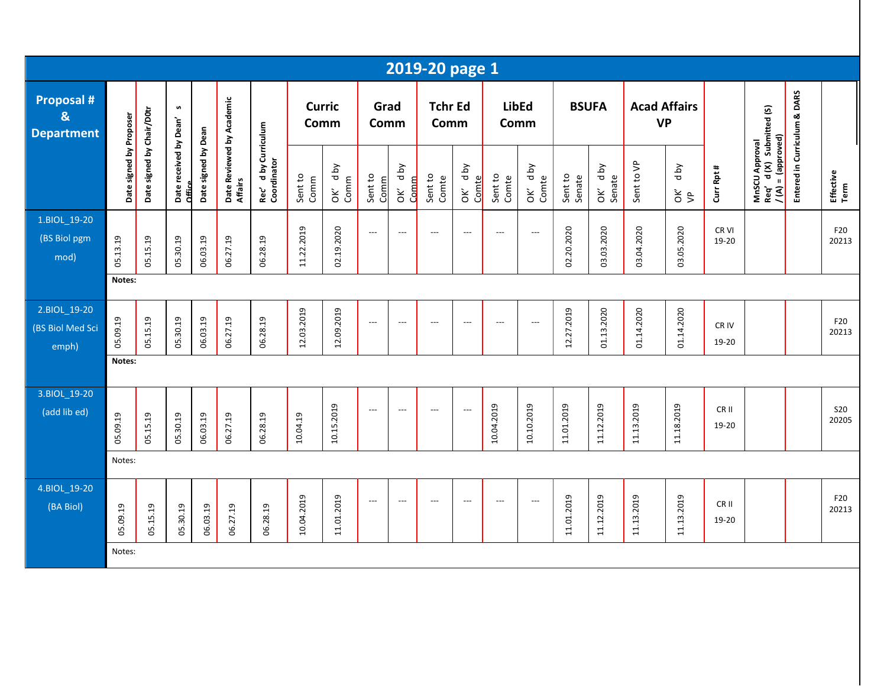|                                                        |                         |                           |                                  |                     |                                      |                                                |                       |                   |                          |                                         | 2019-20 page 1           |                          |                  |                          |                   |                                        |            |                       |                           |                                                                   |                              |                     |
|--------------------------------------------------------|-------------------------|---------------------------|----------------------------------|---------------------|--------------------------------------|------------------------------------------------|-----------------------|-------------------|--------------------------|-----------------------------------------|--------------------------|--------------------------|------------------|--------------------------|-------------------|----------------------------------------|------------|-----------------------|---------------------------|-------------------------------------------------------------------|------------------------------|---------------------|
| <b>Proposal #</b><br>$\mathbf{8}$<br><b>Department</b> |                         |                           | S                                |                     |                                      |                                                | <b>Curric</b><br>Comm |                   | Grad<br>Comm             |                                         | <b>Tchr Ed</b><br>Comm   |                          |                  | <b>LibEd</b><br>Comm     |                   | <b>BSUFA</b>                           | <b>VP</b>  | <b>Acad Affairs</b>   |                           |                                                                   |                              |                     |
|                                                        | Date signed by Proposer | Date signed by Chair/D0tr | Date received by Dean'<br>Office | Date signed by Dean | Date Reviewed by Academic<br>Affairs | d by Curriculum<br>Rec' d by Cu<br>Coordinator | Sent to<br>Comm       | yq p<br>Comm<br>š | Sent to<br>Comm          | <b>Aq</b> p<br>Comm<br>$\check{\sigma}$ | Sent to<br>Comte         | OK' dby<br>Comte         | Sent to<br>Comte | OK' dby<br>Comte         | Sent to<br>Senate | d by<br>Senate<br>$\mathsf{\check{g}}$ | Sent to VP | d by<br>$\frac{2}{5}$ | Curr Rpt #                | MnSCU Approval<br>Req' d (X) Submitted (S)<br>$I(A) = (approved)$ | Entered in Curriculum & DARS | Effective<br>Term   |
| 1.BIOL_19-20<br>(BS Biol pgm<br>mod)                   | 05.13.19                | 05.15.19                  | 05.30.19                         | 06.03.19            | 06.27.19                             | 06.28.19                                       | 11.22.2019            | 02.19.2020        | $\hspace{0.05cm} \ldots$ | $---$                                   | $\overline{\phantom{a}}$ | $\overline{\phantom{a}}$ | $---$            | $\hspace{0.05cm} \ldots$ | 02.20.2020        | 03.03.2020                             | 03.04.2020 | 03.05.2020            | CR VI<br>19-20            |                                                                   |                              | F20<br>20213        |
|                                                        | Notes:                  |                           |                                  |                     |                                      |                                                |                       |                   |                          |                                         |                          |                          |                  |                          |                   |                                        |            |                       |                           |                                                                   |                              |                     |
| 2.BIOL_19-20<br>(BS Biol Med Sci<br>emph)              | 05.09.19                | 05.15.19                  | 05.30.19                         | 06.03.19            | 06.27.19                             | 06.28.19                                       | 12.03.2019            | 12.09.2019        | $\hspace{0.05cm} \ldots$ | $\overline{\phantom{a}}$                | $\overline{\phantom{a}}$ | $\overline{\phantom{a}}$ | $\overline{a}$   | $\hspace{0.05cm} \ldots$ | 12.27.2019        | 01.13.2020                             | 01.14.2020 | 01.14.2020            | CR IV<br>19-20            |                                                                   |                              | F20<br>20213        |
|                                                        | Notes:                  |                           |                                  |                     |                                      |                                                |                       |                   |                          |                                         |                          |                          |                  |                          |                   |                                        |            |                       |                           |                                                                   |                              |                     |
| 3.BIOL 19-20<br>(add lib ed)                           | 05.09.19                | 05.15.19                  | 05.30.19                         | 06.03.19            | 06.27.19                             | 06.28.19                                       | 10.04.19              | 10.15.2019        | $\overline{\phantom{a}}$ | $---$                                   | ---                      | $\overline{\phantom{a}}$ | 10.04.2019       | 10.10.2019               | 11.01.2019        | 11.12.2019                             | 11.13.2019 | 11.18.2019            | CR <sub>II</sub><br>19-20 |                                                                   |                              | <b>S20</b><br>20205 |
|                                                        | Notes:                  |                           |                                  |                     |                                      |                                                |                       |                   |                          |                                         |                          |                          |                  |                          |                   |                                        |            |                       |                           |                                                                   |                              |                     |
| 4.BIOL_19-20<br>(BA Biol)                              | 05.09.19                | 05.15.19                  | 05.30.19                         | 06.03.19            | 06.27.19                             | 06.28.19                                       | 10.04.2019            | 11.01.2019        | $\overline{\phantom{a}}$ | $\overline{a}$                          | $---$                    | $\overline{a}$           | $\overline{a}$   | $\hspace{0.05cm} \ldots$ | 11.01.2019        | 11.12.2019                             | 11.13.2019 | 11.13.2019            | CR <sub>II</sub><br>19-20 |                                                                   |                              | F20<br>20213        |
|                                                        | Notes:                  |                           |                                  |                     |                                      |                                                |                       |                   |                          |                                         |                          |                          |                  |                          |                   |                                        |            |                       |                           |                                                                   |                              |                     |
|                                                        |                         |                           |                                  |                     |                                      |                                                |                       |                   |                          |                                         |                          |                          |                  |                          |                   |                                        |            |                       |                           |                                                                   |                              |                     |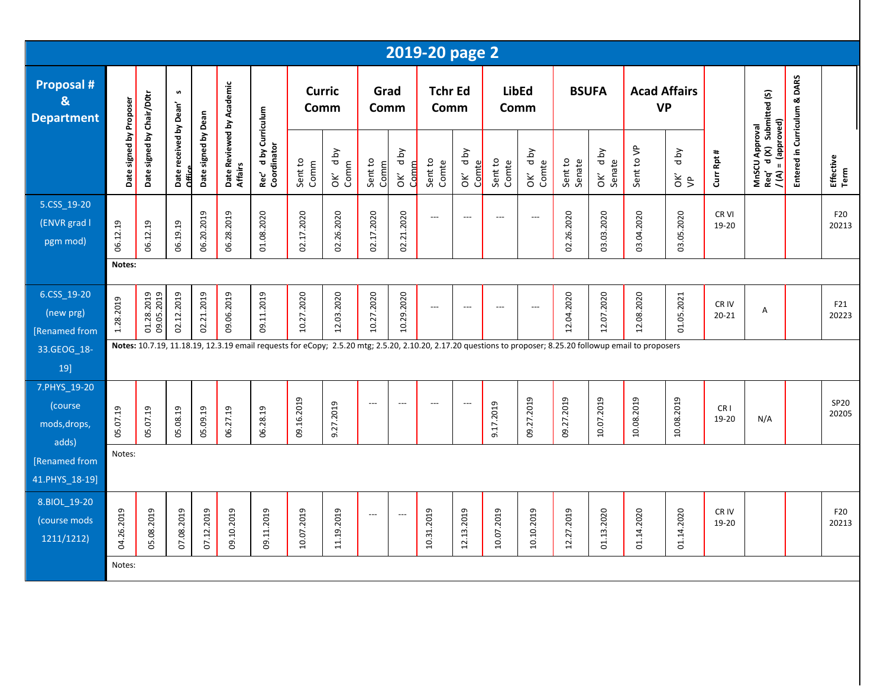|                                                        |                         |                           |                                  |                     |                                      |                                                |                       |                    |                          |                                    | 2019-20 page 2           |                           |                          |                            |                   |                      |                                                                                                                                                             |                       |                          |                                               |                              |                   |
|--------------------------------------------------------|-------------------------|---------------------------|----------------------------------|---------------------|--------------------------------------|------------------------------------------------|-----------------------|--------------------|--------------------------|------------------------------------|--------------------------|---------------------------|--------------------------|----------------------------|-------------------|----------------------|-------------------------------------------------------------------------------------------------------------------------------------------------------------|-----------------------|--------------------------|-----------------------------------------------|------------------------------|-------------------|
| <b>Proposal #</b><br>$\mathbf{g}$<br><b>Department</b> |                         |                           | S                                |                     |                                      |                                                | <b>Curric</b><br>Comm |                    | Grad<br>Comm             |                                    | <b>Tchr Ed</b><br>Comm   |                           | <b>LibEd</b><br>Comm     |                            | <b>BSUFA</b>      |                      | <b>Acad Affairs</b><br><b>VP</b>                                                                                                                            |                       |                          | d (X) Submitted (S)                           |                              |                   |
|                                                        | Date signed by Proposer | Date signed by Chair/D0tr | Date received by Dean'<br>Office | Date signed by Dean | Date Reviewed by Academic<br>Affairs | d by Curriculum<br>Rec' d by Cu<br>Coordinator | Sent to<br>Comm       | Yq p<br>Comm<br>òΚ | Sent to<br>Comm          | d by<br>Comm<br>$\check{\epsilon}$ | Sent to<br>Comte         | Yq p<br>Comte<br>ОK'      | Sent to<br>Comte         | Yq p<br>OK' d <sub>1</sub> | Sent to<br>Senate | d by<br>Senate<br>ŎK | Sent to VP                                                                                                                                                  | Yq p<br>$\frac{2}{5}$ | Curr Rpt #               | $/(A) = (approved)$<br>MnSCU Approval<br>Req' | Entered in Curriculum & DARS | Effective<br>Term |
| 5.CSS_19-20<br>(ENVR grad I<br>pgm mod)                | 06.12.19                | 06.12.19                  | 06.19.19                         | 06.20.2019          | 06.28.2019                           | 01.08.2020                                     | 02.17.2020            | 02.26.2020         | 02.17.2020               | 02.21.2020                         | $---$                    | $\overline{\phantom{a}}$  | $---$                    | ---                        | 02.26.2020        | 03.03.2020           | 03.04.2020                                                                                                                                                  | 03.05.2020            | CR VI<br>19-20           |                                               |                              | F20<br>20213      |
|                                                        | Notes:                  |                           |                                  |                     |                                      |                                                |                       |                    |                          |                                    |                          |                           |                          |                            |                   |                      |                                                                                                                                                             |                       |                          |                                               |                              |                   |
| 6.CSS_19-20<br>(new prg)<br>[Renamed from              | 1.28.2019               | 01.28.2019<br>09.05.2019  | 02.12.2019                       | 02.21.2019          | 09.06.2019                           | 09.11.2019                                     | 10.27.2020            | 12.03.2020         | 10.27.2020               | 10.29.2020                         | $\hspace{0.05cm} \ldots$ | $\overline{\phantom{a}}$  | $\overline{\phantom{a}}$ | $---$                      | 12.04.2020        | 12.07.2020           | 12.08.2020                                                                                                                                                  | 01.05.2021            | CR IV<br>$20 - 21$       | Α                                             |                              | F21<br>20223      |
| 33.GEOG_18-<br>19]                                     |                         |                           |                                  |                     |                                      |                                                |                       |                    |                          |                                    |                          |                           |                          |                            |                   |                      | Notes: 10.7.19, 11.18.19, 12.3.19 email requests for eCopy; 2.5.20 mtg; 2.5.20, 2.10.20, 2.17.20 questions to proposer; 8.25.20 followup email to proposers |                       |                          |                                               |                              |                   |
| 7.PHYS_19-20<br>(course<br>mods, drops,<br>adds)       | 05.07.19                | 05.07.19                  | 05.08.19                         | 05.09.19            | 06.27.19                             | 06.28.19                                       | 09.16.2019            | 9.27.2019          | $---$                    | ---                                | $---$                    | $\overline{\phantom{a}}$  | 9.17.2019                | 09.27.2019                 | 09.27.2019        | 10.07.2019           | 10.08.2019                                                                                                                                                  | 10.08.2019            | CR <sub>1</sub><br>19-20 | N/A                                           |                              | SP20<br>20205     |
| [Renamed from                                          | Notes:                  |                           |                                  |                     |                                      |                                                |                       |                    |                          |                                    |                          |                           |                          |                            |                   |                      |                                                                                                                                                             |                       |                          |                                               |                              |                   |
| 41.PHYS_18-19]                                         |                         |                           |                                  |                     |                                      |                                                |                       |                    |                          |                                    |                          |                           |                          |                            |                   |                      |                                                                                                                                                             |                       |                          |                                               |                              |                   |
| 8.BIOL_19-20<br>(course mods<br>1211/1212)             | 26.2019<br>ă.           | 08.2019<br>50             | 08.2019<br>5                     | 12.2019<br>67       | 10.2019<br>$\overline{6}$            | 11.2019<br>$\overline{6}$                      | 07.2019<br>ä.         | 19.2019<br>ੜ       | $\hspace{0.05cm} \ldots$ | $---$                              | 31.2019<br>ä             | 13.2019<br>$\overline{5}$ | 07.2019<br>ä.            | 10.2019<br>ä,              | 27.2019<br>ä,     | 13.2020<br>S.        | 14.2020<br>S                                                                                                                                                | 14.2020<br>S.         | CR IV<br>19-20           |                                               |                              | F20<br>20213      |
|                                                        | Notes:                  |                           |                                  |                     |                                      |                                                |                       |                    |                          |                                    |                          |                           |                          |                            |                   |                      |                                                                                                                                                             |                       |                          |                                               |                              |                   |
|                                                        |                         |                           |                                  |                     |                                      |                                                |                       |                    |                          |                                    |                          |                           |                          |                            |                   |                      |                                                                                                                                                             |                       |                          |                                               |                              |                   |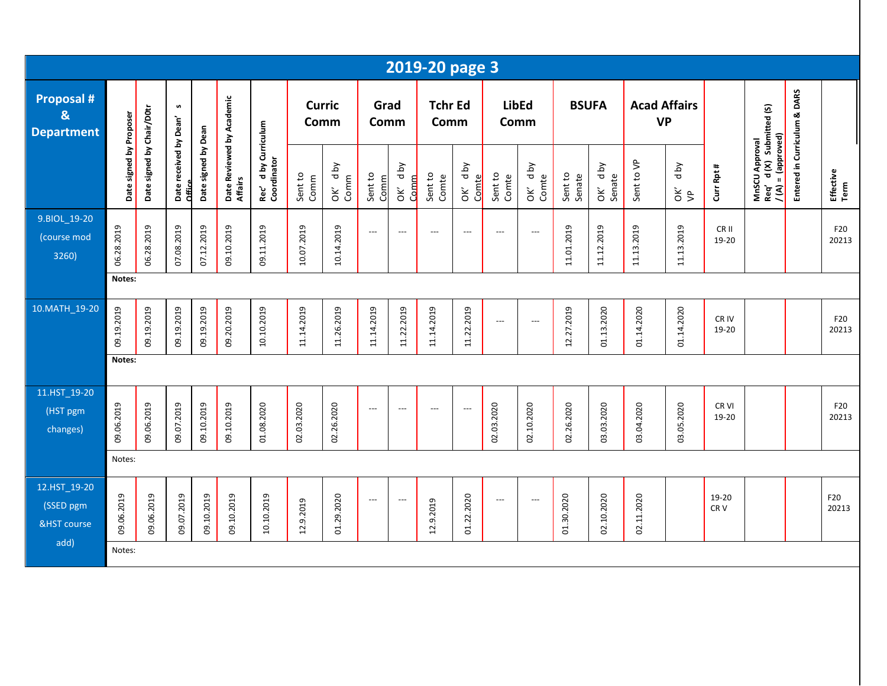|                                                        |                         |                           |                                  |                     |                                      |                                     |                       |                    |                          |                           | 2019-20 page 3           |                          |                          |                            |                   |                   |                                  |                       |                          |                                                                         |                              |                          |
|--------------------------------------------------------|-------------------------|---------------------------|----------------------------------|---------------------|--------------------------------------|-------------------------------------|-----------------------|--------------------|--------------------------|---------------------------|--------------------------|--------------------------|--------------------------|----------------------------|-------------------|-------------------|----------------------------------|-----------------------|--------------------------|-------------------------------------------------------------------------|------------------------------|--------------------------|
| <b>Proposal #</b><br>$\mathbf{g}$<br><b>Department</b> |                         |                           | S                                |                     |                                      |                                     | <b>Curric</b><br>Comm |                    | Grad<br>Comm             |                           | <b>Tchr Ed</b><br>Comm   |                          | <b>LibEd</b><br>Comm     |                            |                   | <b>BSUFA</b>      | <b>Acad Affairs</b><br><b>VP</b> |                       |                          |                                                                         |                              |                          |
|                                                        | Date signed by Proposer | Date signed by Chair/D0tr | Date received by Dean'<br>Office | Date signed by Dean | Date Reviewed by Academic<br>Affairs | Rec' d by Curriculum<br>Coordinator | Sent to<br>Comm       | yq p<br>Comm<br>òΚ | Sent to<br>Comm          | d by<br>Comm<br>ŎK        | Sent to<br>Comte         | OK' dby<br>Comte         | Sent to<br>Comte         | d by<br>OK' d <sub>t</sub> | Sent to<br>Senate | OK' dby<br>Senate | Sent to VP                       | d by<br>$\frac{2}{5}$ | Curr Rpt #               | MnSCU Approval<br>Req' d (X) Submitted (S)<br><u>/ (A) = (approved)</u> | Entered in Curriculum & DARS | Effective<br>Term        |
| 9.BIOL 19-20<br>(course mod<br>3260)                   | 06.28.2019              | 06.28.2019                | 07.08.2019                       | 07.12.2019          | 09.10.2019                           | 09.11.2019                          | 10.07.2019            | 10.14.2019         | $\overline{\phantom{a}}$ | $---$                     | $\hspace{0.05cm} \ldots$ | $\overline{\phantom{a}}$ | $---$                    | $\hspace{0.05cm} \ldots$   | 11.01.2019        | 11.12.2019        | 11.13.2019                       | 11.13.2019            | CR II<br>19-20           |                                                                         |                              | F20<br>20213             |
|                                                        | Notes:                  |                           |                                  |                     |                                      |                                     |                       |                    |                          |                           |                          |                          |                          |                            |                   |                   |                                  |                       |                          |                                                                         |                              |                          |
| 10.MATH_19-20                                          | 09.19.2019              | 09.19.2019                | 09.19.2019                       | 09.19.2019          | 09.20.2019                           | 10.10.2019                          | 11.14.2019            | 11.26.2019         | 11.14.2019               | 11.22.2019                | 11.14.2019               | 11.22.2019               | $\overline{\phantom{a}}$ | ---                        | 12.27.2019        | 01.13.2020        | 01.14.2020                       | 01.14.2020            | CR IV<br>19-20           |                                                                         |                              | F20<br>20213             |
|                                                        | Notes:                  |                           |                                  |                     |                                      |                                     |                       |                    |                          |                           |                          |                          |                          |                            |                   |                   |                                  |                       |                          |                                                                         |                              |                          |
| 11.HST 19-20<br>(HST pgm<br>changes)                   | 09.06.2019              | 09.06.2019                | 09.07.2019                       | 09.10.2019          | 09.10.2019                           | 01.08.2020                          | 02.03.2020            | 02.26.2020         | $\overline{\phantom{a}}$ | $\qquad \qquad -\qquad -$ | $---$                    | $\overline{\phantom{a}}$ | 02.03.2020               | 02.10.2020                 | 02.26.2020        | 03.03.2020        | 03.04.2020                       | 03.05.2020            | CR VI<br>19-20           |                                                                         |                              | F20<br>20213             |
|                                                        | Notes:                  |                           |                                  |                     |                                      |                                     |                       |                    |                          |                           |                          |                          |                          |                            |                   |                   |                                  |                       |                          |                                                                         |                              |                          |
| 12.HST_19-20<br>(SSED pgm<br><b>&amp;HST</b> course    | 09.06.2019              | 09.06.2019                | 09.07.2019                       | 09.10.2019          | 09.10.2019                           | 10.10.2019                          | 12.9.2019             | 01.29.2020         | $\overline{\phantom{a}}$ | $\overline{\phantom{a}}$  | 12.9.2019                | 01.22.2020               | $\overline{\phantom{a}}$ | $\overline{\phantom{a}}$   | 01.30.2020        | 02.10.2020        | 02.11.2020                       |                       | 19-20<br>CR <sub>V</sub> |                                                                         |                              | F <sub>20</sub><br>20213 |
| add)                                                   | Notes:                  |                           |                                  |                     |                                      |                                     |                       |                    |                          |                           |                          |                          |                          |                            |                   |                   |                                  |                       |                          |                                                                         |                              |                          |
|                                                        |                         |                           |                                  |                     |                                      |                                     |                       |                    |                          |                           |                          |                          |                          |                            |                   |                   |                                  |                       |                          |                                                                         |                              |                          |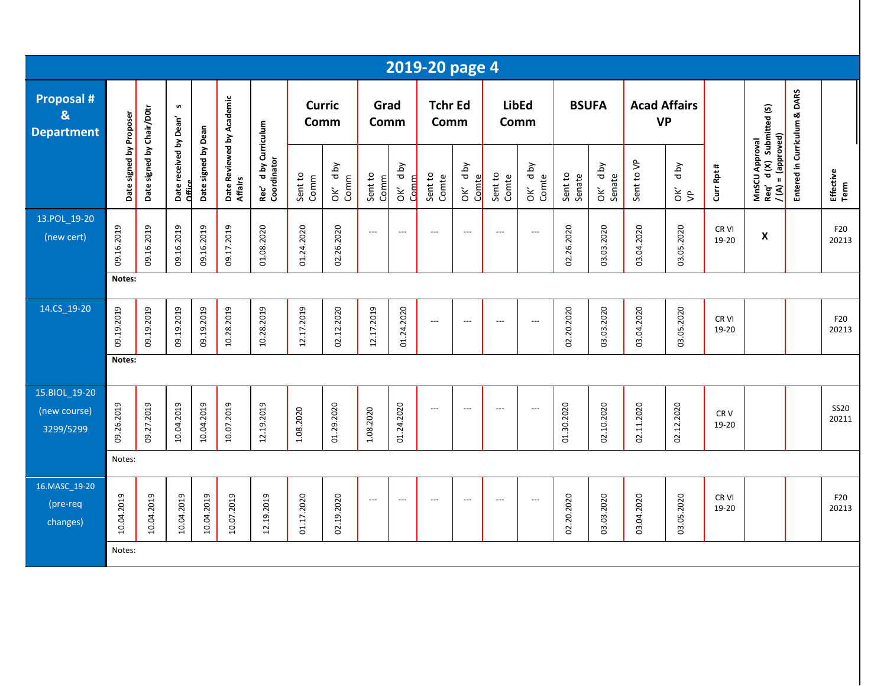|                                            |                         |                           |                                  |                     |                                      |                                                 |                       |                           |                          |                    | 2019-20 page 4           |                          |                          |                          |                   |                              |                                  |                              |                           |                                                                        |                              |                      |
|--------------------------------------------|-------------------------|---------------------------|----------------------------------|---------------------|--------------------------------------|-------------------------------------------------|-----------------------|---------------------------|--------------------------|--------------------|--------------------------|--------------------------|--------------------------|--------------------------|-------------------|------------------------------|----------------------------------|------------------------------|---------------------------|------------------------------------------------------------------------|------------------------------|----------------------|
| Proposal #<br>&<br><b>Department</b>       |                         |                           | n                                |                     |                                      |                                                 | <b>Curric</b><br>Comm |                           | Grad<br>Comm             |                    | <b>Tchr Ed</b><br>Comm   |                          | Comm                     | <b>LibEd</b>             | <b>BSUFA</b>      |                              | <b>Acad Affairs</b><br><b>VP</b> |                              |                           |                                                                        |                              |                      |
|                                            | Date signed by Proposer | Date signed by Chair/D0tr | Date received by Dean'<br>Office | Date signed by Dean | Date Reviewed by Academic<br>Affairs | d by Curriculum<br>Rec' d by Cur<br>Coordinator | Sent to<br>Comm       | <b>Aq</b> p<br>Comm<br>ŎK | Sent to<br>Comm          | d by<br>Comm<br>ŏΚ | Sent to<br>Comte         | d by<br>Comte<br>OK      | Sent to<br>Comte         | <b>Aq</b> p<br>OK' d b   | Sent to<br>Senate | <b>Aq</b> p<br>Senate<br>OK' | Sent to VP                       | <b>Aq</b> p<br>$\frac{2}{5}$ | Curr Rpt #                | MnSCU Approval<br>Req′d (X) Submitted (S)<br><u>/ (A) = (approved)</u> | Entered in Curriculum & DARS | Effective<br>Term    |
| 13.POL_19-20<br>(new cert)                 | 09.16.2019              | 09.16.2019                | 09.16.2019                       | 09.16.2019          | 09.17.2019                           | 01.08.2020                                      | 01.24.2020            | 02.26.2020                | $\hspace{0.05cm} \ldots$ | $---$              | $\overline{\phantom{a}}$ | $\overline{\phantom{a}}$ | $---$                    | $---$                    | 02.26.2020        | 03.03.2020                   | 03.04.2020                       | 03.05.2020                   | CR VI<br>19-20            | $\pmb{\mathsf{X}}$                                                     |                              | F20<br>20213         |
|                                            | Notes:                  |                           |                                  |                     |                                      |                                                 |                       |                           |                          |                    |                          |                          |                          |                          |                   |                              |                                  |                              |                           |                                                                        |                              |                      |
| 14.CS_19-20                                | 09.19.2019              | 09.19.2019                | 09.19.2019                       | 09.19.2019          | 10.28.2019                           | 10.28.2019                                      | 12.17.2019            | 02.12.2020                | 12.17.2019               | 01.24.2020         | $\overline{a}$           | $\overline{a}$           | $---$                    | $---$                    | 02.20.2020        | 03.03.2020                   | 03.04.2020                       | 03.05.2020                   | CR <sub>VI</sub><br>19-20 |                                                                        |                              | F20<br>20213         |
|                                            | Notes:                  |                           |                                  |                     |                                      |                                                 |                       |                           |                          |                    |                          |                          |                          |                          |                   |                              |                                  |                              |                           |                                                                        |                              |                      |
| 15.BIOL 19-20<br>(new course)<br>3299/5299 | 09.26.2019              | 09.27.2019                | 10.04.2019                       | 10.04.2019          | 10.07.2019                           | 12.19.2019                                      | 1.08.2020             | 01.29.2020                | 1.08.2020                | 01.24.2020         | $\overline{\phantom{a}}$ | $\overline{\phantom{a}}$ | $---$                    | $\hspace{0.05cm} \ldots$ | 01.30.2020        | 02.10.2020                   | 02.11.2020                       | 02.12.2020                   | CR <sub>V</sub><br>19-20  |                                                                        |                              | <b>SS20</b><br>20211 |
|                                            | Notes:                  |                           |                                  |                     |                                      |                                                 |                       |                           |                          |                    |                          |                          |                          |                          |                   |                              |                                  |                              |                           |                                                                        |                              |                      |
| 16.MASC_19-20<br>(pre-req<br>changes)      | 10.04.2019              | 10.04.2019                | 10.04.2019                       | 10.04.2019          | 10.07.2019                           | 12.19.2019                                      | 01.17.2020            | 02.19.2020                | $---$                    | $---$              | ---                      | $\overline{\phantom{a}}$ | $\overline{\phantom{a}}$ | $\overline{\phantom{a}}$ | 02.20.2020        | 03.03.2020                   | 03.04.2020                       | 03.05.2020                   | CR <sub>VI</sub><br>19-20 |                                                                        |                              | F20<br>20213         |
|                                            | Notes:                  |                           |                                  |                     |                                      |                                                 |                       |                           |                          |                    |                          |                          |                          |                          |                   |                              |                                  |                              |                           |                                                                        |                              |                      |
|                                            |                         |                           |                                  |                     |                                      |                                                 |                       |                           |                          |                    |                          |                          |                          |                          |                   |                              |                                  |                              |                           |                                                                        |                              |                      |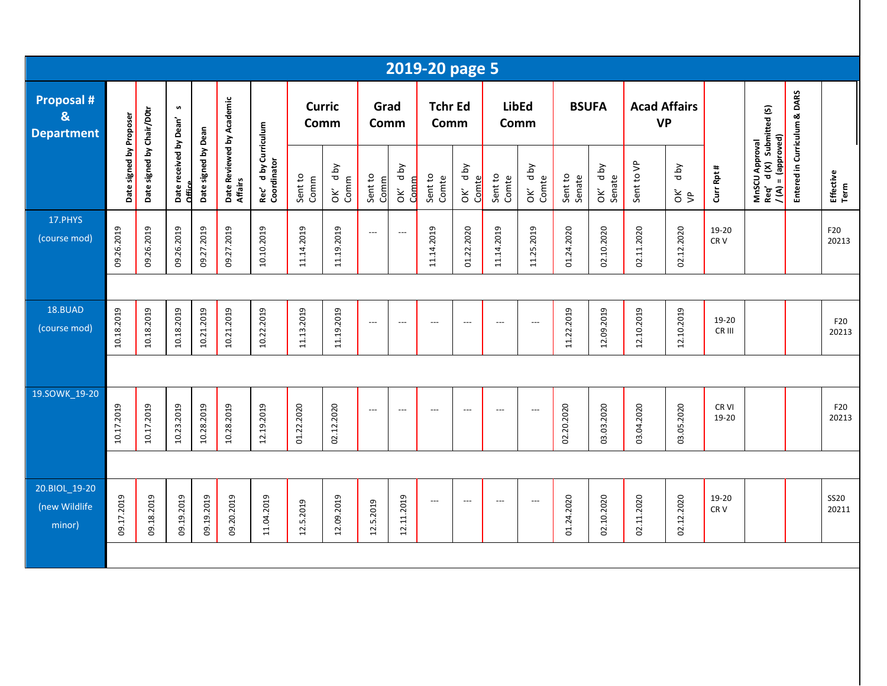|                                                            |                         |                           |                                  |                     |                                      |                                     |                       |                 |                          |                          | 2019-20 page 5           |                          |                          |                          |                   |                   |                                  |                       |                          |                                                                 |                              |                      |
|------------------------------------------------------------|-------------------------|---------------------------|----------------------------------|---------------------|--------------------------------------|-------------------------------------|-----------------------|-----------------|--------------------------|--------------------------|--------------------------|--------------------------|--------------------------|--------------------------|-------------------|-------------------|----------------------------------|-----------------------|--------------------------|-----------------------------------------------------------------|------------------------------|----------------------|
| <b>Proposal #</b><br>$\boldsymbol{8}$<br><b>Department</b> |                         |                           | n                                |                     |                                      |                                     | <b>Curric</b><br>Comm |                 | Grad<br>Comm             |                          | <b>Tchr Ed</b><br>Comm   |                          |                          | <b>LibEd</b><br>Comm     |                   | <b>BSUFA</b>      | <b>Acad Affairs</b><br><b>VP</b> |                       |                          |                                                                 |                              |                      |
|                                                            | Date signed by Proposer | Date signed by Chair/D0tr | Date received by Dean'<br>Office | Date signed by Dean | Date Reviewed by Academic<br>Affairs | Rec' d by Curriculum<br>Coordinator | Sent to<br>Comm       | OK' dby<br>Comm | Sent to<br>Comm          | OK' dby<br>Comm          | Sent to<br>Comte         | OK' dby<br>Comte         | Sent to<br>Comte         | OK' dby<br>Comte         | Sent to<br>Senate | OK' dby<br>Senate | Sent to VP                       | d by<br>$\frac{2}{5}$ | Curr Rpt #               | MnSCU Approval<br>Req' d (X) Submitted (S)<br>/(A) = (approved) | Entered in Curriculum & DARS | Effective<br>Term    |
| 17.PHYS<br>(course mod)                                    | 09.26.2019              | 09.26.2019                | 09.26.2019                       | 09.27.2019          | 09.27.2019                           | 10.10.2019                          | 11.14.2019            | 11.19.2019      | $\overline{\phantom{a}}$ | $\overline{\phantom{a}}$ | 11.14.2019               | 01.22.2020               | 11.14.2019               | 11.25.2019               | 01.24.2020        | 02.10.2020        | 02.11.2020                       | 02.12.2020            | 19-20<br>CR <sub>V</sub> |                                                                 |                              | F20<br>20213         |
|                                                            |                         |                           |                                  |                     |                                      |                                     |                       |                 |                          |                          |                          |                          |                          |                          |                   |                   |                                  |                       |                          |                                                                 |                              |                      |
| 18.BUAD<br>(course mod)                                    | 10.18.2019              | 10.18.2019                | 10.18.2019                       | 10.21.2019          | 10.21.2019                           | 10.22.2019                          | 11.13.2019            | 11.19.2019      | $\overline{\phantom{a}}$ | $---$                    | $\hspace{0.05cm} \ldots$ | $\overline{\phantom{a}}$ | $\overline{a}$           | $\overline{a}$           | 11.22.2019        | 12.09.2019        | 12.10.2019                       | 12.10.2019            | 19-20<br>CR III          |                                                                 |                              | F20<br>20213         |
|                                                            |                         |                           |                                  |                     |                                      |                                     |                       |                 |                          |                          |                          |                          |                          |                          |                   |                   |                                  |                       |                          |                                                                 |                              |                      |
| 19.SOWK_19-20                                              | 10.17.2019              | 10.17.2019                | 10.23.2019                       | 10.28.2019          | 10.28.2019                           | 12.19.2019                          | 01.22.2020            | 02.12.2020      | $\qquad \qquad - -$      | $\overline{a}$           | $\overline{a}$           | $\overline{a}$           | $\overline{\phantom{a}}$ | $\overline{\phantom{a}}$ | 02.20.2020        | 03.03.2020        | 03.04.2020                       | 03.05.2020            | CR VI<br>19-20           |                                                                 |                              | F20<br>20213         |
|                                                            |                         |                           |                                  |                     |                                      |                                     |                       |                 |                          |                          |                          |                          |                          |                          |                   |                   |                                  |                       |                          |                                                                 |                              |                      |
| 20.BIOL_19-20<br>(new Wildlife<br>minor)                   | 09.17.2019              | 09.18.2019                | 09.19.2019                       | 09.19.2019          | 09.20.2019                           | 11.04.2019                          | 12.5.2019             | 12.09.2019      | 12.5.2019                | 12.11.2019               | ---                      | $\overline{\phantom{a}}$ | ---                      | ---                      | 01.24.2020        | 02.10.2020        | 02.11.2020                       | 02.12.2020            | 19-20<br>CR <sub>V</sub> |                                                                 |                              | <b>SS20</b><br>20211 |
|                                                            |                         |                           |                                  |                     |                                      |                                     |                       |                 |                          |                          |                          |                          |                          |                          |                   |                   |                                  |                       |                          |                                                                 |                              |                      |
|                                                            |                         |                           |                                  |                     |                                      |                                     |                       |                 |                          |                          |                          |                          |                          |                          |                   |                   |                                  |                       |                          |                                                                 |                              |                      |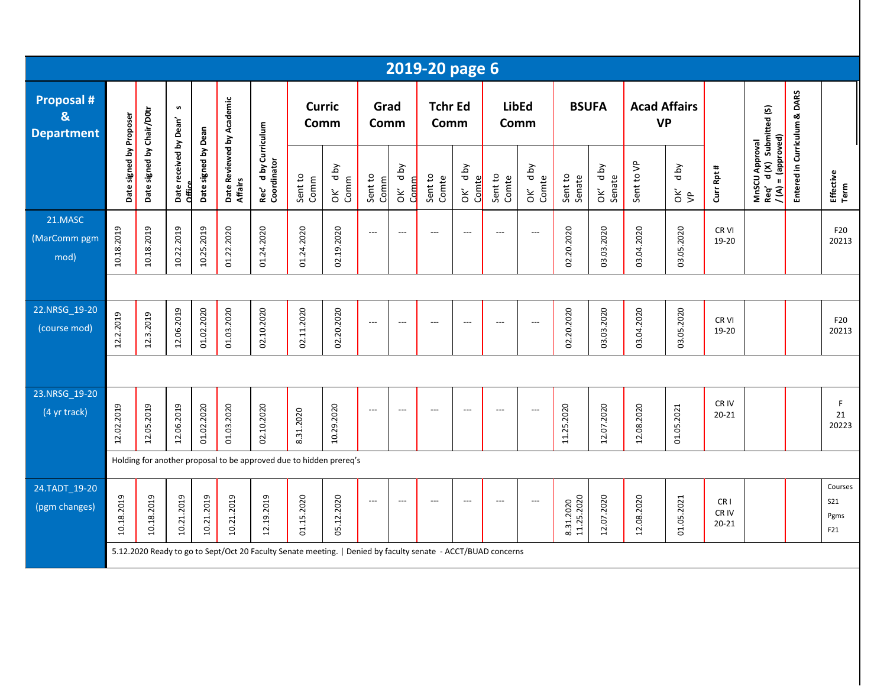|                                             |                         |                           |                                  |                     |                                      |                                                                                                              |                       |                    |                 |                                      | 2019-20 page 6           |                            |                      |                          |                         |                          |                                  |                       |                                       |                                               |                              |                                      |
|---------------------------------------------|-------------------------|---------------------------|----------------------------------|---------------------|--------------------------------------|--------------------------------------------------------------------------------------------------------------|-----------------------|--------------------|-----------------|--------------------------------------|--------------------------|----------------------------|----------------------|--------------------------|-------------------------|--------------------------|----------------------------------|-----------------------|---------------------------------------|-----------------------------------------------|------------------------------|--------------------------------------|
| <b>Proposal #</b><br>&<br><b>Department</b> |                         |                           | s                                |                     |                                      |                                                                                                              | <b>Curric</b><br>Comm |                    | Grad<br>Comm    |                                      | <b>Tchr Ed</b><br>Comm   |                            | <b>LibEd</b><br>Comm |                          | <b>BSUFA</b>            |                          | <b>Acad Affairs</b><br><b>VP</b> |                       |                                       | d (X) Submitted (S)                           |                              |                                      |
|                                             | Date signed by Proposer | Date signed by Chair/D0tr | Date received by Dean'<br>Office | Date signed by Dean | Date Reviewed by Academic<br>Affairs | d by Curriculum<br>Rec' d by Cu<br>Coordinator                                                               | Sent to<br>Comm       | Yq p<br>Comm<br>ОK | Sent to<br>Comm | d by<br>Comm<br>$\check{\mathbf{c}}$ | Sent to<br>Comte         | <b>Aq</b> p<br>Comte<br>òΚ | Sent to<br>Comte     | d by<br>OK' dl<br>Comte  | Sent to<br>Senate       | d by<br>OK' db<br>Senate | Sent to VP                       | Yq p<br>$\frac{2}{5}$ | Curr Rpt #                            | $/(A) = (approxed)$<br>MnSCU Approval<br>Req' | Entered in Curriculum & DARS | Effective<br>Term                    |
| 21.MASC<br>(MarComm pgm<br>mod)             | 10.18.2019              | 10.18.2019                | 10.22.2019                       | 10.25.2019          | 01.22.2020                           | 01.24.2020                                                                                                   | 01.24.2020            | 02.19.2020         | $---$           | $\overline{\phantom{a}}$             | $---$                    | $\overline{\phantom{a}}$   | ---                  | $\overline{\phantom{a}}$ | 02.20.2020              | 03.03.2020               | 03.04.2020                       | 03.05.2020            | CR <sub>VI</sub><br>19-20             |                                               |                              | F20<br>20213                         |
|                                             |                         |                           |                                  |                     |                                      |                                                                                                              |                       |                    |                 |                                      |                          |                            |                      |                          |                         |                          |                                  |                       |                                       |                                               |                              |                                      |
| 22.NRSG 19-20<br>(course mod)               | 12.2.2019               | 12.3.2019                 | 12.06.2019                       | 01.02.2020          | 01.03.2020                           | 02.10.2020                                                                                                   | 02.11.2020            | 02.20.2020         | $---$           | $\overline{\phantom{a}}$             | $\overline{\phantom{a}}$ | $---$                      | $---$                | ---                      | 02.20.2020              | 03.03.2020               | 03.04.2020                       | 03.05.2020            | CR <sub>VI</sub><br>19-20             |                                               |                              | F20<br>20213                         |
|                                             |                         |                           |                                  |                     |                                      |                                                                                                              |                       |                    |                 |                                      |                          |                            |                      |                          |                         |                          |                                  |                       |                                       |                                               |                              |                                      |
| 23.NRSG 19-20<br>(4 yr track)               | 12.02.2019              | 12.05.2019                | 12.06.2019                       | 01.02.2020          | 01.03.2020                           | 02.10.2020                                                                                                   | 8.31.2020             | 10.29.2020         | $---$           | $---$                                | $\overline{\phantom{a}}$ | $\overline{\phantom{a}}$   | ---                  | ---                      | 11.25.2020              | 12.07.2020               | 12.08.2020                       | 01.05.2021            | CR IV<br>$20 - 21$                    |                                               |                              | F.<br>21<br>20223                    |
|                                             |                         |                           |                                  |                     |                                      | Holding for another proposal to be approved due to hidden prereq's                                           |                       |                    |                 |                                      |                          |                            |                      |                          |                         |                          |                                  |                       |                                       |                                               |                              |                                      |
| 24.TADT 19-20<br>(pgm changes)              | 10.18.2019              | 10.18.2019                | 10.21.2019                       | 10.21.2019          | 10.21.2019                           | 12.19.2019                                                                                                   | 01.15.2020            | 05.12.2020         | $---$           | $---$                                | $\overline{\phantom{a}}$ | $---$                      | $---$                | $\overline{\phantom{a}}$ | 8.31.2020<br>11.25.2020 | 12.07.2020               | 12.08.2020                       | 01.05.2021            | CR <sub>1</sub><br>CR IV<br>$20 - 21$ |                                               |                              | Courses<br><b>S21</b><br>Pgms<br>F21 |
|                                             |                         |                           |                                  |                     |                                      | 5.12.2020 Ready to go to Sept/Oct 20 Faculty Senate meeting.   Denied by faculty senate - ACCT/BUAD concerns |                       |                    |                 |                                      |                          |                            |                      |                          |                         |                          |                                  |                       |                                       |                                               |                              |                                      |
|                                             |                         |                           |                                  |                     |                                      |                                                                                                              |                       |                    |                 |                                      |                          |                            |                      |                          |                         |                          |                                  |                       |                                       |                                               |                              |                                      |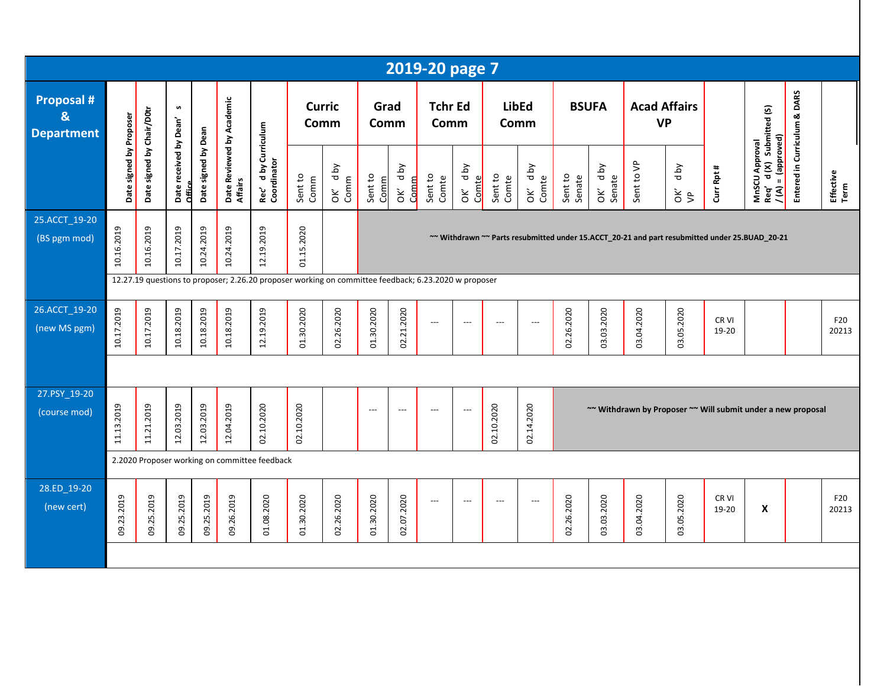|                                                        |                         |                           |                                  |                     |                                      |                                                |                       |                    |                                                                                                                                                                                                        |                           | 2019-20 page 7           |                          |                      |                          |                   |                      |                                  |                    |                                                              |                                                                        |                              |                   |
|--------------------------------------------------------|-------------------------|---------------------------|----------------------------------|---------------------|--------------------------------------|------------------------------------------------|-----------------------|--------------------|--------------------------------------------------------------------------------------------------------------------------------------------------------------------------------------------------------|---------------------------|--------------------------|--------------------------|----------------------|--------------------------|-------------------|----------------------|----------------------------------|--------------------|--------------------------------------------------------------|------------------------------------------------------------------------|------------------------------|-------------------|
| <b>Proposal #</b><br>$\mathbf{g}$<br><b>Department</b> |                         |                           | S                                |                     |                                      |                                                | <b>Curric</b><br>Comm |                    | Grad<br>Comm                                                                                                                                                                                           |                           | <b>Tchr Ed</b><br>Comm   |                          | <b>LibEd</b><br>Comm |                          | <b>BSUFA</b>      |                      | <b>Acad Affairs</b><br><b>VP</b> |                    |                                                              | Submitted (S)                                                          |                              |                   |
|                                                        | Date signed by Proposer | Date signed by Chair/D0tr | Date received by Dean'<br>Office | Date signed by Dean | Date Reviewed by Academic<br>Affairs | d by Curriculum<br>Rec' d by Cu<br>Coordinator | Sent to<br>Comm       | yq p<br>Comm<br>òΚ | Sent to<br>Comm                                                                                                                                                                                        | <b>Aq</b> p<br>Comm<br>ŎK | Sent to<br>Comte         | d by<br>Comte<br>ŏ       | Sent to<br>Comte     | OK' dby<br>Comte         | Sent to<br>Senate | d by<br>Senate<br>òΚ | Sent to VP                       | <b>Aq</b> p<br>š\$ | Curr Rpt #                                                   | = (approved)<br>MnSCU Approval<br>Req'd (X) Subm<br>/ (A) = (approved) | Entered in Curriculum & DARS | Effective<br>Term |
| 25.ACCT_19-20<br>(BS pgm mod)                          | 10.16.2019              | 10.16.2019                | 10.17.2019                       | 10.24.2019          | 10.24.2019                           | 12.19.2019                                     | 01.15.2020            |                    | ~~ Withdrawn ~~ Parts resubmitted under 15.ACCT_20-21 and part resubmitted under 25.BUAD_20-21<br>12.27.19 questions to proposer; 2.26.20 proposer working on committee feedback; 6.23.2020 w proposer |                           |                          |                          |                      |                          |                   |                      |                                  |                    |                                                              |                                                                        |                              |                   |
|                                                        |                         |                           |                                  |                     |                                      |                                                |                       |                    |                                                                                                                                                                                                        |                           |                          |                          |                      |                          |                   |                      |                                  |                    |                                                              |                                                                        |                              |                   |
| 26.ACCT_19-20<br>(new MS pgm)                          | 10.17.2019              | 10.17.2019                | 10.18.2019                       | 10.18.2019          | 10.18.2019                           | 12.19.2019                                     | 01.30.2020            | 02.26.2020         | 01.30.2020                                                                                                                                                                                             | 02.21.2020                | $\hspace{0.05cm} \ldots$ | $\hspace{0.05cm} \ldots$ | $---$                | $\hspace{0.05cm} \cdots$ | 02.26.2020        | 03.03.2020           | 03.04.2020                       | 03.05.2020         | CR VI<br>19-20                                               |                                                                        |                              | F20<br>20213      |
|                                                        |                         |                           |                                  |                     |                                      |                                                |                       |                    |                                                                                                                                                                                                        |                           |                          |                          |                      |                          |                   |                      |                                  |                    |                                                              |                                                                        |                              |                   |
| 27.PSY_19-20<br>(course mod)                           | 11.13.2019              | 11.21.2019                | 12.03.2019                       | 12.03.2019          | 12.04.2019                           | 02.10.2020                                     | 02.10.2020            |                    | $---$                                                                                                                                                                                                  | $\hspace{0.05cm} \ldots$  | ---                      | ---                      | 02.10.2020           | 02.14.2020               |                   |                      |                                  |                    | ~~ Withdrawn by Proposer ~~ Will submit under a new proposal |                                                                        |                              |                   |
|                                                        |                         |                           |                                  |                     |                                      | 2.2020 Proposer working on committee feedback  |                       |                    |                                                                                                                                                                                                        |                           |                          |                          |                      |                          |                   |                      |                                  |                    |                                                              |                                                                        |                              |                   |
| 28.ED_19-20<br>(new cert)                              | 09.23.2019              | 09.25.2019                | 09.25.2019                       | 09.25.2019          | 09.26.2019                           | 01.08.2020                                     | 01.30.2020            | 02.26.2020         | 01.30.2020                                                                                                                                                                                             | 02.07.2020                | $\hspace{0.05cm} \ldots$ | $---$                    | $---$                | $\hspace{0.05cm} \ldots$ | 02.26.2020        | 03.03.2020           | 03.04.2020                       | 03.05.2020         | CR VI<br>19-20                                               | X                                                                      |                              | F20<br>20213      |
|                                                        |                         |                           |                                  |                     |                                      |                                                |                       |                    |                                                                                                                                                                                                        |                           |                          |                          |                      |                          |                   |                      |                                  |                    |                                                              |                                                                        |                              |                   |
|                                                        |                         |                           |                                  |                     |                                      |                                                |                       |                    |                                                                                                                                                                                                        |                           |                          |                          |                      |                          |                   |                      |                                  |                    |                                                              |                                                                        |                              |                   |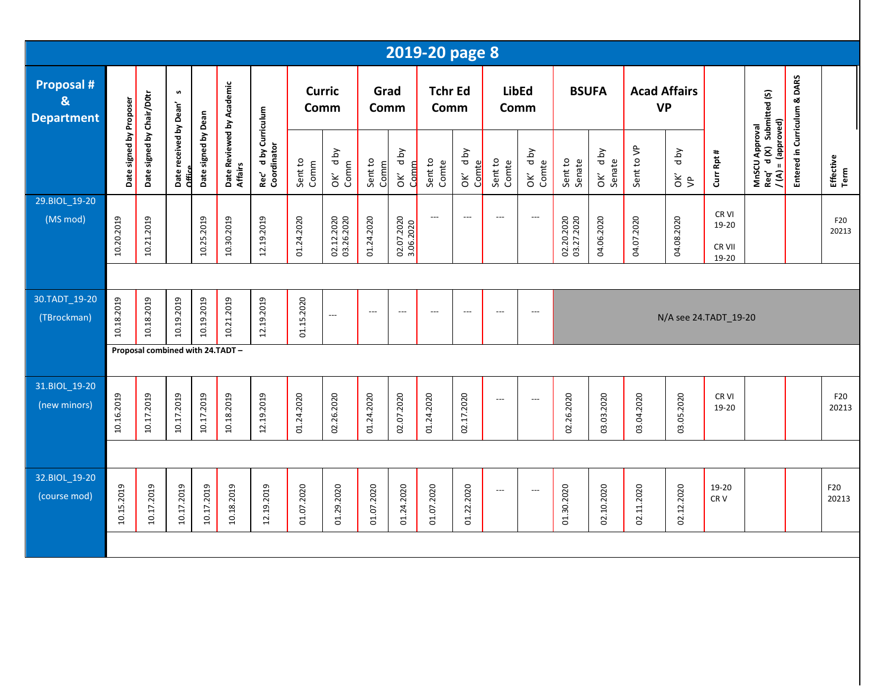|                                                        |                         |                                 |                                  |                     |                                      |                                                |                       |                          |                          |                                | 2019-20 page 8                    |                          |                      |                           |                          |                       |                                  |                       |                                   |                                                           |                              |                   |
|--------------------------------------------------------|-------------------------|---------------------------------|----------------------------------|---------------------|--------------------------------------|------------------------------------------------|-----------------------|--------------------------|--------------------------|--------------------------------|-----------------------------------|--------------------------|----------------------|---------------------------|--------------------------|-----------------------|----------------------------------|-----------------------|-----------------------------------|-----------------------------------------------------------|------------------------------|-------------------|
| <b>Proposal #</b><br>$\mathbf{g}$<br><b>Department</b> |                         |                                 | S                                |                     |                                      |                                                | <b>Curric</b><br>Comm |                          | Grad<br>Comm             |                                | <b>Tchr Ed</b><br>Comm            |                          | <b>LibEd</b><br>Comm |                           | <b>BSUFA</b>             |                       | <b>Acad Affairs</b><br><b>VP</b> |                       |                                   | d (X) Submitted (S)                                       |                              |                   |
|                                                        | Date signed by Proposer | Date signed by Chair/D0tr       | Date received by Dean'<br>Office | Date signed by Dean | Date Reviewed by Academic<br>Affairs | d by Curriculum<br>Rec' d by Cu<br>Coordinator | Sent to<br>Comm       | Aq p<br>Comm<br>ÒК       | Sent to<br>Comm          | <b>Aq</b><br><b>Comm</b><br>òΚ | Sent to<br>Comte                  | OK' dby<br>Comte         | Sent to<br>Comte     | OK' d by<br>Comte         | Sent to<br>Senate        | Yq p<br>Senate<br>OK' | Sent to VP                       | Yq p<br>$\frac{2}{5}$ | Curr Rpt #                        | Req' d(X) Submit<br>$I(A) = (approved)$<br>MnSCU Approval | Entered in Curriculum & DARS | Effective<br>Term |
| 29.BIOL_19-20<br>(MS mod)                              | 10.20.2019              | 10.21.2019                      |                                  | 10.25.2019          | 10.30.2019                           | 12.19.2019                                     | 01.24.2020            | 02.12.2020<br>03.26.2020 | 01.24.2020               | 02.07.2020<br>3.06.2020        | $\hspace{0.05cm} \dashrightarrow$ | $\overline{\phantom{a}}$ | $---$                | $\hspace{0.05cm} \ldots$  | 02.20.2020<br>03.27.2020 | 04.06.2020            | 04.07.2020                       | 04.08.2020            | CR VI<br>19-20<br>CR VII<br>19-20 |                                                           |                              | F20<br>20213      |
|                                                        |                         |                                 |                                  |                     |                                      |                                                |                       |                          |                          |                                |                                   |                          |                      |                           |                          |                       |                                  |                       |                                   |                                                           |                              |                   |
| 30.TADT_19-20<br>(TBrockman)                           | 10.18.2019              | 10.18.2019                      | 10.19.2019                       | 10.19.2019          | 10.21.2019                           | 12.19.2019                                     | 01.15.2020            | ---                      | $\hspace{0.05cm} \ldots$ | $\hspace{0.05cm} \ldots$       | $\hspace{0.05cm} \ldots$          | $\overline{\phantom{a}}$ | $---$                | $\hspace{0.05cm} \ldots$  |                          |                       |                                  |                       | N/A see 24.TADT_19-20             |                                                           |                              |                   |
|                                                        |                         | Proposal combined with 24.TADT- |                                  |                     |                                      |                                                |                       |                          |                          |                                |                                   |                          |                      |                           |                          |                       |                                  |                       |                                   |                                                           |                              |                   |
| 31.BIOL_19-20<br>(new minors)                          | 10.16.2019              | 10.17.2019                      | 10.17.2019                       | 10.17.2019          | 10.18.2019                           | 12.19.2019                                     | 01.24.2020            | 02.26.2020               | 01.24.2020               | 02.07.2020                     | 01.24.2020                        | 02.17.2020               | $---$                | $\hspace{0.05cm} \ldots$  | 02.26.2020               | 03.03.2020            | 03.04.2020                       | 03.05.2020            | CR VI<br>19-20                    |                                                           |                              | F20<br>20213      |
|                                                        |                         |                                 |                                  |                     |                                      |                                                |                       |                          |                          |                                |                                   |                          |                      |                           |                          |                       |                                  |                       |                                   |                                                           |                              |                   |
| 32.BIOL_19-20<br>(course mod)                          | 10.15.2019              | 10.17.2019                      | 10.17.2019                       | 10.17.2019          | 10.18.2019                           | 12.19.2019                                     | 01.07.2020            | 01.29.2020               | 01.07.2020               | 01.24.2020                     | 01.07.2020                        | 01.22.2020               | $---$                | $\qquad \qquad -\qquad -$ | 01.30.2020               | 02.10.2020            | 02.11.2020                       | 02.12.2020            | 19-20<br>CR <sub>V</sub>          |                                                           |                              | F20<br>20213      |
|                                                        |                         |                                 |                                  |                     |                                      |                                                |                       |                          |                          |                                |                                   |                          |                      |                           |                          |                       |                                  |                       |                                   |                                                           |                              |                   |
|                                                        |                         |                                 |                                  |                     |                                      |                                                |                       |                          |                          |                                |                                   |                          |                      |                           |                          |                       |                                  |                       |                                   |                                                           |                              |                   |
|                                                        |                         |                                 |                                  |                     |                                      |                                                |                       |                          |                          |                                |                                   |                          |                      |                           |                          |                       |                                  |                       |                                   |                                                           |                              |                   |
|                                                        |                         |                                 |                                  |                     |                                      |                                                |                       |                          |                          |                                |                                   |                          |                      |                           |                          |                       |                                  |                       |                                   |                                                           |                              |                   |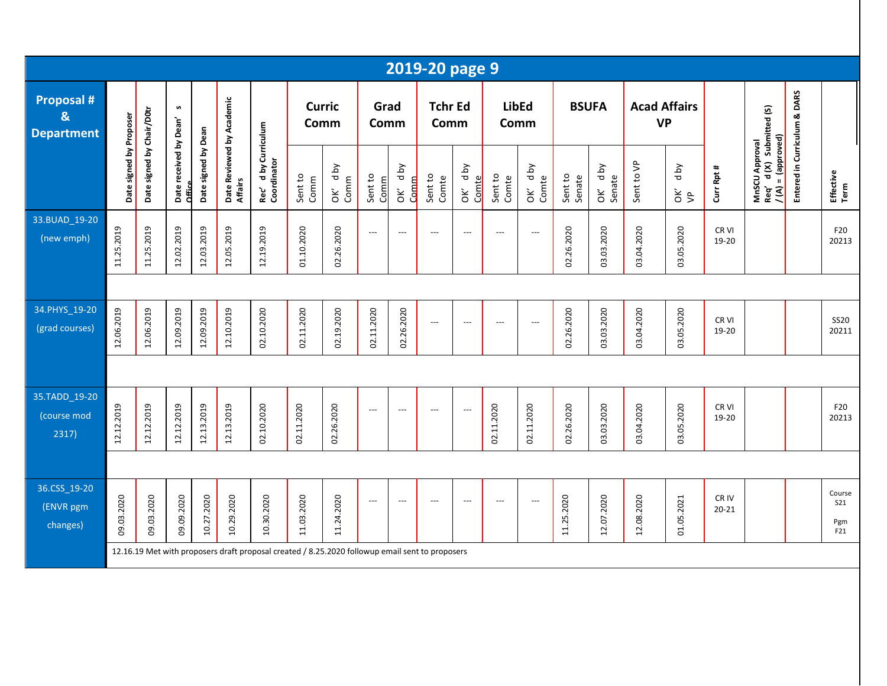|                                                        |                         |                           |                                  |                     |                                      |                                                                                                 |                       |                     |                          |                 | 2019-20 page 9           |                          |                          |                  |                   |                   |                                  |                       |                           |                                                                   |                              |                                    |
|--------------------------------------------------------|-------------------------|---------------------------|----------------------------------|---------------------|--------------------------------------|-------------------------------------------------------------------------------------------------|-----------------------|---------------------|--------------------------|-----------------|--------------------------|--------------------------|--------------------------|------------------|-------------------|-------------------|----------------------------------|-----------------------|---------------------------|-------------------------------------------------------------------|------------------------------|------------------------------------|
| <b>Proposal #</b><br>$\mathbf{g}$<br><b>Department</b> |                         |                           | n                                |                     |                                      |                                                                                                 | <b>Curric</b><br>Comm |                     | Grad<br>Comm             |                 | <b>Tchr Ed</b><br>Comm   |                          | LibEd<br>Comm            |                  |                   | <b>BSUFA</b>      | <b>Acad Affairs</b><br><b>VP</b> |                       |                           |                                                                   |                              |                                    |
|                                                        | Date signed by Proposer | Date signed by Chair/D0tr | Date received by Dean'<br>Office | Date signed by Dean | Date Reviewed by Academic<br>Affairs | d by Curriculum<br>Rec' d by Cu<br>Coordinator                                                  | Sent to<br>Comm       | d by<br>Comm<br>OK' | Sent to<br>Comm          | OK' dby<br>Comm | Sent to<br>Comte         | OK' dby<br>Comte         | Sent to<br>Comte         | OK' dby<br>Comte | Sent to<br>Senate | OK' dby<br>Senate | Sent to VP                       | Yq p<br>$\frac{2}{5}$ | Curr Rpt #                | MnSCU Approval<br>Req' d (X) Submitted (S)<br>$I(A) = (approxed)$ | Entered in Curriculum & DARS | Effective<br>Term                  |
| 33.BUAD 19-20<br>(new emph)                            | 11.25.2019              | 11.25.2019                | 12.02.2019                       | 12.03.2019          | 12.05.2019                           | 12.19.2019                                                                                      | 01.10.2020            | 02.26.2020          | $\hspace{0.05cm} \ldots$ | $---$           | $\overline{\phantom{a}}$ | $---$                    | $\overline{\phantom{a}}$ | ---              | 02.26.2020        | 03.03.2020        | 03.04.2020                       | 03.05.2020            | CR <sub>VI</sub><br>19-20 |                                                                   |                              | F20<br>20213                       |
|                                                        |                         |                           |                                  |                     |                                      |                                                                                                 |                       |                     |                          |                 |                          |                          |                          |                  |                   |                   |                                  |                       |                           |                                                                   |                              |                                    |
| 34.PHYS 19-20<br>(grad courses)                        | 12.06.2019              | 12.06.2019                | 12.09.2019                       | 12.09.2019          | 12.10.2019                           | 02.10.2020                                                                                      | 02.11.2020            | 02.19.2020          | 02.11.2020               | 02.26.2020      | $---$                    | $\overline{a}$           | $\overline{\phantom{a}}$ | ---              | 02.26.2020        | 03.03.2020        | 03.04.2020                       | 03.05.2020            | CR VI<br>19-20            |                                                                   |                              | <b>SS20</b><br>20211               |
|                                                        |                         |                           |                                  |                     |                                      |                                                                                                 |                       |                     |                          |                 |                          |                          |                          |                  |                   |                   |                                  |                       |                           |                                                                   |                              |                                    |
| 35.TADD_19-20<br>(course mod<br>2317)                  | 12.12.2019              | 12.12.2019                | 12.12.2019                       | 12.13.2019          | 12.13.2019                           | 02.10.2020                                                                                      | 02.11.2020            | 02.26.2020          | $\hspace{0.05cm} \ldots$ | $---$           | $\overline{a}$           | $\overline{\phantom{a}}$ | 02.11.2020               | 02.11.2020       | 02.26.2020        | 03.03.2020        | 03.04.2020                       | 03.05.2020            | CR VI<br>19-20            |                                                                   |                              | F20<br>20213                       |
|                                                        |                         |                           |                                  |                     |                                      |                                                                                                 |                       |                     |                          |                 |                          |                          |                          |                  |                   |                   |                                  |                       |                           |                                                                   |                              |                                    |
| 36.CSS_19-20<br>(ENVR pgm<br>changes)                  | 09.03.2020              | 09.03.2020                | 09.09.2020                       | 10.27.2020          | 10.29.2020                           | 10.30.2020                                                                                      | 11.03.2020            | 11.24.2020          | $\overline{\phantom{a}}$ | $---$           | ---                      | $\overline{\phantom{a}}$ | ---                      | ---              | 11.25.2020        | 12.07.2020        | 12.08.2020                       | 01.05.2021            | CR IV<br>$20 - 21$        |                                                                   |                              | Course<br><b>S21</b><br>Pgm<br>F21 |
|                                                        |                         |                           |                                  |                     |                                      | 12.16.19 Met with proposers draft proposal created / 8.25.2020 followup email sent to proposers |                       |                     |                          |                 |                          |                          |                          |                  |                   |                   |                                  |                       |                           |                                                                   |                              |                                    |
|                                                        |                         |                           |                                  |                     |                                      |                                                                                                 |                       |                     |                          |                 |                          |                          |                          |                  |                   |                   |                                  |                       |                           |                                                                   |                              |                                    |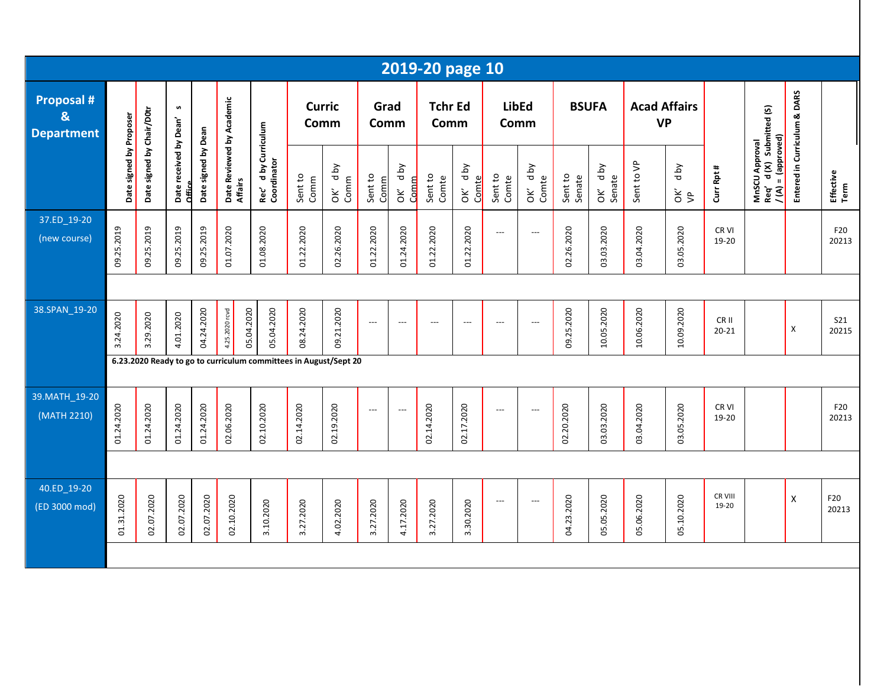|                                                        |                         |                           |                                  |                     |                                      |                                                                  |                 |                    |                          |                          | 2019-20 page 10        |                          |                          |                     |                   |                   |                                  |            |                           |                                                                                                            |                              |                     |
|--------------------------------------------------------|-------------------------|---------------------------|----------------------------------|---------------------|--------------------------------------|------------------------------------------------------------------|-----------------|--------------------|--------------------------|--------------------------|------------------------|--------------------------|--------------------------|---------------------|-------------------|-------------------|----------------------------------|------------|---------------------------|------------------------------------------------------------------------------------------------------------|------------------------------|---------------------|
| <b>Proposal #</b><br>$\mathbf{g}$<br><b>Department</b> |                         |                           | S                                |                     |                                      |                                                                  | Comm            | <b>Curric</b>      | Grad<br>Comm             |                          | <b>Tchr Ed</b><br>Comm |                          | Comm                     | <b>LibEd</b>        | <b>BSUFA</b>      |                   | <b>Acad Affairs</b><br><b>VP</b> |            |                           |                                                                                                            |                              |                     |
|                                                        | Date signed by Proposer | Date signed by Chair/D0tr | Date received by Dean'<br>Office | Date signed by Dean | Date Reviewed by Academic<br>Affairs | d by Curriculum<br>Rec' d by Cu<br>Coordinator                   | Sent to<br>Comm | Aq p<br>Comm<br>òΚ | Sent to<br>Comm          | Aq p<br>Comm<br>òΚ       | Sent to<br>Comte       | <b>Aq</b><br>Comte<br>ŎΚ | Sent to<br>Comte         | d by<br>Comte<br>OK | Sent to<br>Senate | OK' dby<br>Senate | Sent to VP                       | d by<br>Šβ | Curr Rpt #                | MnSCU Approval<br>Req' d (X) Submitted (S)<br>Req' d (X) $\frac{1}{2}$ )<br>$\frac{1}{2}$ (A) = (approved) | Entered in Curriculum & DARS | Effective<br>Term   |
| 37.ED_19-20<br>(new course)                            | 09.25.2019              | 09.25.2019                | 09.25.2019                       | 09.25.2019          | 01.07.2020                           | 01.08.2020                                                       | 01.22.2020      | 02.26.2020         | 01.22.2020               | 01.24.2020               | 01.22.2020             | 01.22.2020               | $\hspace{0.05cm} \ldots$ | $---$               | 02.26.2020        | 03.03.2020        | 03.04.2020                       | 03.05.2020 | CR <sub>VI</sub><br>19-20 |                                                                                                            |                              | F20<br>20213        |
|                                                        |                         |                           |                                  |                     |                                      |                                                                  |                 |                    |                          |                          |                        |                          |                          |                     |                   |                   |                                  |            |                           |                                                                                                            |                              |                     |
| 38.SPAN_19-20                                          | 3.24.2020               | 3.29.2020                 | 4.01.2020                        | 04.24.2020          | 4.25.2020 rovd                       | 05.04.2020<br>05.04.2020                                         | 08.24.2020      | 09.21.2020         | $\overline{\phantom{a}}$ | $\overline{\phantom{a}}$ | $---$                  | $\overline{\phantom{a}}$ | $---$                    | $---$               | 09.25.2020        | 10.05.2020        | 10.06.2020                       | 10.09.2020 | CR II<br>$20 - 21$        |                                                                                                            | X                            | <b>S21</b><br>20215 |
|                                                        |                         |                           |                                  |                     |                                      | 6.23.2020 Ready to go to curriculum committees in August/Sept 20 |                 |                    |                          |                          |                        |                          |                          |                     |                   |                   |                                  |            |                           |                                                                                                            |                              |                     |
| 39.MATH_19-20<br>(MATH 2210)                           | 01.24.2020              | 01.24.2020                | 01.24.2020                       | 01.24.2020          | 02.06.2020                           | 02.10.2020                                                       | 02.14.2020      | 02.19.2020         | $\hspace{0.05cm} \ldots$ | $---$                    | 02.14.2020             | 02.17.2020               | ---                      | ---                 | 02.20.2020        | 03.03.2020        | 03.04.2020                       | 03.05.2020 | CR VI<br>19-20            |                                                                                                            |                              | F20<br>20213        |
|                                                        |                         |                           |                                  |                     |                                      |                                                                  |                 |                    |                          |                          |                        |                          |                          |                     |                   |                   |                                  |            |                           |                                                                                                            |                              |                     |
| 40.ED_19-20<br>(ED 3000 mod)                           | 01.31.2020              | 02.07.2020                | 02.07.2020                       | 02.07.2020          | 02.10.2020                           | 3.10.2020                                                        | 3.27.2020       | 4.02.2020          | 3.27.2020                | 4.17.2020                | 3.27.2020              | 3.30.2020                | $\overline{\phantom{a}}$ | $---$               | 04.23.2020        | 05.05.2020        | 05.06.2020                       | 05.10.2020 | CR VIII<br>19-20          |                                                                                                            | X                            | F20<br>20213        |
|                                                        |                         |                           |                                  |                     |                                      |                                                                  |                 |                    |                          |                          |                        |                          |                          |                     |                   |                   |                                  |            |                           |                                                                                                            |                              |                     |
|                                                        |                         |                           |                                  |                     |                                      |                                                                  |                 |                    |                          |                          |                        |                          |                          |                     |                   |                   |                                  |            |                           |                                                                                                            |                              |                     |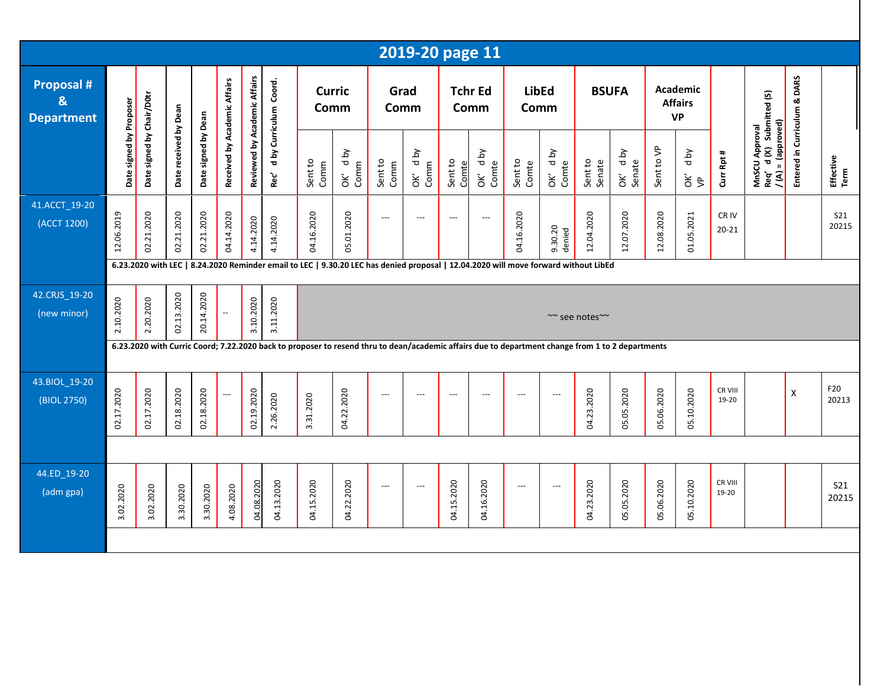|                                      |                         |                           |                       |                     |                              |                              |                         |                                                                                                                                                                                                                                                                                         |                     |                               | 2019-20 page 11 |                          |                        |                          |                          |                   |                       |            |                                                |                           |                                                                  |                              |                     |
|--------------------------------------|-------------------------|---------------------------|-----------------------|---------------------|------------------------------|------------------------------|-------------------------|-----------------------------------------------------------------------------------------------------------------------------------------------------------------------------------------------------------------------------------------------------------------------------------------|---------------------|-------------------------------|-----------------|--------------------------|------------------------|--------------------------|--------------------------|-------------------|-----------------------|------------|------------------------------------------------|---------------------------|------------------------------------------------------------------|------------------------------|---------------------|
| Proposal #<br>&<br><b>Department</b> |                         |                           |                       |                     |                              |                              | Coord.                  | <b>Curric</b><br>Comm                                                                                                                                                                                                                                                                   |                     |                               | Grad<br>Comm    |                          | <b>Tchr Ed</b><br>Comm | <b>LibEd</b><br>Comm     |                          | <b>BSUFA</b>      |                       |            | <b>Academic</b><br><b>Affairs</b><br><b>VP</b> |                           |                                                                  |                              |                     |
|                                      | Date signed by Proposer | Date signed by Chair/D0tr | Date received by Dean | Date signed by Dean | Received by Academic Affairs | Reviewed by Academic Affairs | d by Curriculum<br>Rec' | Sent to<br>Comm                                                                                                                                                                                                                                                                         | d by<br>Comm<br>ÒК, | Sent to<br>Comm               | OK' dby<br>Comm | Sent to<br>Comte         | Yq p<br>OK' d          | Sent to<br>Comte         | OK' dby<br>Comte         | Sent to<br>Senate | Aq p<br>Senate<br>OK' | Sent to VP | d by<br>$\frac{2}{5}$                          | Curr Rpt #                | MnSCU Approval<br>Req' d (X) Submitted (S)<br>/ (A) = (approved) | Entered in Curriculum & DARS | Effective<br>Term   |
| 41.ACCT_19-20<br>(ACCT 1200)         | 12.06.2019              | 02.21.2020                | 02.21.2020            | 02.21.2020          | 04.14.2020                   | 4.14.2020                    | 4.14.2020               | 04.16.2020                                                                                                                                                                                                                                                                              | 05.01.2020          | $---$                         | $---$           | $---$                    | $---$                  | 04.16.2020               | 9.30.20<br>denied        | 12.04.2020        | 12.07.2020            | 12.08.2020 | 01.05.2021                                     | CR <sub>IV</sub><br>20-21 |                                                                  |                              | <b>S21</b><br>20215 |
|                                      |                         |                           |                       |                     |                              |                              |                         |                                                                                                                                                                                                                                                                                         |                     |                               |                 |                          |                        |                          |                          |                   |                       |            |                                                |                           |                                                                  |                              |                     |
| 42.CRJS_19-20<br>(new minor)         | 2.10.2020               | 2.20.2020                 | 02.13.2020            | 20.14.2020          | $\mathbb{Z}^2$               | 3.10.2020                    | 3.11.2020               | ~~ see notes~~                                                                                                                                                                                                                                                                          |                     |                               |                 |                          |                        |                          |                          |                   |                       |            |                                                |                           |                                                                  |                              |                     |
|                                      |                         |                           |                       |                     |                              |                              |                         | 6.23.2020 with LEC   8.24.2020 Reminder email to LEC   9.30.20 LEC has denied proposal   12.04.2020 will move forward without LibEd<br>6.23.2020 with Curric Coord; 7.22.2020 back to proposer to resend thru to dean/academic affairs due to department change from 1 to 2 departments |                     |                               |                 |                          |                        |                          |                          |                   |                       |            |                                                |                           |                                                                  |                              |                     |
| 43.BIOL_19-20<br>(BIOL 2750)         | 02.17.2020              | 02.17.2020                | 02.18.2020            | 02.18.2020          | $\hspace{0.05cm} \ldots$     | 02.19.2020                   | 2.26.2020               | 3.31.2020                                                                                                                                                                                                                                                                               | 04.22.2020          | $---$                         | ---             | $\overline{\phantom{a}}$ | ---                    | ---                      | $---$                    | 04.23.2020        | 05.05.2020            | 05.06.2020 | 05.10.2020                                     | CR VIII<br>19-20          |                                                                  | $\pmb{\mathsf{X}}$           | F20<br>20213        |
|                                      |                         |                           |                       |                     |                              |                              |                         |                                                                                                                                                                                                                                                                                         |                     |                               |                 |                          |                        |                          |                          |                   |                       |            |                                                |                           |                                                                  |                              |                     |
| 44.ED_19-20<br>(adm gpa)             | 3.02.2020               | 3.02.2020                 | 3.30.2020             | 3.30.2020           | 4.08.2020                    | 04.08.2020                   | 04.13.2020              | 04.15.2020                                                                                                                                                                                                                                                                              | 04.22.2020          | $\hspace{1.5cm} \textbf{---}$ | ---             | 04.15.2020               | 04.16.2020             | $\hspace{0.05cm} \ldots$ | $\hspace{0.05cm} \ldots$ | 04.23.2020        | 05.05.2020            | 05.06.2020 | 05.10.2020                                     | CR VIII<br>19-20          |                                                                  |                              | S21<br>20215        |
|                                      |                         |                           |                       |                     |                              |                              |                         |                                                                                                                                                                                                                                                                                         |                     |                               |                 |                          |                        |                          |                          |                   |                       |            |                                                |                           |                                                                  |                              |                     |
|                                      |                         |                           |                       |                     |                              |                              |                         |                                                                                                                                                                                                                                                                                         |                     |                               |                 |                          |                        |                          |                          |                   |                       |            |                                                |                           |                                                                  |                              |                     |